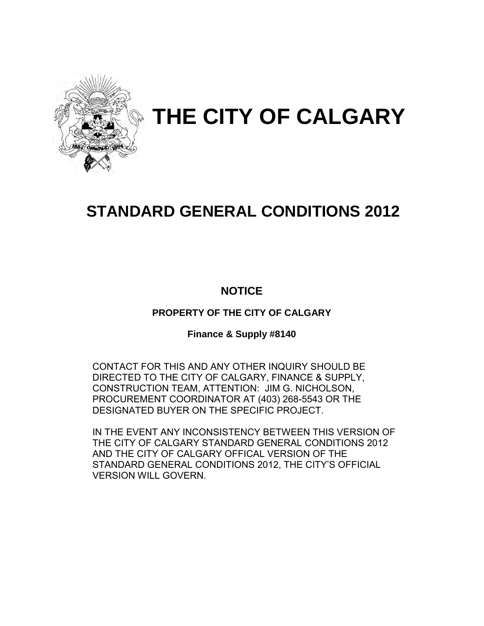

# **THE CITY OF CALGARY**

# **STANDARD GENERAL CONDITIONS 2012**

## **NOTICE**

**PROPERTY OF THE CITY OF CALGARY** 

**Finance & Supply #8140** 

CONTACT FOR THIS AND ANY OTHER INQUIRY SHOULD BE DIRECTED TO THE CITY OF CALGARY, FINANCE & SUPPLY, CONSTRUCTION TEAM, ATTENTION: JIM G. NICHOLSON, PROCUREMENT COORDINATOR AT (403) 268-5543 OR THE DESIGNATED BUYER ON THE SPECIFIC PROJECT.

IN THE EVENT ANY INCONSISTENCY BETWEEN THIS VERSION OF THE CITY OF CALGARY STANDARD GENERAL CONDITIONS 2012 AND THE CITY OF CALGARY OFFICAL VERSION OF THE STANDARD GENERAL CONDITIONS 2012, THE CITY'S OFFICIAL VERSION WILL GOVERN.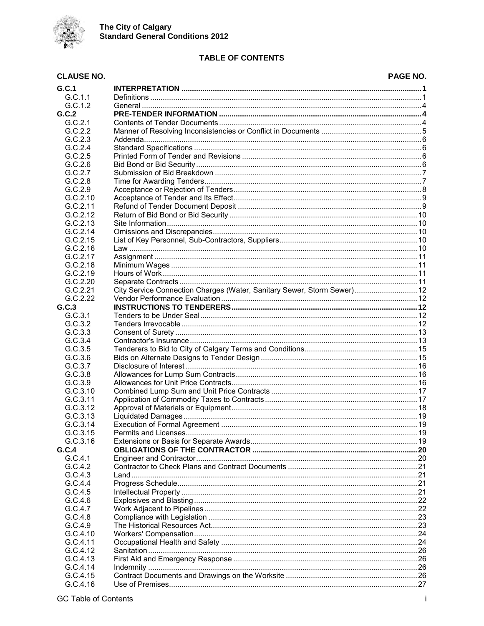

## **TABLE OF CONTENTS**

#### **PAGE NO.**

| <b>CLAUSE NO.</b>  |                                                                                                                  | PAGE NO. |
|--------------------|------------------------------------------------------------------------------------------------------------------|----------|
| G.C.1              |                                                                                                                  |          |
| G.C.1.1            |                                                                                                                  |          |
| G.C.1.2            |                                                                                                                  |          |
| G.C.2              |                                                                                                                  |          |
| G.C.2.1            |                                                                                                                  |          |
| G.C.2.2            |                                                                                                                  |          |
| G.C.2.3            |                                                                                                                  |          |
| G.C.2.4            |                                                                                                                  |          |
| G.C.2.5            |                                                                                                                  |          |
| G.C.2.6            |                                                                                                                  |          |
| G.C.2.7            |                                                                                                                  |          |
| G.C.2.8            |                                                                                                                  |          |
| G.C.2.9            |                                                                                                                  |          |
| G.C.2.10           |                                                                                                                  |          |
| G.C.2.11           |                                                                                                                  |          |
| G.C.2.12           |                                                                                                                  |          |
| G.C.2.13           |                                                                                                                  |          |
| G.C.2.14           |                                                                                                                  |          |
| G.C.2.15           |                                                                                                                  |          |
| G.C.2.16           |                                                                                                                  |          |
| G.C.2.17           |                                                                                                                  |          |
| G.C.2.18           |                                                                                                                  |          |
| G.C.2.19           |                                                                                                                  |          |
| G.C.2.20           |                                                                                                                  |          |
| G.C.2.21           | City Service Connection Charges (Water, Sanitary Sewer, Storm Sewer) 12                                          |          |
| G.C.2.22           |                                                                                                                  |          |
| G.C.3              |                                                                                                                  |          |
| G.C.3.1            |                                                                                                                  |          |
| G.C.3.2            |                                                                                                                  |          |
| G.C.3.3<br>G.C.3.4 |                                                                                                                  |          |
| G.C.3.5            |                                                                                                                  |          |
| G.C.3.6            |                                                                                                                  |          |
| G.C.3.7            |                                                                                                                  |          |
| G.C.3.8            |                                                                                                                  |          |
| G.C.3.9            |                                                                                                                  |          |
| G.C.3.10           |                                                                                                                  |          |
| G.C.3.11           |                                                                                                                  |          |
| G.C.3.12           |                                                                                                                  |          |
| G.C.3.13           |                                                                                                                  |          |
| G.C.3.14           |                                                                                                                  | 19       |
| G.C.3.15           | 19. november 2016. https://www.marray.com/induction.com/induction.com/induction.com/induction.com/induction.com/ |          |
| G.C.3.16           |                                                                                                                  |          |
| G.C.4              |                                                                                                                  |          |
| G.C.4.1            |                                                                                                                  |          |
| G.C.4.2            |                                                                                                                  |          |
| G.C.4.3            |                                                                                                                  |          |
| G.C.4.4            |                                                                                                                  |          |
| G.C.4.5            |                                                                                                                  |          |
| G.C.4.6            |                                                                                                                  |          |
| G.C.4.7            |                                                                                                                  |          |
| G.C.4.8            |                                                                                                                  |          |
| G.C.4.9            |                                                                                                                  |          |
| G.C.4.10           |                                                                                                                  |          |
| G.C.4.11           |                                                                                                                  |          |
| G.C.4.12           |                                                                                                                  |          |
| G.C.4.13           |                                                                                                                  |          |
| G.C.4.14           |                                                                                                                  |          |
| G.C.4.15           |                                                                                                                  |          |
| G.C.4.16           |                                                                                                                  |          |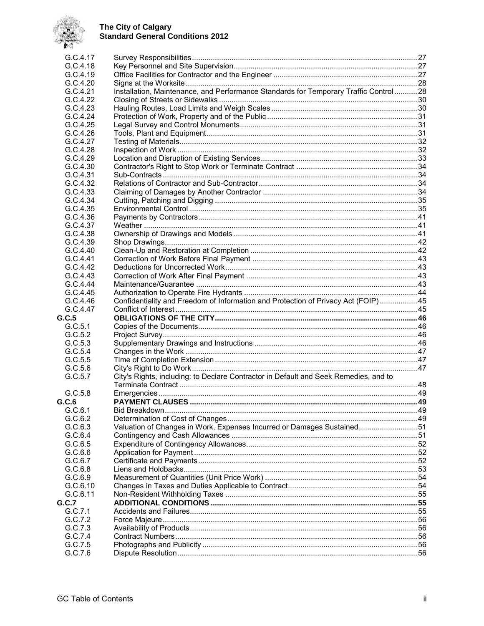

| G.C.4.17           |                                                                                      |  |
|--------------------|--------------------------------------------------------------------------------------|--|
| G.C.4.18           |                                                                                      |  |
| G.C.4.19           |                                                                                      |  |
| G.C.4.20           |                                                                                      |  |
| G.C.4.21           | Installation, Maintenance, and Performance Standards for Temporary Traffic Control28 |  |
| G.C.4.22           |                                                                                      |  |
| G.C.4.23           |                                                                                      |  |
| G.C.4.24           |                                                                                      |  |
| G.C.4.25           |                                                                                      |  |
| G.C.4.26           |                                                                                      |  |
| G.C.4.27           |                                                                                      |  |
| G.C.4.28           |                                                                                      |  |
| G.C.4.29           |                                                                                      |  |
| G.C.4.30           |                                                                                      |  |
| G.C.4.31           |                                                                                      |  |
| G.C.4.32           |                                                                                      |  |
| G.C.4.33           |                                                                                      |  |
| G.C.4.34           |                                                                                      |  |
| G.C.4.35           |                                                                                      |  |
| G.C.4.36           |                                                                                      |  |
| G.C.4.37           |                                                                                      |  |
| G.C.4.38           |                                                                                      |  |
| G.C.4.39           |                                                                                      |  |
| G.C.4.40           |                                                                                      |  |
| G.C.4.41           |                                                                                      |  |
| G.C.4.42           |                                                                                      |  |
| G.C.4.43           |                                                                                      |  |
| G.C.4.44           |                                                                                      |  |
| G.C.4.45           |                                                                                      |  |
| G.C.4.46           | Confidentiality and Freedom of Information and Protection of Privacy Act (FOIP)45    |  |
| G.C.4.47           |                                                                                      |  |
| G.C.5              |                                                                                      |  |
| G.C.5.1            |                                                                                      |  |
| G.C.5.2            |                                                                                      |  |
| G.C.5.3            |                                                                                      |  |
| G.C.5.4            |                                                                                      |  |
| G.C.5.5            |                                                                                      |  |
| G.C.5.6            |                                                                                      |  |
| G.C.5.7            | City's Rights, including: to Declare Contractor in Default and Seek Remedies, and to |  |
|                    |                                                                                      |  |
| G.C.5.8            |                                                                                      |  |
| G.C.6<br>G.C.6.1   |                                                                                      |  |
| G.C.6.2            |                                                                                      |  |
| G.C.6.3            | Valuation of Changes in Work, Expenses Incurred or Damages Sustained51               |  |
| G.C.6.4            |                                                                                      |  |
|                    |                                                                                      |  |
| G.C.6.5            |                                                                                      |  |
| G.C.6.6<br>G.C.6.7 |                                                                                      |  |
| G.C.6.8            |                                                                                      |  |
| G.C.6.9            |                                                                                      |  |
| G.C.6.10           |                                                                                      |  |
| G.C.6.11           |                                                                                      |  |
| G.C.7              |                                                                                      |  |
| G.C.7.1            |                                                                                      |  |
| G.C.7.2            |                                                                                      |  |
| G.C.7.3            |                                                                                      |  |
| G.C.7.4            |                                                                                      |  |
| G.C.7.5            |                                                                                      |  |
| G.C.7.6            |                                                                                      |  |
|                    |                                                                                      |  |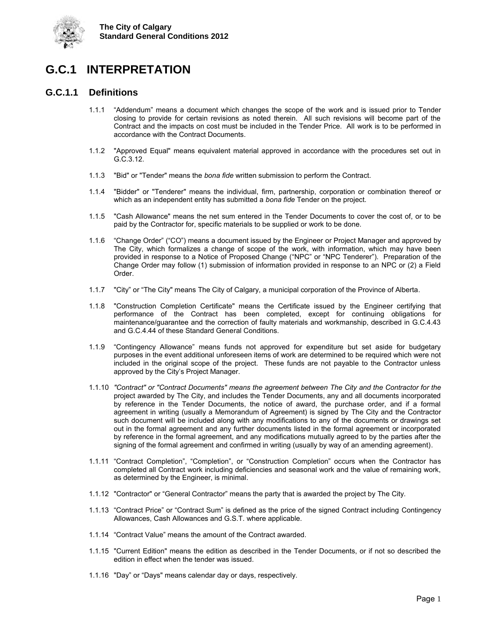



## <span id="page-4-0"></span>**G.C.1 INTERPRETATION**

## <span id="page-4-1"></span>**G.C.1.1 Definitions**

- 1.1.1 "Addendum" means a document which changes the scope of the work and is issued prior to Tender closing to provide for certain revisions as noted therein. All such revisions will become part of the Contract and the impacts on cost must be included in the Tender Price. All work is to be performed in accordance with the Contract Documents.
- 1.1.2 "Approved Equal" means equivalent material approved in accordance with the procedures set out in G.C.3.12.
- 1.1.3 "Bid" or "Tender" means the *bona fide* written submission to perform the Contract.
- 1.1.4 "Bidder" or "Tenderer" means the individual, firm, partnership, corporation or combination thereof or which as an independent entity has submitted a *bona fide* Tender on the project.
- 1.1.5 "Cash Allowance" means the net sum entered in the Tender Documents to cover the cost of, or to be paid by the Contractor for, specific materials to be supplied or work to be done.
- 1.1.6 "Change Order" ("CO") means a document issued by the Engineer or Project Manager and approved by The City, which formalizes a change of scope of the work, with information, which may have been provided in response to a Notice of Proposed Change ("NPC" or "NPC Tenderer"). Preparation of the Change Order may follow (1) submission of information provided in response to an NPC or (2) a Field Order.
- 1.1.7 "City" or "The City" means The City of Calgary, a municipal corporation of the Province of Alberta.
- 1.1.8 "Construction Completion Certificate" means the Certificate issued by the Engineer certifying that performance of the Contract has been completed, except for continuing obligations for maintenance/guarantee and the correction of faulty materials and workmanship, described in G.C.4.43 and G.C.4.44 of these Standard General Conditions.
- 1.1.9 "Contingency Allowance" means funds not approved for expenditure but set aside for budgetary purposes in the event additional unforeseen items of work are determined to be required which were not included in the original scope of the project. These funds are not payable to the Contractor unless approved by the City's Project Manager.
- 1.1.10 *"Contract" or "Contract Documents" means the agreement between The City and the Contractor for the* project awarded by The City, and includes the Tender Documents, any and all documents incorporated by reference in the Tender Documents, the notice of award, the purchase order, and if a formal agreement in writing (usually a Memorandum of Agreement) is signed by The City and the Contractor such document will be included along with any modifications to any of the documents or drawings set out in the formal agreement and any further documents listed in the formal agreement or incorporated by reference in the formal agreement, and any modifications mutually agreed to by the parties after the signing of the formal agreement and confirmed in writing (usually by way of an amending agreement).
- 1.1.11 "Contract Completion", "Completion", or "Construction Completion" occurs when the Contractor has completed all Contract work including deficiencies and seasonal work and the value of remaining work, as determined by the Engineer, is minimal.
- 1.1.12 "Contractor" or "General Contractor" means the party that is awarded the project by The City.
- 1.1.13 "Contract Price" or "Contract Sum" is defined as the price of the signed Contract including Contingency Allowances, Cash Allowances and G.S.T. where applicable.
- 1.1.14 "Contract Value" means the amount of the Contract awarded.
- 1.1.15 "Current Edition" means the edition as described in the Tender Documents, or if not so described the edition in effect when the tender was issued.
- 1.1.16 "Day" or "Days" means calendar day or days, respectively.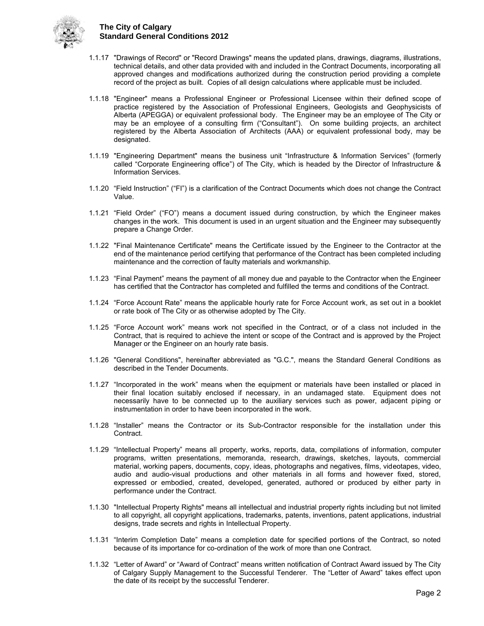

- 1.1.17 "Drawings of Record" or "Record Drawings" means the updated plans, drawings, diagrams, illustrations, technical details, and other data provided with and included in the Contract Documents, incorporating all approved changes and modifications authorized during the construction period providing a complete record of the project as built. Copies of all design calculations where applicable must be included.
- 1.1.18 "Engineer" means a Professional Engineer or Professional Licensee within their defined scope of practice registered by the Association of Professional Engineers, Geologists and Geophysicists of Alberta (APEGGA) or equivalent professional body. The Engineer may be an employee of The City or may be an employee of a consulting firm ("Consultant"). On some building projects, an architect registered by the Alberta Association of Architects (AAA) or equivalent professional body, may be designated.
- 1.1.19 "Engineering Department" means the business unit "Infrastructure & Information Services" (formerly called "Corporate Engineering office") of The City, which is headed by the Director of Infrastructure & Information Services.
- 1.1.20 "Field Instruction" ("FI") is a clarification of the Contract Documents which does not change the Contract Value.
- 1.1.21 "Field Order" ("FO") means a document issued during construction, by which the Engineer makes changes in the work. This document is used in an urgent situation and the Engineer may subsequently prepare a Change Order.
- 1.1.22 "Final Maintenance Certificate" means the Certificate issued by the Engineer to the Contractor at the end of the maintenance period certifying that performance of the Contract has been completed including maintenance and the correction of faulty materials and workmanship.
- 1.1.23 "Final Payment" means the payment of all money due and payable to the Contractor when the Engineer has certified that the Contractor has completed and fulfilled the terms and conditions of the Contract.
- 1.1.24 "Force Account Rate" means the applicable hourly rate for Force Account work, as set out in a booklet or rate book of The City or as otherwise adopted by The City.
- 1.1.25 "Force Account work" means work not specified in the Contract, or of a class not included in the Contract, that is required to achieve the intent or scope of the Contract and is approved by the Project Manager or the Engineer on an hourly rate basis.
- 1.1.26 "General Conditions", hereinafter abbreviated as "G.C.", means the Standard General Conditions as described in the Tender Documents.
- 1.1.27 "Incorporated in the work" means when the equipment or materials have been installed or placed in their final location suitably enclosed if necessary, in an undamaged state. Equipment does not necessarily have to be connected up to the auxiliary services such as power, adjacent piping or instrumentation in order to have been incorporated in the work.
- 1.1.28 "Installer" means the Contractor or its Sub-Contractor responsible for the installation under this Contract.
- 1.1.29 "Intellectual Property" means all property, works, reports, data, compilations of information, computer programs, written presentations, memoranda, research, drawings, sketches, layouts, commercial material, working papers, documents, copy, ideas, photographs and negatives, films, videotapes, video, audio and audio-visual productions and other materials in all forms and however fixed, stored, expressed or embodied, created, developed, generated, authored or produced by either party in performance under the Contract.
- 1.1.30 "Intellectual Property Rights" means all intellectual and industrial property rights including but not limited to all copyright, all copyright applications, trademarks, patents, inventions, patent applications, industrial designs, trade secrets and rights in Intellectual Property.
- 1.1.31 "Interim Completion Date" means a completion date for specified portions of the Contract, so noted because of its importance for co-ordination of the work of more than one Contract.
- 1.1.32 "Letter of Award" or "Award of Contract" means written notification of Contract Award issued by The City of Calgary Supply Management to the Successful Tenderer. The "Letter of Award" takes effect upon the date of its receipt by the successful Tenderer.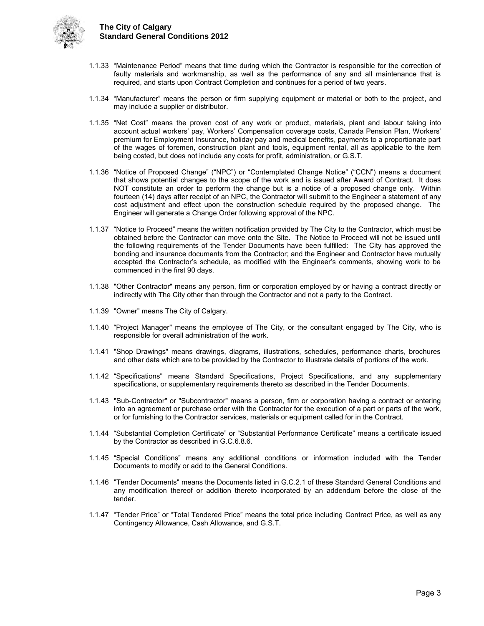

- 1.1.33 "Maintenance Period" means that time during which the Contractor is responsible for the correction of faulty materials and workmanship, as well as the performance of any and all maintenance that is required, and starts upon Contract Completion and continues for a period of two years.
- 1.1.34 "Manufacturer" means the person or firm supplying equipment or material or both to the project, and may include a supplier or distributor.
- 1.1.35 "Net Cost" means the proven cost of any work or product, materials, plant and labour taking into account actual workers' pay, Workers' Compensation coverage costs, Canada Pension Plan, Workers' premium for Employment Insurance, holiday pay and medical benefits, payments to a proportionate part of the wages of foremen, construction plant and tools, equipment rental, all as applicable to the item being costed, but does not include any costs for profit, administration, or G.S.T.
- 1.1.36 "Notice of Proposed Change" ("NPC") or "Contemplated Change Notice" ("CCN") means a document that shows potential changes to the scope of the work and is issued after Award of Contract. It does NOT constitute an order to perform the change but is a notice of a proposed change only. Within fourteen (14) days after receipt of an NPC, the Contractor will submit to the Engineer a statement of any cost adjustment and effect upon the construction schedule required by the proposed change. The Engineer will generate a Change Order following approval of the NPC.
- 1.1.37 "Notice to Proceed" means the written notification provided by The City to the Contractor, which must be obtained before the Contractor can move onto the Site. The Notice to Proceed will not be issued until the following requirements of the Tender Documents have been fulfilled: The City has approved the bonding and insurance documents from the Contractor; and the Engineer and Contractor have mutually accepted the Contractor's schedule, as modified with the Engineer's comments, showing work to be commenced in the first 90 days.
- 1.1.38 "Other Contractor" means any person, firm or corporation employed by or having a contract directly or indirectly with The City other than through the Contractor and not a party to the Contract.
- 1.1.39 "Owner" means The City of Calgary.
- 1.1.40 "Project Manager" means the employee of The City, or the consultant engaged by The City, who is responsible for overall administration of the work.
- 1.1.41 "Shop Drawings" means drawings, diagrams, illustrations, schedules, performance charts, brochures and other data which are to be provided by the Contractor to illustrate details of portions of the work.
- 1.1.42 "Specifications" means Standard Specifications, Project Specifications, and any supplementary specifications, or supplementary requirements thereto as described in the Tender Documents.
- 1.1.43 "Sub-Contractor" or "Subcontractor" means a person, firm or corporation having a contract or entering into an agreement or purchase order with the Contractor for the execution of a part or parts of the work, or for furnishing to the Contractor services, materials or equipment called for in the Contract.
- 1.1.44 "Substantial Completion Certificate" or "Substantial Performance Certificate" means a certificate issued by the Contractor as described in G.C.6.8.6.
- 1.1.45 "Special Conditions" means any additional conditions or information included with the Tender Documents to modify or add to the General Conditions.
- 1.1.46 "Tender Documents" means the Documents listed in G.C.2.1 of these Standard General Conditions and any modification thereof or addition thereto incorporated by an addendum before the close of the tender.
- 1.1.47 "Tender Price" or "Total Tendered Price" means the total price including Contract Price, as well as any Contingency Allowance, Cash Allowance, and G.S.T.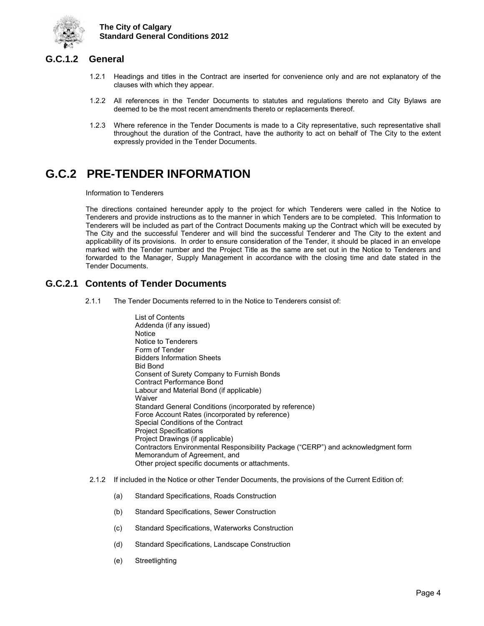

## <span id="page-7-0"></span>**G.C.1.2 General**

- 1.2.1 Headings and titles in the Contract are inserted for convenience only and are not explanatory of the clauses with which they appear.
- 1.2.2 All references in the Tender Documents to statutes and regulations thereto and City Bylaws are deemed to be the most recent amendments thereto or replacements thereof.
- 1.2.3 Where reference in the Tender Documents is made to a City representative, such representative shall throughout the duration of the Contract, have the authority to act on behalf of The City to the extent expressly provided in the Tender Documents.

## <span id="page-7-1"></span>**G.C.2 PRE-TENDER INFORMATION**

Information to Tenderers

The directions contained hereunder apply to the project for which Tenderers were called in the Notice to Tenderers and provide instructions as to the manner in which Tenders are to be completed. This Information to Tenderers will be included as part of the Contract Documents making up the Contract which will be executed by The City and the successful Tenderer and will bind the successful Tenderer and The City to the extent and applicability of its provisions. In order to ensure consideration of the Tender, it should be placed in an envelope marked with the Tender number and the Project Title as the same are set out in the Notice to Tenderers and forwarded to the Manager, Supply Management in accordance with the closing time and date stated in the Tender Documents.

## <span id="page-7-2"></span>**G.C.2.1 Contents of Tender Documents**

2.1.1 The Tender Documents referred to in the Notice to Tenderers consist of:

List of Contents Addenda (if any issued) **Notice** Notice to Tenderers Form of Tender Bidders Information Sheets Bid Bond Consent of Surety Company to Furnish Bonds Contract Performance Bond Labour and Material Bond (if applicable) **Waiver** Standard General Conditions (incorporated by reference) Force Account Rates (incorporated by reference) Special Conditions of the Contract Project Specifications Project Drawings (if applicable) Contractors Environmental Responsibility Package ("CERP") and acknowledgment form Memorandum of Agreement, and Other project specific documents or attachments.

- 2.1.2 If included in the Notice or other Tender Documents, the provisions of the Current Edition of:
	- (a) Standard Specifications, Roads Construction
	- (b) Standard Specifications, Sewer Construction
	- (c) Standard Specifications, Waterworks Construction
	- (d) Standard Specifications, Landscape Construction
	- (e) Streetlighting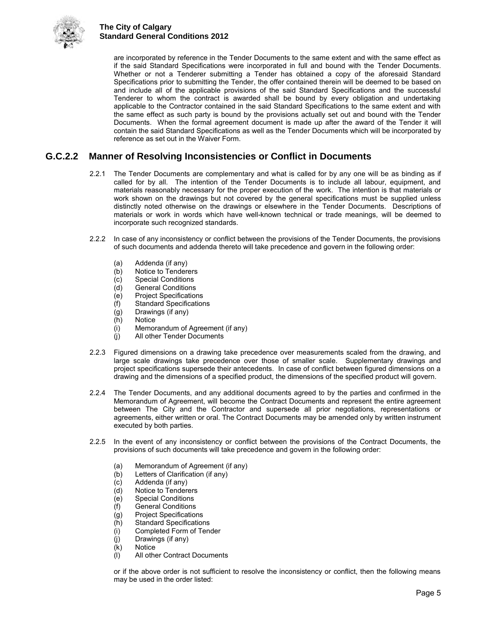

are incorporated by reference in the Tender Documents to the same extent and with the same effect as if the said Standard Specifications were incorporated in full and bound with the Tender Documents. Whether or not a Tenderer submitting a Tender has obtained a copy of the aforesaid Standard Specifications prior to submitting the Tender, the offer contained therein will be deemed to be based on and include all of the applicable provisions of the said Standard Specifications and the successful Tenderer to whom the contract is awarded shall be bound by every obligation and undertaking applicable to the Contractor contained in the said Standard Specifications to the same extent and with the same effect as such party is bound by the provisions actually set out and bound with the Tender Documents. When the formal agreement document is made up after the award of the Tender it will contain the said Standard Specifications as well as the Tender Documents which will be incorporated by reference as set out in the Waiver Form.

## <span id="page-8-0"></span>**G.C.2.2 Manner of Resolving Inconsistencies or Conflict in Documents**

- 2.2.1 The Tender Documents are complementary and what is called for by any one will be as binding as if called for by all. The intention of the Tender Documents is to include all labour, equipment, and materials reasonably necessary for the proper execution of the work. The intention is that materials or work shown on the drawings but not covered by the general specifications must be supplied unless distinctly noted otherwise on the drawings or elsewhere in the Tender Documents. Descriptions of materials or work in words which have well-known technical or trade meanings, will be deemed to incorporate such recognized standards.
- 2.2.2 In case of any inconsistency or conflict between the provisions of the Tender Documents, the provisions of such documents and addenda thereto will take precedence and govern in the following order:
	- (a) Addenda (if any)<br>(b) Notice to Tender
	- Notice to Tenderers
	- (c) Special Conditions
	- (d) General Conditions
	- (e) Project Specifications
	- (f) Standard Specifications
	- (g) Drawings (if any)
	- (h) Notice
	- (i) Memorandum of Agreement (if any)
	- (j) All other Tender Documents
- 2.2.3 Figured dimensions on a drawing take precedence over measurements scaled from the drawing, and large scale drawings take precedence over those of smaller scale. Supplementary drawings and project specifications supersede their antecedents. In case of conflict between figured dimensions on a drawing and the dimensions of a specified product, the dimensions of the specified product will govern.
- 2.2.4 The Tender Documents, and any additional documents agreed to by the parties and confirmed in the Memorandum of Agreement, will become the Contract Documents and represent the entire agreement between The City and the Contractor and supersede all prior negotiations, representations or agreements, either written or oral. The Contract Documents may be amended only by written instrument executed by both parties.
- 2.2.5 In the event of any inconsistency or conflict between the provisions of the Contract Documents, the provisions of such documents will take precedence and govern in the following order:
	- (a) Memorandum of Agreement (if any)<br>(b) Letters of Clarification (if any)
	- (b) Letters of Clarification (if any)<br>(c) Addenda (if any)
	-
	- (c) Addenda (if any)<br>(d) Notice to Tendere Notice to Tenderers
	- (e) Special Conditions
	- (f) General Conditions
	- (g) Project Specifications
	- (h) Standard Specifications<br>(i) Completed Form of Tene
	- Completed Form of Tender
	- (j) Drawings (if any)
	- (k) Notice<br>(l) All other
	- All other Contract Documents

or if the above order is not sufficient to resolve the inconsistency or conflict, then the following means may be used in the order listed: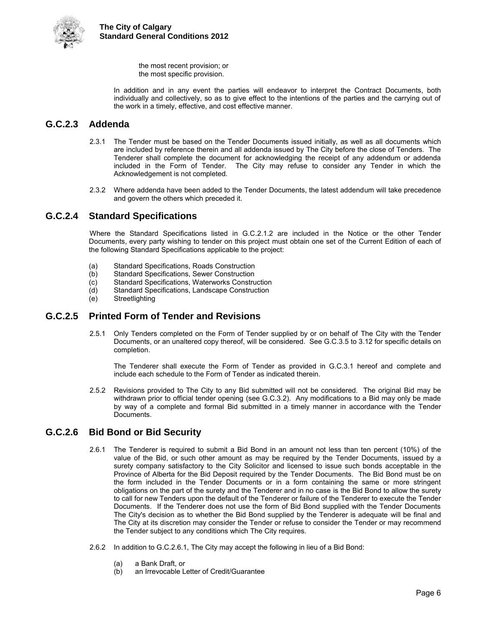

 the most recent provision; or the most specific provision.

 In addition and in any event the parties will endeavor to interpret the Contract Documents, both individually and collectively, so as to give effect to the intentions of the parties and the carrying out of the work in a timely, effective, and cost effective manner.

## <span id="page-9-0"></span>**G.C.2.3 Addenda**

- 2.3.1 The Tender must be based on the Tender Documents issued initially, as well as all documents which are included by reference therein and all addenda issued by The City before the close of Tenders. The Tenderer shall complete the document for acknowledging the receipt of any addendum or addenda included in the Form of Tender. The City may refuse to consider any Tender in which the Acknowledgement is not completed.
- 2.3.2 Where addenda have been added to the Tender Documents, the latest addendum will take precedence and govern the others which preceded it.

## <span id="page-9-1"></span>**G.C.2.4 Standard Specifications**

Where the Standard Specifications listed in G.C.2.1.2 are included in the Notice or the other Tender Documents, every party wishing to tender on this project must obtain one set of the Current Edition of each of the following Standard Specifications applicable to the project:

- (a) Standard Specifications, Roads Construction<br>(b) Standard Specifications, Sewer Construction
- (b) Standard Specifications, Sewer Construction<br>
(c) Standard Specifications, Waterworks Constru
- (c) Standard Specifications, Waterworks Construction
- Standard Specifications, Landscape Construction
- (e) Streetlighting

## <span id="page-9-2"></span>**G.C.2.5 Printed Form of Tender and Revisions**

2.5.1 Only Tenders completed on the Form of Tender supplied by or on behalf of The City with the Tender Documents, or an unaltered copy thereof, will be considered. See G.C.3.5 to 3.12 for specific details on completion.

 The Tenderer shall execute the Form of Tender as provided in G.C.3.1 hereof and complete and include each schedule to the Form of Tender as indicated therein.

2.5.2 Revisions provided to The City to any Bid submitted will not be considered. The original Bid may be withdrawn prior to official tender opening (see G.C.3.2). Any modifications to a Bid may only be made by way of a complete and formal Bid submitted in a timely manner in accordance with the Tender Documents.

## <span id="page-9-3"></span>**G.C.2.6 Bid Bond or Bid Security**

- 2.6.1 The Tenderer is required to submit a Bid Bond in an amount not less than ten percent (10%) of the value of the Bid, or such other amount as may be required by the Tender Documents, issued by a surety company satisfactory to the City Solicitor and licensed to issue such bonds acceptable in the Province of Alberta for the Bid Deposit required by the Tender Documents. The Bid Bond must be on the form included in the Tender Documents or in a form containing the same or more stringent obligations on the part of the surety and the Tenderer and in no case is the Bid Bond to allow the surety to call for new Tenders upon the default of the Tenderer or failure of the Tenderer to execute the Tender Documents. If the Tenderer does not use the form of Bid Bond supplied with the Tender Documents The City's decision as to whether the Bid Bond supplied by the Tenderer is adequate will be final and The City at its discretion may consider the Tender or refuse to consider the Tender or may recommend the Tender subject to any conditions which The City requires.
- 2.6.2 In addition to G.C.2.6.1, The City may accept the following in lieu of a Bid Bond:
	- (a) a Bank Draft, or
	- (b) an Irrevocable Letter of Credit/Guarantee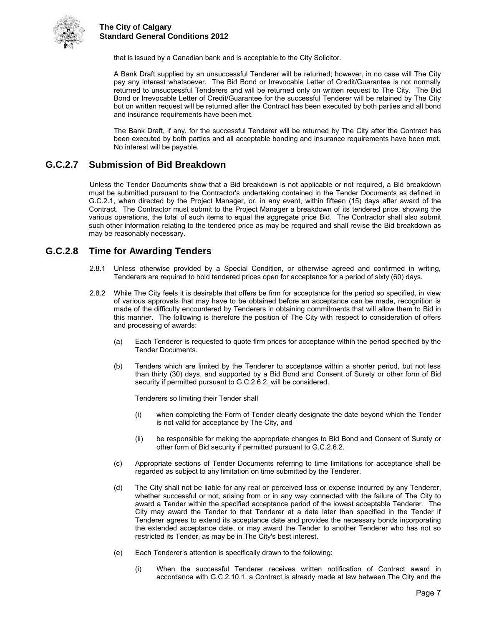

that is issued by a Canadian bank and is acceptable to the City Solicitor.

 A Bank Draft supplied by an unsuccessful Tenderer will be returned; however, in no case will The City pay any interest whatsoever. The Bid Bond or Irrevocable Letter of Credit/Guarantee is not normally returned to unsuccessful Tenderers and will be returned only on written request to The City. The Bid Bond or Irrevocable Letter of Credit/Guarantee for the successful Tenderer will be retained by The City but on written request will be returned after the Contract has been executed by both parties and all bond and insurance requirements have been met.

 The Bank Draft, if any, for the successful Tenderer will be returned by The City after the Contract has been executed by both parties and all acceptable bonding and insurance requirements have been met. No interest will be payable.

## <span id="page-10-0"></span>**G.C.2.7 Submission of Bid Breakdown**

Unless the Tender Documents show that a Bid breakdown is not applicable or not required, a Bid breakdown must be submitted pursuant to the Contractor's undertaking contained in the Tender Documents as defined in G.C.2.1, when directed by the Project Manager, or, in any event, within fifteen (15) days after award of the Contract. The Contractor must submit to the Project Manager a breakdown of its tendered price, showing the various operations, the total of such items to equal the aggregate price Bid. The Contractor shall also submit such other information relating to the tendered price as may be required and shall revise the Bid breakdown as may be reasonably necessary.

### <span id="page-10-1"></span>**G.C.2.8 Time for Awarding Tenders**

- 2.8.1 Unless otherwise provided by a Special Condition, or otherwise agreed and confirmed in writing, Tenderers are required to hold tendered prices open for acceptance for a period of sixty (60) days.
- 2.8.2 While The City feels it is desirable that offers be firm for acceptance for the period so specified, in view of various approvals that may have to be obtained before an acceptance can be made, recognition is made of the difficulty encountered by Tenderers in obtaining commitments that will allow them to Bid in this manner. The following is therefore the position of The City with respect to consideration of offers and processing of awards:
	- (a) Each Tenderer is requested to quote firm prices for acceptance within the period specified by the Tender Documents.
	- (b) Tenders which are limited by the Tenderer to acceptance within a shorter period, but not less than thirty (30) days, and supported by a Bid Bond and Consent of Surety or other form of Bid security if permitted pursuant to G.C.2.6.2, will be considered.

Tenderers so limiting their Tender shall

- (i) when completing the Form of Tender clearly designate the date beyond which the Tender is not valid for acceptance by The City, and
- (ii) be responsible for making the appropriate changes to Bid Bond and Consent of Surety or other form of Bid security if permitted pursuant to G.C.2.6.2.
- (c) Appropriate sections of Tender Documents referring to time limitations for acceptance shall be regarded as subject to any limitation on time submitted by the Tenderer.
- (d) The City shall not be liable for any real or perceived loss or expense incurred by any Tenderer, whether successful or not, arising from or in any way connected with the failure of The City to award a Tender within the specified acceptance period of the lowest acceptable Tenderer. The City may award the Tender to that Tenderer at a date later than specified in the Tender if Tenderer agrees to extend its acceptance date and provides the necessary bonds incorporating the extended acceptance date, or may award the Tender to another Tenderer who has not so restricted its Tender, as may be in The City's best interest.
- (e) Each Tenderer's attention is specifically drawn to the following:
	- (i) When the successful Tenderer receives written notification of Contract award in accordance with G.C.2.10.1, a Contract is already made at law between The City and the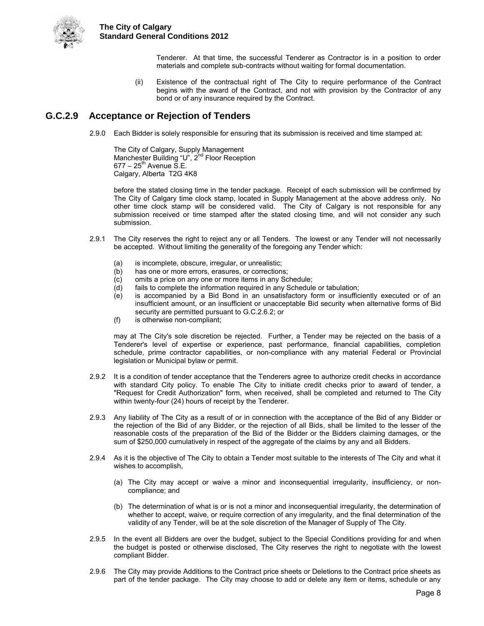

> Tenderer. At that time, the successful Tenderer as Contractor is in a position to order materials and complete sub-contracts without waiting for formal documentation.

(ii) Existence of the contractual right of The City to require performance of the Contract begins with the award of the Contract, and not with provision by the Contractor of any bond or of any insurance required by the Contract.

## <span id="page-11-0"></span>**G.C.2.9 Acceptance or Rejection of Tenders**

2.9.0 Each Bidder is solely responsible for ensuring that its submission is received and time stamped at:

The City of Calgary, Supply Management Manchester Building "U", 2<sup>nd</sup> Floor Reception  $677 - 25^{th}$  Avenue S.E. Calgary, Alberta T2G 4K8

before the stated closing time in the tender package. Receipt of each submission will be confirmed by The City of Calgary time clock stamp, located in Supply Management at the above address only. No other time clock stamp will be considered valid. The City of Calgary is not responsible for any submission received or time stamped after the stated closing time, and will not consider any such submission.

- 2.9.1 The City reserves the right to reject any or all Tenders. The lowest or any Tender will not necessarily be accepted. Without limiting the generality of the foregoing any Tender which:
	- (a) is incomplete, obscure, irregular, or unrealistic;
	- (b) has one or more errors, erasures, or corrections;
	- (c) omits a price on any one or more items in any Schedule;
	- (d) fails to complete the information required in any Schedule or tabulation;
	- (e) is accompanied by a Bid Bond in an unsatisfactory form or insufficiently executed or of an insufficient amount, or an insufficient or unacceptable Bid security when alternative forms of Bid security are permitted pursuant to G.C.2.6.2; or
	- (f) is otherwise non-compliant;

may at The City's sole discretion be rejected. Further, a Tender may be rejected on the basis of a Tenderer's level of expertise or experience, past performance, financial capabilities, completion schedule, prime contractor capabilities, or non-compliance with any material Federal or Provincial legislation or Municipal bylaw or permit.

- 2.9.2 It is a condition of tender acceptance that the Tenderers agree to authorize credit checks in accordance with standard City policy. To enable The City to initiate credit checks prior to award of tender, a "Request for Credit Authorization" form, when received, shall be completed and returned to The City within twenty-four (24) hours of receipt by the Tenderer.
- 2.9.3 Any liability of The City as a result of or in connection with the acceptance of the Bid of any Bidder or the rejection of the Bid of any Bidder, or the rejection of all Bids, shall be limited to the lesser of the reasonable costs of the preparation of the Bid of the Bidder or the Bidders claiming damages, or the sum of \$250,000 cumulatively in respect of the aggregate of the claims by any and all Bidders.
- 2.9.4 As it is the objective of The City to obtain a Tender most suitable to the interests of The City and what it wishes to accomplish,
	- (a) The City may accept or waive a minor and inconsequential irregularity, insufficiency, or noncompliance; and
	- (b) The determination of what is or is not a minor and inconsequential irregularity, the determination of whether to accept, waive, or require correction of any irregularity, and the final determination of the validity of any Tender, will be at the sole discretion of the Manager of Supply of The City.
- 2.9.5 In the event all Bidders are over the budget, subject to the Special Conditions providing for and when the budget is posted or otherwise disclosed, The City reserves the right to negotiate with the lowest compliant Bidder.
- 2.9.6 The City may provide Additions to the Contract price sheets or Deletions to the Contract price sheets as part of the tender package. The City may choose to add or delete any item or items, schedule or any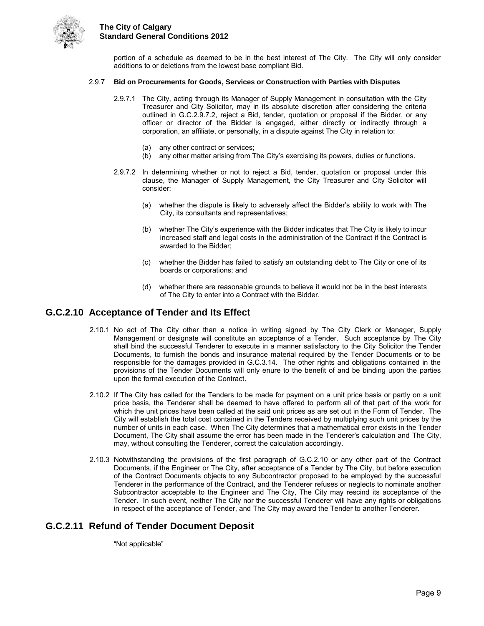

portion of a schedule as deemed to be in the best interest of The City. The City will only consider additions to or deletions from the lowest base compliant Bid.

#### 2.9.7 **Bid on Procurements for Goods, Services or Construction with Parties with Disputes**

- 2.9.7.1 The City, acting through its Manager of Supply Management in consultation with the City Treasurer and City Solicitor, may in its absolute discretion after considering the criteria outlined in G.C.2.9.7.2, reject a Bid, tender, quotation or proposal if the Bidder, or any officer or director of the Bidder is engaged, either directly or indirectly through a corporation, an affiliate, or personally, in a dispute against The City in relation to:
	- (a) any other contract or services;
	- (b) any other matter arising from The City's exercising its powers, duties or functions.
- 2.9.7.2 In determining whether or not to reject a Bid, tender, quotation or proposal under this clause, the Manager of Supply Management, the City Treasurer and City Solicitor will consider:
	- (a) whether the dispute is likely to adversely affect the Bidder's ability to work with The City, its consultants and representatives;
	- (b) whether The City's experience with the Bidder indicates that The City is likely to incur increased staff and legal costs in the administration of the Contract if the Contract is awarded to the Bidder;
	- (c) whether the Bidder has failed to satisfy an outstanding debt to The City or one of its boards or corporations; and
	- (d) whether there are reasonable grounds to believe it would not be in the best interests of The City to enter into a Contract with the Bidder.

### <span id="page-12-0"></span>**G.C.2.10 Acceptance of Tender and Its Effect**

- 2.10.1 No act of The City other than a notice in writing signed by The City Clerk or Manager, Supply Management or designate will constitute an acceptance of a Tender. Such acceptance by The City shall bind the successful Tenderer to execute in a manner satisfactory to the City Solicitor the Tender Documents, to furnish the bonds and insurance material required by the Tender Documents or to be responsible for the damages provided in G.C.3.14. The other rights and obligations contained in the provisions of the Tender Documents will only enure to the benefit of and be binding upon the parties upon the formal execution of the Contract.
- 2.10.2 If The City has called for the Tenders to be made for payment on a unit price basis or partly on a unit price basis, the Tenderer shall be deemed to have offered to perform all of that part of the work for which the unit prices have been called at the said unit prices as are set out in the Form of Tender. The City will establish the total cost contained in the Tenders received by multiplying such unit prices by the number of units in each case. When The City determines that a mathematical error exists in the Tender Document, The City shall assume the error has been made in the Tenderer's calculation and The City, may, without consulting the Tenderer, correct the calculation accordingly.
- 2.10.3 Notwithstanding the provisions of the first paragraph of G.C.2.10 or any other part of the Contract Documents, if the Engineer or The City, after acceptance of a Tender by The City, but before execution of the Contract Documents objects to any Subcontractor proposed to be employed by the successful Tenderer in the performance of the Contract, and the Tenderer refuses or neglects to nominate another Subcontractor acceptable to the Engineer and The City, The City may rescind its acceptance of the Tender. In such event, neither The City nor the successful Tenderer will have any rights or obligations in respect of the acceptance of Tender, and The City may award the Tender to another Tenderer.

### <span id="page-12-1"></span>**G.C.2.11 Refund of Tender Document Deposit**

"Not applicable"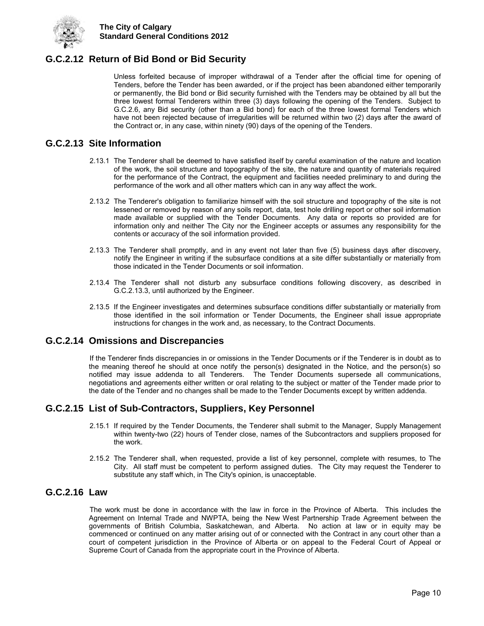

## <span id="page-13-0"></span>**G.C.2.12 Return of Bid Bond or Bid Security**

Unless forfeited because of improper withdrawal of a Tender after the official time for opening of Tenders, before the Tender has been awarded, or if the project has been abandoned either temporarily or permanently, the Bid bond or Bid security furnished with the Tenders may be obtained by all but the three lowest formal Tenderers within three (3) days following the opening of the Tenders. Subject to G.C.2.6, any Bid security (other than a Bid bond) for each of the three lowest formal Tenders which have not been rejected because of irregularities will be returned within two (2) days after the award of the Contract or, in any case, within ninety (90) days of the opening of the Tenders.

### <span id="page-13-1"></span>**G.C.2.13 Site Information**

- 2.13.1 The Tenderer shall be deemed to have satisfied itself by careful examination of the nature and location of the work, the soil structure and topography of the site, the nature and quantity of materials required for the performance of the Contract, the equipment and facilities needed preliminary to and during the performance of the work and all other matters which can in any way affect the work.
- 2.13.2 The Tenderer's obligation to familiarize himself with the soil structure and topography of the site is not lessened or removed by reason of any soils report, data, test hole drilling report or other soil information made available or supplied with the Tender Documents. Any data or reports so provided are for information only and neither The City nor the Engineer accepts or assumes any responsibility for the contents or accuracy of the soil information provided.
- 2.13.3 The Tenderer shall promptly, and in any event not later than five (5) business days after discovery, notify the Engineer in writing if the subsurface conditions at a site differ substantially or materially from those indicated in the Tender Documents or soil information.
- 2.13.4 The Tenderer shall not disturb any subsurface conditions following discovery, as described in G.C.2.13.3, until authorized by the Engineer.
- 2.13.5 If the Engineer investigates and determines subsurface conditions differ substantially or materially from those identified in the soil information or Tender Documents, the Engineer shall issue appropriate instructions for changes in the work and, as necessary, to the Contract Documents.

### <span id="page-13-2"></span>**G.C.2.14 Omissions and Discrepancies**

If the Tenderer finds discrepancies in or omissions in the Tender Documents or if the Tenderer is in doubt as to the meaning thereof he should at once notify the person(s) designated in the Notice, and the person(s) so notified may issue addenda to all Tenderers. The Tender Documents supersede all communications, negotiations and agreements either written or oral relating to the subject or matter of the Tender made prior to the date of the Tender and no changes shall be made to the Tender Documents except by written addenda.

## <span id="page-13-3"></span>**G.C.2.15 List of Sub-Contractors, Suppliers, Key Personnel**

- 2.15.1 If required by the Tender Documents, the Tenderer shall submit to the Manager, Supply Management within twenty-two (22) hours of Tender close, names of the Subcontractors and suppliers proposed for the work.
- 2.15.2 The Tenderer shall, when requested, provide a list of key personnel, complete with resumes, to The City. All staff must be competent to perform assigned duties. The City may request the Tenderer to substitute any staff which, in The City's opinion, is unacceptable.

## <span id="page-13-4"></span>**G.C.2.16 Law**

<span id="page-13-5"></span>The work must be done in accordance with the law in force in the Province of Alberta. This includes the Agreement on Internal Trade and NWPTA, being the New West Partnership Trade Agreement between the governments of British Columbia, Saskatchewan, and Alberta. No action at law or in equity may be commenced or continued on any matter arising out of or connected with the Contract in any court other than a court of competent jurisdiction in the Province of Alberta or on appeal to the Federal Court of Appeal or Supreme Court of Canada from the appropriate court in the Province of Alberta.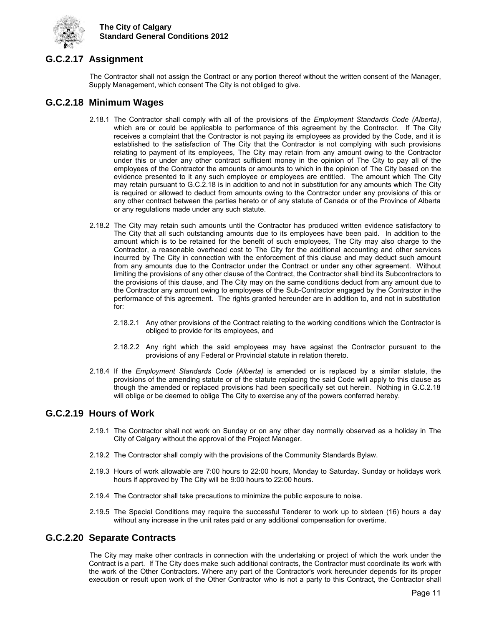

## **G.C.2.17 Assignment**

The Contractor shall not assign the Contract or any portion thereof without the written consent of the Manager, Supply Management, which consent The City is not obliged to give.

### <span id="page-14-0"></span>**G.C.2.18 Minimum Wages**

- 2.18.1 The Contractor shall comply with all of the provisions of the *Employment Standards Code (Alberta)*, which are or could be applicable to performance of this agreement by the Contractor. If The City receives a complaint that the Contractor is not paying its employees as provided by the Code, and it is established to the satisfaction of The City that the Contractor is not complying with such provisions relating to payment of its employees, The City may retain from any amount owing to the Contractor under this or under any other contract sufficient money in the opinion of The City to pay all of the employees of the Contractor the amounts or amounts to which in the opinion of The City based on the evidence presented to it any such employee or employees are entitled. The amount which The City may retain pursuant to G.C.2.18 is in addition to and not in substitution for any amounts which The City is required or allowed to deduct from amounts owing to the Contractor under any provisions of this or any other contract between the parties hereto or of any statute of Canada or of the Province of Alberta or any regulations made under any such statute.
- 2.18.2 The City may retain such amounts until the Contractor has produced written evidence satisfactory to The City that all such outstanding amounts due to its employees have been paid. In addition to the amount which is to be retained for the benefit of such employees, The City may also charge to the Contractor, a reasonable overhead cost to The City for the additional accounting and other services incurred by The City in connection with the enforcement of this clause and may deduct such amount from any amounts due to the Contractor under the Contract or under any other agreement. Without limiting the provisions of any other clause of the Contract, the Contractor shall bind its Subcontractors to the provisions of this clause, and The City may on the same conditions deduct from any amount due to the Contractor any amount owing to employees of the Sub-Contractor engaged by the Contractor in the performance of this agreement. The rights granted hereunder are in addition to, and not in substitution for:
	- 2.18.2.1 Any other provisions of the Contract relating to the working conditions which the Contractor is obliged to provide for its employees, and
	- 2.18.2.2 Any right which the said employees may have against the Contractor pursuant to the provisions of any Federal or Provincial statute in relation thereto.
- 2.18.4 If the *Employment Standards Code (Alberta)* is amended or is replaced by a similar statute, the provisions of the amending statute or of the statute replacing the said Code will apply to this clause as though the amended or replaced provisions had been specifically set out herein. Nothing in G.C.2.18 will oblige or be deemed to oblige The City to exercise any of the powers conferred hereby.

### <span id="page-14-1"></span>**G.C.2.19 Hours of Work**

- 2.19.1 The Contractor shall not work on Sunday or on any other day normally observed as a holiday in The City of Calgary without the approval of the Project Manager.
- 2.19.2 The Contractor shall comply with the provisions of the Community Standards Bylaw.
- 2.19.3 Hours of work allowable are 7:00 hours to 22:00 hours, Monday to Saturday. Sunday or holidays work hours if approved by The City will be 9:00 hours to 22:00 hours.
- 2.19.4 The Contractor shall take precautions to minimize the public exposure to noise.
- 2.19.5 The Special Conditions may require the successful Tenderer to work up to sixteen (16) hours a day without any increase in the unit rates paid or any additional compensation for overtime.

## <span id="page-14-2"></span>**G.C.2.20 Separate Contracts**

The City may make other contracts in connection with the undertaking or project of which the work under the Contract is a part. If The City does make such additional contracts, the Contractor must coordinate its work with the work of the Other Contractors. Where any part of the Contractor's work hereunder depends for its proper execution or result upon work of the Other Contractor who is not a party to this Contract, the Contractor shall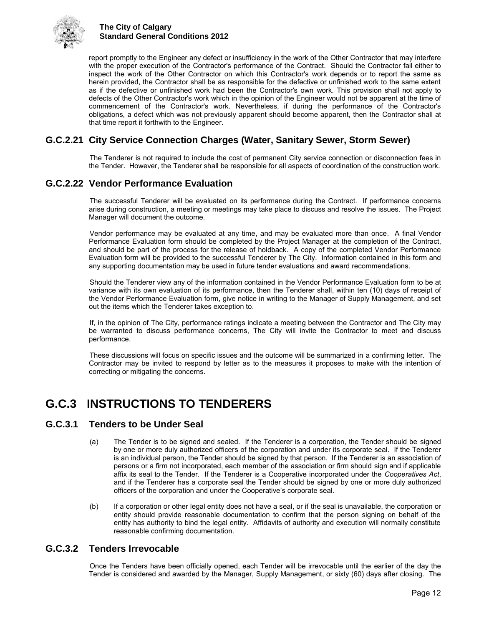

report promptly to the Engineer any defect or insufficiency in the work of the Other Contractor that may interfere with the proper execution of the Contractor's performance of the Contract. Should the Contractor fail either to inspect the work of the Other Contractor on which this Contractor's work depends or to report the same as herein provided, the Contractor shall be as responsible for the defective or unfinished work to the same extent as if the defective or unfinished work had been the Contractor's own work. This provision shall not apply to defects of the Other Contractor's work which in the opinion of the Engineer would not be apparent at the time of commencement of the Contractor's work. Nevertheless, if during the performance of the Contractor's obligations, a defect which was not previously apparent should become apparent, then the Contractor shall at that time report it forthwith to the Engineer.

## <span id="page-15-0"></span>**G.C.2.21 City Service Connection Charges (Water, Sanitary Sewer, Storm Sewer)**

The Tenderer is not required to include the cost of permanent City service connection or disconnection fees in the Tender. However, the Tenderer shall be responsible for all aspects of coordination of the construction work.

## <span id="page-15-1"></span>**G.C.2.22 Vendor Performance Evaluation**

The successful Tenderer will be evaluated on its performance during the Contract. If performance concerns arise during construction, a meeting or meetings may take place to discuss and resolve the issues. The Project Manager will document the outcome.

Vendor performance may be evaluated at any time, and may be evaluated more than once. A final Vendor Performance Evaluation form should be completed by the Project Manager at the completion of the Contract, and should be part of the process for the release of holdback. A copy of the completed Vendor Performance Evaluation form will be provided to the successful Tenderer by The City. Information contained in this form and any supporting documentation may be used in future tender evaluations and award recommendations.

Should the Tenderer view any of the information contained in the Vendor Performance Evaluation form to be at variance with its own evaluation of its performance, then the Tenderer shall, within ten (10) days of receipt of the Vendor Performance Evaluation form, give notice in writing to the Manager of Supply Management, and set out the items which the Tenderer takes exception to.

If, in the opinion of The City, performance ratings indicate a meeting between the Contractor and The City may be warranted to discuss performance concerns, The City will invite the Contractor to meet and discuss performance.

These discussions will focus on specific issues and the outcome will be summarized in a confirming letter. The Contractor may be invited to respond by letter as to the measures it proposes to make with the intention of correcting or mitigating the concerns.

## <span id="page-15-2"></span>**G.C.3 INSTRUCTIONS TO TENDERERS**

### <span id="page-15-3"></span>**G.C.3.1 Tenders to be Under Seal**

- (a) The Tender is to be signed and sealed. If the Tenderer is a corporation, the Tender should be signed by one or more duly authorized officers of the corporation and under its corporate seal. If the Tenderer is an individual person, the Tender should be signed by that person. If the Tenderer is an association of persons or a firm not incorporated, each member of the association or firm should sign and if applicable affix its seal to the Tender. If the Tenderer is a Cooperative incorporated under the *Cooperatives Act*, and if the Tenderer has a corporate seal the Tender should be signed by one or more duly authorized officers of the corporation and under the Cooperative's corporate seal.
- (b) If a corporation or other legal entity does not have a seal, or if the seal is unavailable, the corporation or entity should provide reasonable documentation to confirm that the person signing on behalf of the entity has authority to bind the legal entity. Affidavits of authority and execution will normally constitute reasonable confirming documentation.

## <span id="page-15-4"></span>**G.C.3.2 Tenders Irrevocable**

Once the Tenders have been officially opened, each Tender will be irrevocable until the earlier of the day the Tender is considered and awarded by the Manager, Supply Management, or sixty (60) days after closing. The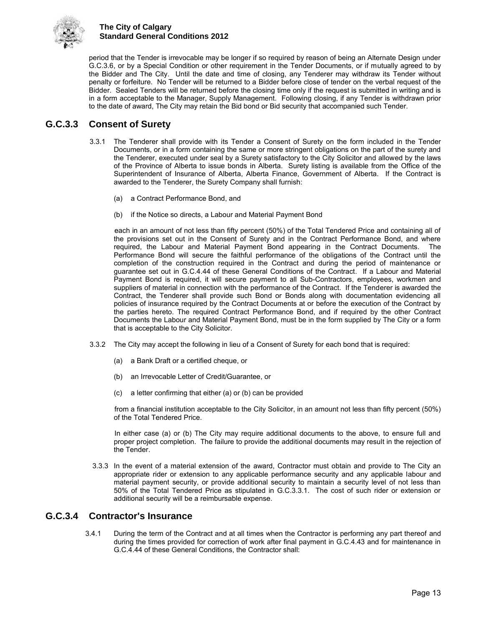

period that the Tender is irrevocable may be longer if so required by reason of being an Alternate Design under G.C.3.6, or by a Special Condition or other requirement in the Tender Documents, or if mutually agreed to by the Bidder and The City. Until the date and time of closing, any Tenderer may withdraw its Tender without penalty or forfeiture. No Tender will be returned to a Bidder before close of tender on the verbal request of the Bidder. Sealed Tenders will be returned before the closing time only if the request is submitted in writing and is in a form acceptable to the Manager, Supply Management. Following closing, if any Tender is withdrawn prior to the date of award, The City may retain the Bid bond or Bid security that accompanied such Tender.

## <span id="page-16-0"></span>**G.C.3.3 Consent of Surety**

- 3.3.1 The Tenderer shall provide with its Tender a Consent of Surety on the form included in the Tender Documents, or in a form containing the same or more stringent obligations on the part of the surety and the Tenderer, executed under seal by a Surety satisfactory to the City Solicitor and allowed by the laws of the Province of Alberta to issue bonds in Alberta. Surety listing is available from the Office of the Superintendent of Insurance of Alberta, Alberta Finance, Government of Alberta. If the Contract is awarded to the Tenderer, the Surety Company shall furnish:
	- (a) a Contract Performance Bond, and
	- (b) if the Notice so directs, a Labour and Material Payment Bond

each in an amount of not less than fifty percent (50%) of the Total Tendered Price and containing all of the provisions set out in the Consent of Surety and in the Contract Performance Bond, and where required, the Labour and Material Payment Bond appearing in the Contract Documents. The Performance Bond will secure the faithful performance of the obligations of the Contract until the completion of the construction required in the Contract and during the period of maintenance or guarantee set out in G.C.4.44 of these General Conditions of the Contract. If a Labour and Material Payment Bond is required, it will secure payment to all Sub-Contractors, employees, workmen and suppliers of material in connection with the performance of the Contract. If the Tenderer is awarded the Contract, the Tenderer shall provide such Bond or Bonds along with documentation evidencing all policies of insurance required by the Contract Documents at or before the execution of the Contract by the parties hereto. The required Contract Performance Bond, and if required by the other Contract Documents the Labour and Material Payment Bond, must be in the form supplied by The City or a form that is acceptable to the City Solicitor.

- 3.3.2 The City may accept the following in lieu of a Consent of Surety for each bond that is required:
	- (a) a Bank Draft or a certified cheque, or
	- (b) an Irrevocable Letter of Credit/Guarantee, or
	- (c) a letter confirming that either (a) or (b) can be provided

from a financial institution acceptable to the City Solicitor, in an amount not less than fifty percent (50%) of the Total Tendered Price.

In either case (a) or (b) The City may require additional documents to the above, to ensure full and proper project completion. The failure to provide the additional documents may result in the rejection of the Tender.

3.3.3 In the event of a material extension of the award, Contractor must obtain and provide to The City an appropriate rider or extension to any applicable performance security and any applicable labour and material payment security, or provide additional security to maintain a security level of not less than 50% of the Total Tendered Price as stipulated in G.C.3.3.1. The cost of such rider or extension or additional security will be a reimbursable expense.

## <span id="page-16-1"></span>**G.C.3.4 Contractor's Insurance**

3.4.1 During the term of the Contract and at all times when the Contractor is performing any part thereof and during the times provided for correction of work after final payment in G.C.4.43 and for maintenance in G.C.4.44 of these General Conditions, the Contractor shall: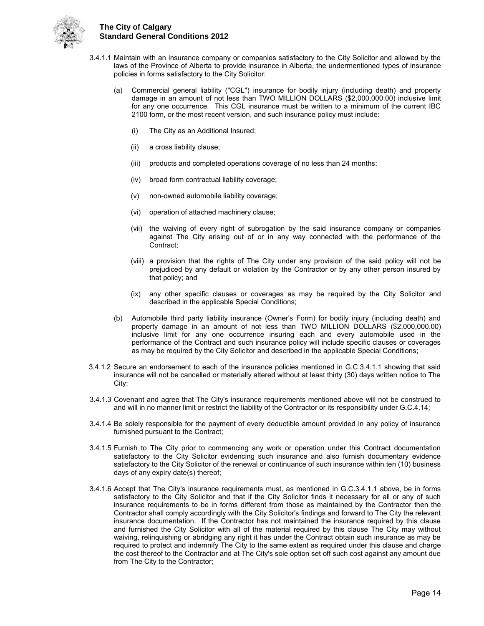

- 3.4.1.1 Maintain with an insurance company or companies satisfactory to the City Solicitor and allowed by the laws of the Province of Alberta to provide insurance in Alberta, the undermentioned types of insurance policies in forms satisfactory to the City Solicitor:
	- (a) Commercial general liability ("CGL") insurance for bodily injury (including death) and property damage in an amount of not less than TWO MILLION DOLLARS (\$2,000,000.00) inclusive limit for any one occurrence. This CGL insurance must be written to a minimum of the current IBC 2100 form, or the most recent version, and such insurance policy must include:
		- (i) The City as an Additional Insured;
		- (ii) a cross liability clause;
		- (iii) products and completed operations coverage of no less than 24 months;
		- (iv) broad form contractual liability coverage;
		- (v) non-owned automobile liability coverage;
		- (vi) operation of attached machinery clause;
		- (vii) the waiving of every right of subrogation by the said insurance company or companies against The City arising out of or in any way connected with the performance of the Contract;
		- (viii) a provision that the rights of The City under any provision of the said policy will not be prejudiced by any default or violation by the Contractor or by any other person insured by that policy; and
		- (ix) any other specific clauses or coverages as may be required by the City Solicitor and described in the applicable Special Conditions;
	- (b) Automobile third party liability insurance (Owner's Form) for bodily injury (including death) and property damage in an amount of not less than TWO MILLION DOLLARS (\$2,000,000.00) inclusive limit for any one occurrence insuring each and every automobile used in the performance of the Contract and such insurance policy will include specific clauses or coverages as may be required by the City Solicitor and described in the applicable Special Conditions;
- 3.4.1.2 Secure an endorsement to each of the insurance policies mentioned in G.C.3.4.1.1 showing that said insurance will not be cancelled or materially altered without at least thirty (30) days written notice to The City;
- 3.4.1.3 Covenant and agree that The City's insurance requirements mentioned above will not be construed to and will in no manner limit or restrict the liability of the Contractor or its responsibility under G.C.4.14;
- 3.4.1.4 Be solely responsible for the payment of every deductible amount provided in any policy of insurance furnished pursuant to the Contract;
- 3.4.1.5 Furnish to The City prior to commencing any work or operation under this Contract documentation satisfactory to the City Solicitor evidencing such insurance and also furnish documentary evidence satisfactory to the City Solicitor of the renewal or continuance of such insurance within ten (10) business days of any expiry date(s) thereof;
- 3.4.1.6 Accept that The City's insurance requirements must, as mentioned in G.C.3.4.1.1 above, be in forms satisfactory to the City Solicitor and that if the City Solicitor finds it necessary for all or any of such insurance requirements to be in forms different from those as maintained by the Contractor then the Contractor shall comply accordingly with the City Solicitor's findings and forward to The City the relevant insurance documentation. If the Contractor has not maintained the insurance required by this clause and furnished the City Solicitor with all of the material required by this clause The City may without waiving, relinquishing or abridging any right it has under the Contract obtain such insurance as may be required to protect and indemnify The City to the same extent as required under this clause and charge the cost thereof to the Contractor and at The City's sole option set off such cost against any amount due from The City to the Contractor;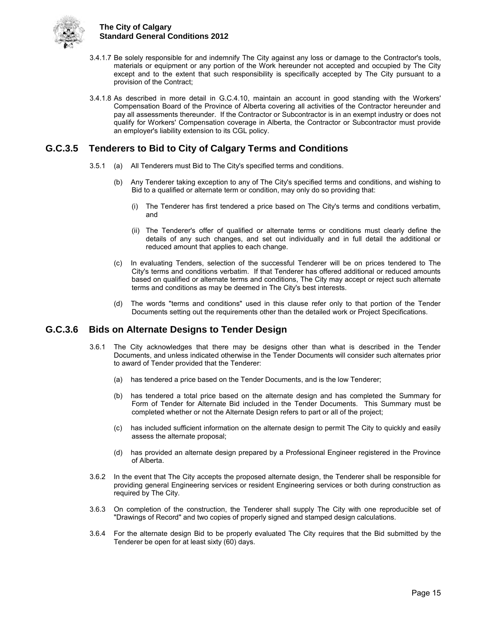

- 3.4.1.7 Be solely responsible for and indemnify The City against any loss or damage to the Contractor's tools, materials or equipment or any portion of the Work hereunder not accepted and occupied by The City except and to the extent that such responsibility is specifically accepted by The City pursuant to a provision of the Contract;
- 3.4.1.8 As described in more detail in G.C.4.10, maintain an account in good standing with the Workers' Compensation Board of the Province of Alberta covering all activities of the Contractor hereunder and pay all assessments thereunder. If the Contractor or Subcontractor is in an exempt industry or does not qualify for Workers' Compensation coverage in Alberta, the Contractor or Subcontractor must provide an employer's liability extension to its CGL policy.

## <span id="page-18-0"></span>**G.C.3.5 Tenderers to Bid to City of Calgary Terms and Conditions**

- 3.5.1 (a) All Tenderers must Bid to The City's specified terms and conditions.
	- (b) Any Tenderer taking exception to any of The City's specified terms and conditions, and wishing to Bid to a qualified or alternate term or condition, may only do so providing that:
		- (i) The Tenderer has first tendered a price based on The City's terms and conditions verbatim, and
		- (ii) The Tenderer's offer of qualified or alternate terms or conditions must clearly define the details of any such changes, and set out individually and in full detail the additional or reduced amount that applies to each change.
	- (c) In evaluating Tenders, selection of the successful Tenderer will be on prices tendered to The City's terms and conditions verbatim. If that Tenderer has offered additional or reduced amounts based on qualified or alternate terms and conditions, The City may accept or reject such alternate terms and conditions as may be deemed in The City's best interests.
	- (d) The words "terms and conditions" used in this clause refer only to that portion of the Tender Documents setting out the requirements other than the detailed work or Project Specifications.

## <span id="page-18-1"></span>**G.C.3.6 Bids on Alternate Designs to Tender Design**

- 3.6.1 The City acknowledges that there may be designs other than what is described in the Tender Documents, and unless indicated otherwise in the Tender Documents will consider such alternates prior to award of Tender provided that the Tenderer:
	- (a) has tendered a price based on the Tender Documents, and is the low Tenderer;
	- (b) has tendered a total price based on the alternate design and has completed the Summary for Form of Tender for Alternate Bid included in the Tender Documents. This Summary must be completed whether or not the Alternate Design refers to part or all of the project;
	- (c) has included sufficient information on the alternate design to permit The City to quickly and easily assess the alternate proposal;
	- (d) has provided an alternate design prepared by a Professional Engineer registered in the Province of Alberta.
- 3.6.2 In the event that The City accepts the proposed alternate design, the Tenderer shall be responsible for providing general Engineering services or resident Engineering services or both during construction as required by The City.
- 3.6.3 On completion of the construction, the Tenderer shall supply The City with one reproducible set of "Drawings of Record" and two copies of properly signed and stamped design calculations.
- <span id="page-18-2"></span>3.6.4 For the alternate design Bid to be properly evaluated The City requires that the Bid submitted by the Tenderer be open for at least sixty (60) days.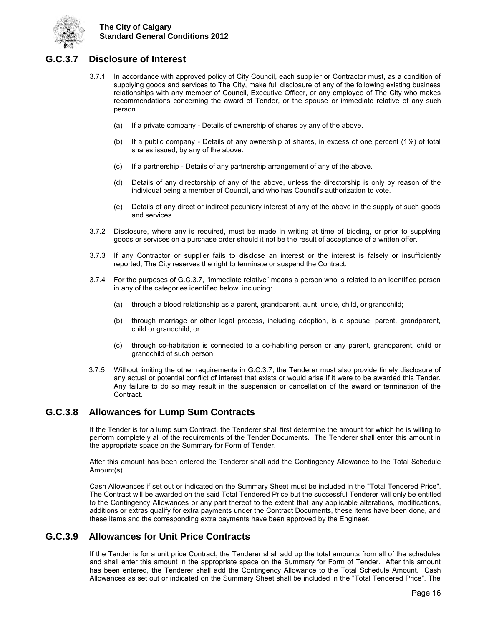

## **G.C.3.7 Disclosure of Interest**

- 3.7.1 In accordance with approved policy of City Council, each supplier or Contractor must, as a condition of supplying goods and services to The City, make full disclosure of any of the following existing business relationships with any member of Council, Executive Officer, or any employee of The City who makes recommendations concerning the award of Tender, or the spouse or immediate relative of any such person.
	- (a) If a private company Details of ownership of shares by any of the above.
	- (b) If a public company Details of any ownership of shares, in excess of one percent (1%) of total shares issued, by any of the above.
	- (c) If a partnership Details of any partnership arrangement of any of the above.
	- (d) Details of any directorship of any of the above, unless the directorship is only by reason of the individual being a member of Council, and who has Council's authorization to vote.
	- (e) Details of any direct or indirect pecuniary interest of any of the above in the supply of such goods and services.
- 3.7.2 Disclosure, where any is required, must be made in writing at time of bidding, or prior to supplying goods or services on a purchase order should it not be the result of acceptance of a written offer.
- 3.7.3 If any Contractor or supplier fails to disclose an interest or the interest is falsely or insufficiently reported, The City reserves the right to terminate or suspend the Contract.
- 3.7.4 For the purposes of G.C.3.7, "immediate relative" means a person who is related to an identified person in any of the categories identified below, including:
	- (a) through a blood relationship as a parent, grandparent, aunt, uncle, child, or grandchild;
	- (b) through marriage or other legal process, including adoption, is a spouse, parent, grandparent, child or grandchild; or
	- (c) through co-habitation is connected to a co-habiting person or any parent, grandparent, child or grandchild of such person.
- 3.7.5 Without limiting the other requirements in G.C.3.7, the Tenderer must also provide timely disclosure of any actual or potential conflict of interest that exists or would arise if it were to be awarded this Tender. Any failure to do so may result in the suspension or cancellation of the award or termination of the Contract.

## <span id="page-19-0"></span>**G.C.3.8 Allowances for Lump Sum Contracts**

If the Tender is for a lump sum Contract, the Tenderer shall first determine the amount for which he is willing to perform completely all of the requirements of the Tender Documents. The Tenderer shall enter this amount in the appropriate space on the Summary for Form of Tender.

After this amount has been entered the Tenderer shall add the Contingency Allowance to the Total Schedule Amount(s).

Cash Allowances if set out or indicated on the Summary Sheet must be included in the "Total Tendered Price". The Contract will be awarded on the said Total Tendered Price but the successful Tenderer will only be entitled to the Contingency Allowances or any part thereof to the extent that any applicable alterations, modifications, additions or extras qualify for extra payments under the Contract Documents, these items have been done, and these items and the corresponding extra payments have been approved by the Engineer.

## <span id="page-19-1"></span>**G.C.3.9 Allowances for Unit Price Contracts**

If the Tender is for a unit price Contract, the Tenderer shall add up the total amounts from all of the schedules and shall enter this amount in the appropriate space on the Summary for Form of Tender. After this amount has been entered, the Tenderer shall add the Contingency Allowance to the Total Schedule Amount. Cash Allowances as set out or indicated on the Summary Sheet shall be included in the "Total Tendered Price". The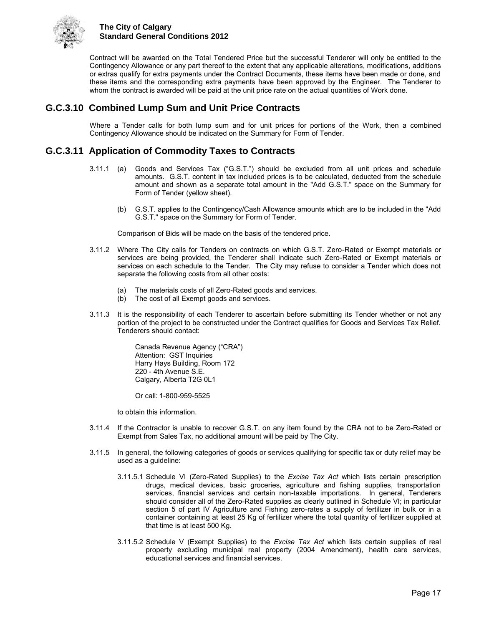

Contract will be awarded on the Total Tendered Price but the successful Tenderer will only be entitled to the Contingency Allowance or any part thereof to the extent that any applicable alterations, modifications, additions or extras qualify for extra payments under the Contract Documents, these items have been made or done, and these items and the corresponding extra payments have been approved by the Engineer. The Tenderer to whom the contract is awarded will be paid at the unit price rate on the actual quantities of Work done.

## <span id="page-20-0"></span>**G.C.3.10 Combined Lump Sum and Unit Price Contracts**

Where a Tender calls for both lump sum and for unit prices for portions of the Work, then a combined Contingency Allowance should be indicated on the Summary for Form of Tender.

## <span id="page-20-1"></span>**G.C.3.11 Application of Commodity Taxes to Contracts**

- 3.11.1 (a) Goods and Services Tax ("G.S.T.") should be excluded from all unit prices and schedule amounts. G.S.T. content in tax included prices is to be calculated, deducted from the schedule amount and shown as a separate total amount in the "Add G.S.T." space on the Summary for Form of Tender (yellow sheet).
	- (b) G.S.T. applies to the Contingency/Cash Allowance amounts which are to be included in the "Add G.S.T." space on the Summary for Form of Tender.

Comparison of Bids will be made on the basis of the tendered price.

- 3.11.2 Where The City calls for Tenders on contracts on which G.S.T. Zero-Rated or Exempt materials or services are being provided, the Tenderer shall indicate such Zero-Rated or Exempt materials or services on each schedule to the Tender. The City may refuse to consider a Tender which does not separate the following costs from all other costs:
	- (a) The materials costs of all Zero-Rated goods and services.
	- (b) The cost of all Exempt goods and services.
- 3.11.3 It is the responsibility of each Tenderer to ascertain before submitting its Tender whether or not any portion of the project to be constructed under the Contract qualifies for Goods and Services Tax Relief. Tenderers should contact:

 Canada Revenue Agency ("CRA") Attention: GST Inquiries Harry Hays Building, Room 172 220 - 4th Avenue S.E. Calgary, Alberta T2G 0L1

Or call: 1-800-959-5525

to obtain this information.

- 3.11.4 If the Contractor is unable to recover G.S.T. on any item found by the CRA not to be Zero-Rated or Exempt from Sales Tax, no additional amount will be paid by The City.
- 3.11.5 In general, the following categories of goods or services qualifying for specific tax or duty relief may be used as a guideline:
	- 3.11.5.1 Schedule VI (Zero-Rated Supplies) to the *Excise Tax Act* which lists certain prescription drugs, medical devices, basic groceries, agriculture and fishing supplies, transportation services, financial services and certain non-taxable importations. In general, Tenderers should consider all of the Zero-Rated supplies as clearly outlined in Schedule VI; in particular section 5 of part IV Agriculture and Fishing zero-rates a supply of fertilizer in bulk or in a container containing at least 25 Kg of fertilizer where the total quantity of fertilizer supplied at that time is at least 500 Kg.
	- 3.11.5.2 Schedule V (Exempt Supplies) to the *Excise Tax Act* which lists certain supplies of real property excluding municipal real property (2004 Amendment), health care services, educational services and financial services.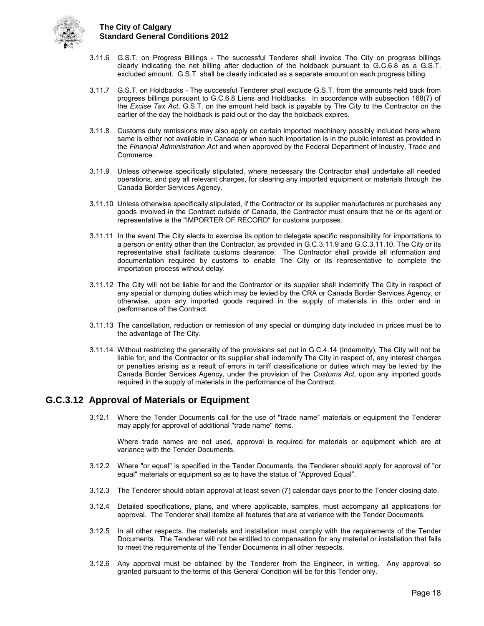

- 3.11.6 G.S.T. on Progress Billings The successful Tenderer shall invoice The City on progress billings clearly indicating the net billing after deduction of the holdback pursuant to G.C.6.8 as a G.S.T. excluded amount. G.S.T. shall be clearly indicated as a separate amount on each progress billing.
- 3.11.7 G.S.T. on Holdbacks The successful Tenderer shall exclude G.S.T. from the amounts held back from progress billings pursuant to G.C.6.8 Liens and Holdbacks. In accordance with subsection 168(7) of the *Excise Tax Act*, G.S.T. on the amount held back is payable by The City to the Contractor on the earlier of the day the holdback is paid out or the day the holdback expires.
- 3.11.8 Customs duty remissions may also apply on certain imported machinery possibly included here where same is either not available in Canada or when such importation is in the public interest as provided in the *Financial Administration Act* and when approved by the Federal Department of Industry, Trade and Commerce.
- 3.11.9 Unless otherwise specifically stipulated, where necessary the Contractor shall undertake all needed operations, and pay all relevant charges, for clearing any imported equipment or materials through the Canada Border Services Agency.
- 3.11.10 Unless otherwise specifically stipulated, if the Contractor or its supplier manufactures or purchases any goods involved in the Contract outside of Canada, the Contractor must ensure that he or its agent or representative is the "IMPORTER OF RECORD" for customs purposes.
- 3.11.11 In the event The City elects to exercise its option to delegate specific responsibility for importations to a person or entity other than the Contractor, as provided in G.C.3.11.9 and G.C.3.11.10, The City or its representative shall facilitate customs clearance. The Contractor shall provide all information and documentation required by customs to enable The City or its representative to complete the importation process without delay.
- 3.11.12 The City will not be liable for and the Contractor or its supplier shall indemnify The City in respect of any special or dumping duties which may be levied by the CRA or Canada Border Services Agency, or otherwise, upon any imported goods required in the supply of materials in this order and in performance of the Contract.
- 3.11.13 The cancellation, reduction or remission of any special or dumping duty included in prices must be to the advantage of The City.
- 3.11.14 Without restricting the generality of the provisions set out in G.C.4.14 (Indemnity), The City will not be liable for, and the Contractor or its supplier shall indemnify The City in respect of, any interest charges or penalties arising as a result of errors in tariff classifications or duties which may be levied by the Canada Border Services Agency, under the provision of the *Customs Act*, upon any imported goods required in the supply of materials in the performance of the Contract.

## <span id="page-21-0"></span>**G.C.3.12 Approval of Materials or Equipment**

3.12.1 Where the Tender Documents call for the use of "trade name" materials or equipment the Tenderer may apply for approval of additional "trade name" items.

Where trade names are not used, approval is required for materials or equipment which are at variance with the Tender Documents.

- 3.12.2 Where "or equal" is specified in the Tender Documents, the Tenderer should apply for approval of "or equal" materials or equipment so as to have the status of "Approved Equal".
- 3.12.3 The Tenderer should obtain approval at least seven (7) calendar days prior to the Tender closing date.
- 3.12.4 Detailed specifications, plans, and where applicable, samples, must accompany all applications for approval. The Tenderer shall itemize all features that are at variance with the Tender Documents.
- 3.12.5 In all other respects, the materials and installation must comply with the requirements of the Tender Documents. The Tenderer will not be entitled to compensation for any material or installation that fails to meet the requirements of the Tender Documents in all other respects.
- 3.12.6 Any approval must be obtained by the Tenderer from the Engineer, in writing. Any approval so granted pursuant to the terms of this General Condition will be for this Tender only.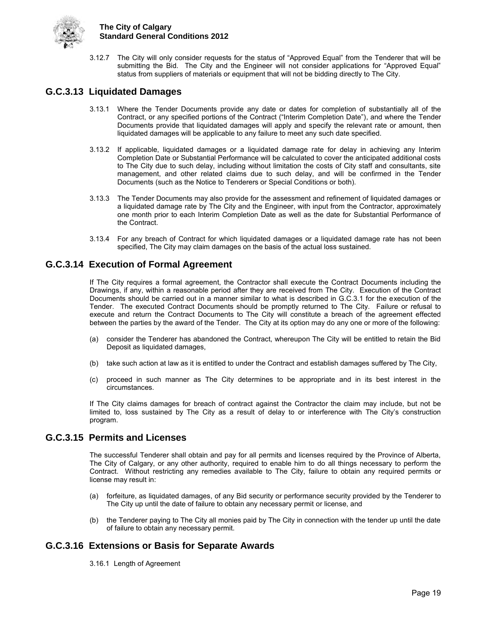

3.12.7 The City will only consider requests for the status of "Approved Equal" from the Tenderer that will be submitting the Bid. The City and the Engineer will not consider applications for "Approved Equal" status from suppliers of materials or equipment that will not be bidding directly to The City.

## <span id="page-22-0"></span>**G.C.3.13 Liquidated Damages**

- 3.13.1 Where the Tender Documents provide any date or dates for completion of substantially all of the Contract, or any specified portions of the Contract ("Interim Completion Date"), and where the Tender Documents provide that liquidated damages will apply and specify the relevant rate or amount, then liquidated damages will be applicable to any failure to meet any such date specified.
- 3.13.2 If applicable, liquidated damages or a liquidated damage rate for delay in achieving any Interim Completion Date or Substantial Performance will be calculated to cover the anticipated additional costs to The City due to such delay, including without limitation the costs of City staff and consultants, site management, and other related claims due to such delay, and will be confirmed in the Tender Documents (such as the Notice to Tenderers or Special Conditions or both).
- 3.13.3 The Tender Documents may also provide for the assessment and refinement of liquidated damages or a liquidated damage rate by The City and the Engineer, with input from the Contractor, approximately one month prior to each Interim Completion Date as well as the date for Substantial Performance of the Contract.
- 3.13.4 For any breach of Contract for which liquidated damages or a liquidated damage rate has not been specified, The City may claim damages on the basis of the actual loss sustained.

## <span id="page-22-1"></span>**G.C.3.14 Execution of Formal Agreement**

If The City requires a formal agreement, the Contractor shall execute the Contract Documents including the Drawings, if any, within a reasonable period after they are received from The City. Execution of the Contract Documents should be carried out in a manner similar to what is described in G.C.3.1 for the execution of the Tender. The executed Contract Documents should be promptly returned to The City. Failure or refusal to execute and return the Contract Documents to The City will constitute a breach of the agreement effected between the parties by the award of the Tender. The City at its option may do any one or more of the following:

- (a) consider the Tenderer has abandoned the Contract, whereupon The City will be entitled to retain the Bid Deposit as liquidated damages,
- (b) take such action at law as it is entitled to under the Contract and establish damages suffered by The City,
- (c) proceed in such manner as The City determines to be appropriate and in its best interest in the circumstances.

If The City claims damages for breach of contract against the Contractor the claim may include, but not be limited to, loss sustained by The City as a result of delay to or interference with The City's construction program.

## <span id="page-22-2"></span>**G.C.3.15 Permits and Licenses**

The successful Tenderer shall obtain and pay for all permits and licenses required by the Province of Alberta, The City of Calgary, or any other authority, required to enable him to do all things necessary to perform the Contract. Without restricting any remedies available to The City, failure to obtain any required permits or license may result in:

- (a) forfeiture, as liquidated damages, of any Bid security or performance security provided by the Tenderer to The City up until the date of failure to obtain any necessary permit or license, and
- (b) the Tenderer paying to The City all monies paid by The City in connection with the tender up until the date of failure to obtain any necessary permit.

## <span id="page-22-3"></span>**G.C.3.16 Extensions or Basis for Separate Awards**

3.16.1 Length of Agreement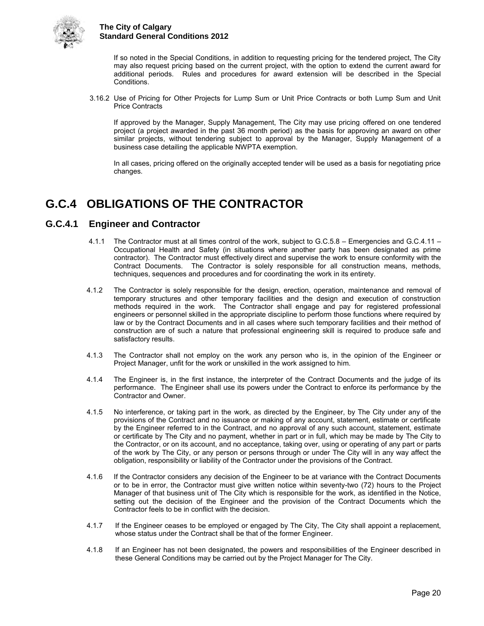

If so noted in the Special Conditions, in addition to requesting pricing for the tendered project, The City may also request pricing based on the current project, with the option to extend the current award for additional periods. Rules and procedures for award extension will be described in the Special Conditions.

3.16.2 Use of Pricing for Other Projects for Lump Sum or Unit Price Contracts or both Lump Sum and Unit Price Contracts

If approved by the Manager, Supply Management, The City may use pricing offered on one tendered project (a project awarded in the past 36 month period) as the basis for approving an award on other similar projects, without tendering subject to approval by the Manager, Supply Management of a business case detailing the applicable NWPTA exemption.

In all cases, pricing offered on the originally accepted tender will be used as a basis for negotiating price changes.

## <span id="page-23-0"></span>**G.C.4 OBLIGATIONS OF THE CONTRACTOR**

## <span id="page-23-1"></span>**G.C.4.1 Engineer and Contractor**

- 4.1.1 The Contractor must at all times control of the work, subject to G.C.5.8 Emergencies and G.C.4.11 Occupational Health and Safety (in situations where another party has been designated as prime contractor). The Contractor must effectively direct and supervise the work to ensure conformity with the Contract Documents. The Contractor is solely responsible for all construction means, methods, techniques, sequences and procedures and for coordinating the work in its entirety.
- 4.1.2 The Contractor is solely responsible for the design, erection, operation, maintenance and removal of temporary structures and other temporary facilities and the design and execution of construction methods required in the work. The Contractor shall engage and pay for registered professional engineers or personnel skilled in the appropriate discipline to perform those functions where required by law or by the Contract Documents and in all cases where such temporary facilities and their method of construction are of such a nature that professional engineering skill is required to produce safe and satisfactory results.
- 4.1.3 The Contractor shall not employ on the work any person who is, in the opinion of the Engineer or Project Manager, unfit for the work or unskilled in the work assigned to him.
- 4.1.4 The Engineer is, in the first instance, the interpreter of the Contract Documents and the judge of its performance. The Engineer shall use its powers under the Contract to enforce its performance by the Contractor and Owner.
- 4.1.5 No interference, or taking part in the work, as directed by the Engineer, by The City under any of the provisions of the Contract and no issuance or making of any account, statement, estimate or certificate by the Engineer referred to in the Contract, and no approval of any such account, statement, estimate or certificate by The City and no payment, whether in part or in full, which may be made by The City to the Contractor, or on its account, and no acceptance, taking over, using or operating of any part or parts of the work by The City, or any person or persons through or under The City will in any way affect the obligation, responsibility or liability of the Contractor under the provisions of the Contract.
- 4.1.6 If the Contractor considers any decision of the Engineer to be at variance with the Contract Documents or to be in error, the Contractor must give written notice within seventy-two (72) hours to the Project Manager of that business unit of The City which is responsible for the work, as identified in the Notice, setting out the decision of the Engineer and the provision of the Contract Documents which the Contractor feels to be in conflict with the decision.
- 4.1.7 If the Engineer ceases to be employed or engaged by The City, The City shall appoint a replacement, whose status under the Contract shall be that of the former Engineer.
- 4.1.8 If an Engineer has not been designated, the powers and responsibilities of the Engineer described in these General Conditions may be carried out by the Project Manager for The City.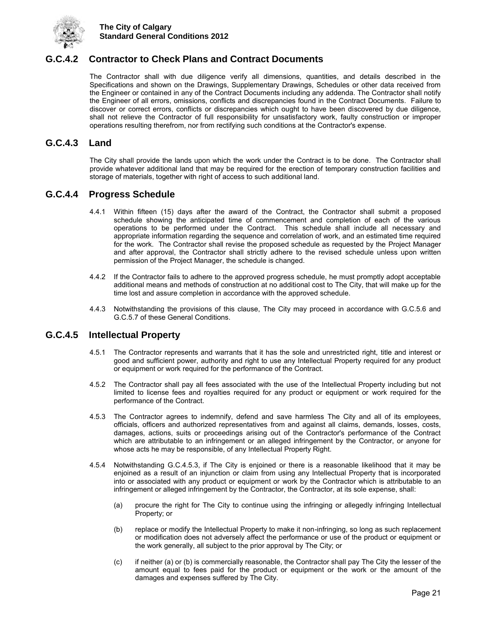

## <span id="page-24-0"></span>**G.C.4.2 Contractor to Check Plans and Contract Documents**

The Contractor shall with due diligence verify all dimensions, quantities, and details described in the Specifications and shown on the Drawings, Supplementary Drawings, Schedules or other data received from the Engineer or contained in any of the Contract Documents including any addenda. The Contractor shall notify the Engineer of all errors, omissions, conflicts and discrepancies found in the Contract Documents. Failure to discover or correct errors, conflicts or discrepancies which ought to have been discovered by due diligence, shall not relieve the Contractor of full responsibility for unsatisfactory work, faulty construction or improper operations resulting therefrom, nor from rectifying such conditions at the Contractor's expense.

### <span id="page-24-1"></span>**G.C.4.3 Land**

The City shall provide the lands upon which the work under the Contract is to be done. The Contractor shall provide whatever additional land that may be required for the erection of temporary construction facilities and storage of materials, together with right of access to such additional land.

### <span id="page-24-2"></span>**G.C.4.4 Progress Schedule**

- 4.4.1 Within fifteen (15) days after the award of the Contract, the Contractor shall submit a proposed schedule showing the anticipated time of commencement and completion of each of the various operations to be performed under the Contract. This schedule shall include all necessary and appropriate information regarding the sequence and correlation of work, and an estimated time required for the work. The Contractor shall revise the proposed schedule as requested by the Project Manager and after approval, the Contractor shall strictly adhere to the revised schedule unless upon written permission of the Project Manager, the schedule is changed.
- 4.4.2 If the Contractor fails to adhere to the approved progress schedule, he must promptly adopt acceptable additional means and methods of construction at no additional cost to The City, that will make up for the time lost and assure completion in accordance with the approved schedule.
- 4.4.3 Notwithstanding the provisions of this clause, The City may proceed in accordance with G.C.5.6 and G.C.5.7 of these General Conditions.

### <span id="page-24-3"></span>**G.C.4.5 Intellectual Property**

- 4.5.1 The Contractor represents and warrants that it has the sole and unrestricted right, title and interest or good and sufficient power, authority and right to use any Intellectual Property required for any product or equipment or work required for the performance of the Contract.
- 4.5.2 The Contractor shall pay all fees associated with the use of the Intellectual Property including but not limited to license fees and royalties required for any product or equipment or work required for the performance of the Contract.
- 4.5.3 The Contractor agrees to indemnify, defend and save harmless The City and all of its employees, officials, officers and authorized representatives from and against all claims, demands, losses, costs, damages, actions, suits or proceedings arising out of the Contractor's performance of the Contract which are attributable to an infringement or an alleged infringement by the Contractor, or anyone for whose acts he may be responsible, of any Intellectual Property Right.
- 4.5.4 Notwithstanding G.C.4.5.3, if The City is enjoined or there is a reasonable likelihood that it may be enjoined as a result of an injunction or claim from using any Intellectual Property that is incorporated into or associated with any product or equipment or work by the Contractor which is attributable to an infringement or alleged infringement by the Contractor, the Contractor, at its sole expense, shall:
	- (a) procure the right for The City to continue using the infringing or allegedly infringing Intellectual Property; or
	- (b) replace or modify the Intellectual Property to make it non-infringing, so long as such replacement or modification does not adversely affect the performance or use of the product or equipment or the work generally, all subject to the prior approval by The City; or
	- (c) if neither (a) or (b) is commercially reasonable, the Contractor shall pay The City the lesser of the amount equal to fees paid for the product or equipment or the work or the amount of the damages and expenses suffered by The City.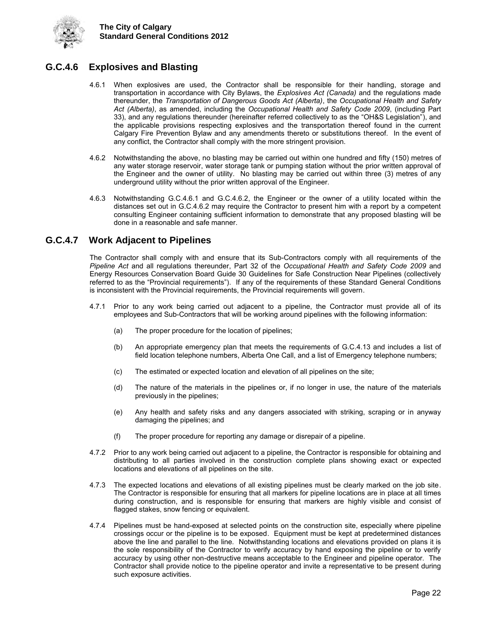

## <span id="page-25-0"></span>**G.C.4.6 Explosives and Blasting**

- 4.6.1 When explosives are used, the Contractor shall be responsible for their handling, storage and transportation in accordance with City Bylaws, the *Explosives Act (Canada)* and the regulations made thereunder, the *Transportation of Dangerous Goods Act (Alberta)*, the *Occupational Health and Safety Act (Alberta)*, as amended, including the *Occupational Health and Safety Code 2009*, (including Part 33), and any regulations thereunder (hereinafter referred collectively to as the "OH&S Legislation"), and the applicable provisions respecting explosives and the transportation thereof found in the current Calgary Fire Prevention Bylaw and any amendments thereto or substitutions thereof. In the event of any conflict, the Contractor shall comply with the more stringent provision.
- 4.6.2 Notwithstanding the above, no blasting may be carried out within one hundred and fifty (150) metres of any water storage reservoir, water storage tank or pumping station without the prior written approval of the Engineer and the owner of utility. No blasting may be carried out within three (3) metres of any underground utility without the prior written approval of the Engineer.
- 4.6.3 Notwithstanding G.C.4.6.1 and G.C.4.6.2, the Engineer or the owner of a utility located within the distances set out in G.C.4.6.2 may require the Contractor to present him with a report by a competent consulting Engineer containing sufficient information to demonstrate that any proposed blasting will be done in a reasonable and safe manner.

## <span id="page-25-1"></span>**G.C.4.7 Work Adjacent to Pipelines**

The Contractor shall comply with and ensure that its Sub-Contractors comply with all requirements of the *Pipeline Act* and all regulations thereunder, Part 32 of the *Occupational Health and Safety Code 2009* and Energy Resources Conservation Board Guide 30 Guidelines for Safe Construction Near Pipelines (collectively referred to as the "Provincial requirements"). If any of the requirements of these Standard General Conditions is inconsistent with the Provincial requirements, the Provincial requirements will govern.

- 4.7.1 Prior to any work being carried out adjacent to a pipeline, the Contractor must provide all of its employees and Sub-Contractors that will be working around pipelines with the following information:
	- (a) The proper procedure for the location of pipelines;
	- (b) An appropriate emergency plan that meets the requirements of G.C.4.13 and includes a list of field location telephone numbers, Alberta One Call, and a list of Emergency telephone numbers;
	- (c) The estimated or expected location and elevation of all pipelines on the site;
	- (d) The nature of the materials in the pipelines or, if no longer in use, the nature of the materials previously in the pipelines;
	- (e) Any health and safety risks and any dangers associated with striking, scraping or in anyway damaging the pipelines; and
	- (f) The proper procedure for reporting any damage or disrepair of a pipeline.
- 4.7.2 Prior to any work being carried out adjacent to a pipeline, the Contractor is responsible for obtaining and distributing to all parties involved in the construction complete plans showing exact or expected locations and elevations of all pipelines on the site.
- 4.7.3 The expected locations and elevations of all existing pipelines must be clearly marked on the job site. The Contractor is responsible for ensuring that all markers for pipeline locations are in place at all times during construction, and is responsible for ensuring that markers are highly visible and consist of flagged stakes, snow fencing or equivalent.
- 4.7.4 Pipelines must be hand-exposed at selected points on the construction site, especially where pipeline crossings occur or the pipeline is to be exposed. Equipment must be kept at predetermined distances above the line and parallel to the line. Notwithstanding locations and elevations provided on plans it is the sole responsibility of the Contractor to verify accuracy by hand exposing the pipeline or to verify accuracy by using other non-destructive means acceptable to the Engineer and pipeline operator. The Contractor shall provide notice to the pipeline operator and invite a representative to be present during such exposure activities.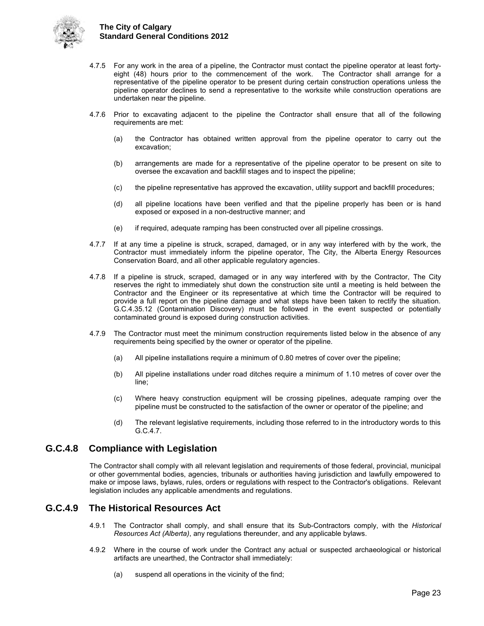

- 4.7.5 For any work in the area of a pipeline, the Contractor must contact the pipeline operator at least fortyeight (48) hours prior to the commencement of the work. The Contractor shall arrange for a representative of the pipeline operator to be present during certain construction operations unless the pipeline operator declines to send a representative to the worksite while construction operations are undertaken near the pipeline.
- 4.7.6 Prior to excavating adjacent to the pipeline the Contractor shall ensure that all of the following requirements are met:
	- (a) the Contractor has obtained written approval from the pipeline operator to carry out the excavation;
	- (b) arrangements are made for a representative of the pipeline operator to be present on site to oversee the excavation and backfill stages and to inspect the pipeline;
	- (c) the pipeline representative has approved the excavation, utility support and backfill procedures;
	- (d) all pipeline locations have been verified and that the pipeline properly has been or is hand exposed or exposed in a non-destructive manner; and
	- (e) if required, adequate ramping has been constructed over all pipeline crossings.
- 4.7.7 If at any time a pipeline is struck, scraped, damaged, or in any way interfered with by the work, the Contractor must immediately inform the pipeline operator, The City, the Alberta Energy Resources Conservation Board, and all other applicable regulatory agencies.
- 4.7.8 If a pipeline is struck, scraped, damaged or in any way interfered with by the Contractor, The City reserves the right to immediately shut down the construction site until a meeting is held between the Contractor and the Engineer or its representative at which time the Contractor will be required to provide a full report on the pipeline damage and what steps have been taken to rectify the situation. G.C.4.35.12 (Contamination Discovery) must be followed in the event suspected or potentially contaminated ground is exposed during construction activities.
- 4.7.9 The Contractor must meet the minimum construction requirements listed below in the absence of any requirements being specified by the owner or operator of the pipeline.
	- (a) All pipeline installations require a minimum of 0.80 metres of cover over the pipeline;
	- (b) All pipeline installations under road ditches require a minimum of 1.10 metres of cover over the line;
	- (c) Where heavy construction equipment will be crossing pipelines, adequate ramping over the pipeline must be constructed to the satisfaction of the owner or operator of the pipeline; and
	- (d) The relevant legislative requirements, including those referred to in the introductory words to this G.C.4.7.

## <span id="page-26-0"></span>**G.C.4.8 Compliance with Legislation**

The Contractor shall comply with all relevant legislation and requirements of those federal, provincial, municipal or other governmental bodies, agencies, tribunals or authorities having jurisdiction and lawfully empowered to make or impose laws, bylaws, rules, orders or regulations with respect to the Contractor's obligations. Relevant legislation includes any applicable amendments and regulations.

### <span id="page-26-1"></span>**G.C.4.9 The Historical Resources Act**

- 4.9.1 The Contractor shall comply, and shall ensure that its Sub-Contractors comply, with the *Historical Resources Act (Alberta)*, any regulations thereunder, and any applicable bylaws.
- 4.9.2 Where in the course of work under the Contract any actual or suspected archaeological or historical artifacts are unearthed, the Contractor shall immediately:
	- (a) suspend all operations in the vicinity of the find;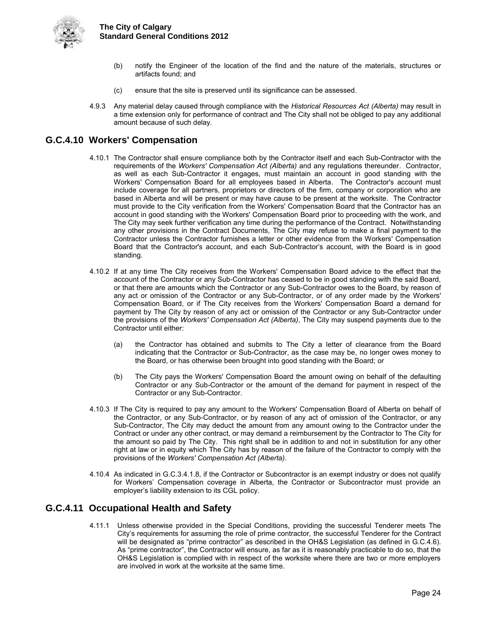

- (b) notify the Engineer of the location of the find and the nature of the materials, structures or artifacts found; and
- (c) ensure that the site is preserved until its significance can be assessed.
- 4.9.3 Any material delay caused through compliance with the *Historical Resources Act (Alberta)* may result in a time extension only for performance of contract and The City shall not be obliged to pay any additional amount because of such delay.

## <span id="page-27-0"></span>**G.C.4.10 Workers' Compensation**

- 4.10.1 The Contractor shall ensure compliance both by the Contractor itself and each Sub-Contractor with the requirements of the *Workers' Compensation Act (Alberta)* and any regulations thereunder. Contractor, as well as each Sub-Contractor it engages, must maintain an account in good standing with the Workers' Compensation Board for all employees based in Alberta. The Contractor's account must include coverage for all partners, proprietors or directors of the firm, company or corporation who are based in Alberta and will be present or may have cause to be present at the worksite. The Contractor must provide to the City verification from the Workers' Compensation Board that the Contractor has an account in good standing with the Workers' Compensation Board prior to proceeding with the work, and The City may seek further verification any time during the performance of the Contract. Notwithstanding any other provisions in the Contract Documents, The City may refuse to make a final payment to the Contractor unless the Contractor furnishes a letter or other evidence from the Workers' Compensation Board that the Contractor's account, and each Sub-Contractor's account, with the Board is in good standing.
- 4.10.2 If at any time The City receives from the Workers' Compensation Board advice to the effect that the account of the Contractor or any Sub-Contractor has ceased to be in good standing with the said Board, or that there are amounts which the Contractor or any Sub-Contractor owes to the Board, by reason of any act or omission of the Contractor or any Sub-Contractor, or of any order made by the Workers' Compensation Board, or if The City receives from the Workers' Compensation Board a demand for payment by The City by reason of any act or omission of the Contractor or any Sub-Contractor under the provisions of the *Workers' Compensation Act (Alberta)*, The City may suspend payments due to the Contractor until either:
	- (a) the Contractor has obtained and submits to The City a letter of clearance from the Board indicating that the Contractor or Sub-Contractor, as the case may be, no longer owes money to the Board, or has otherwise been brought into good standing with the Board; or
	- (b) The City pays the Workers' Compensation Board the amount owing on behalf of the defaulting Contractor or any Sub-Contractor or the amount of the demand for payment in respect of the Contractor or any Sub-Contractor.
- 4.10.3 If The City is required to pay any amount to the Workers' Compensation Board of Alberta on behalf of the Contractor, or any Sub-Contractor, or by reason of any act of omission of the Contractor, or any Sub-Contractor, The City may deduct the amount from any amount owing to the Contractor under the Contract or under any other contract, or may demand a reimbursement by the Contractor to The City for the amount so paid by The City. This right shall be in addition to and not in substitution for any other right at law or in equity which The City has by reason of the failure of the Contractor to comply with the provisions of the *Workers' Compensation Act (Alberta)*.
- 4.10.4 As indicated in G.C.3.4.1.8, if the Contractor or Subcontractor is an exempt industry or does not qualify for Workers' Compensation coverage in Alberta, the Contractor or Subcontractor must provide an employer's liability extension to its CGL policy.

## <span id="page-27-1"></span>**G.C.4.11 Occupational Health and Safety**

4.11.1 Unless otherwise provided in the Special Conditions, providing the successful Tenderer meets The City's requirements for assuming the role of prime contractor, the successful Tenderer for the Contract will be designated as "prime contractor" as described in the OH&S Legislation (as defined in G.C.4.6). As "prime contractor", the Contractor will ensure, as far as it is reasonably practicable to do so, that the OH&S Legislation is complied with in respect of the worksite where there are two or more employers are involved in work at the worksite at the same time.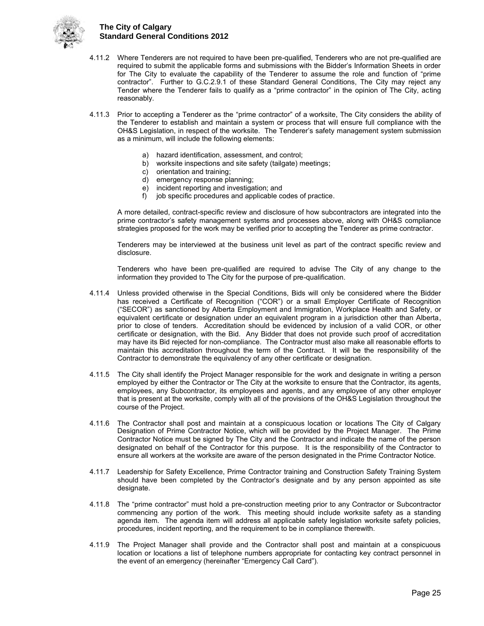

- 4.11.2 Where Tenderers are not required to have been pre-qualified, Tenderers who are not pre-qualified are required to submit the applicable forms and submissions with the Bidder's Information Sheets in order for The City to evaluate the capability of the Tenderer to assume the role and function of "prime contractor". Further to G.C.2.9.1 of these Standard General Conditions, The City may reject any Tender where the Tenderer fails to qualify as a "prime contractor" in the opinion of The City, acting reasonably.
- 4.11.3 Prior to accepting a Tenderer as the "prime contractor" of a worksite, The City considers the ability of the Tenderer to establish and maintain a system or process that will ensure full compliance with the OH&S Legislation, in respect of the worksite. The Tenderer's safety management system submission as a minimum, will include the following elements:
	- a) hazard identification, assessment, and control;<br>b) worksite inspections and site safety (tailgate) m
	- worksite inspections and site safety (tailgate) meetings;
	- c) orientation and training;
	- d) emergency response planning;
	- e) incident reporting and investigation; and<br>f) iob specific procedures and applicable co
	- job specific procedures and applicable codes of practice.

A more detailed, contract-specific review and disclosure of how subcontractors are integrated into the prime contractor's safety management systems and processes above, along with OH&S compliance strategies proposed for the work may be verified prior to accepting the Tenderer as prime contractor.

Tenderers may be interviewed at the business unit level as part of the contract specific review and disclosure.

Tenderers who have been pre-qualified are required to advise The City of any change to the information they provided to The City for the purpose of pre-qualification.

- 4.11.4 Unless provided otherwise in the Special Conditions, Bids will only be considered where the Bidder has received a Certificate of Recognition ("COR") or a small Employer Certificate of Recognition ("SECOR") as sanctioned by Alberta Employment and Immigration, Workplace Health and Safety, or equivalent certificate or designation under an equivalent program in a jurisdiction other than Alberta, prior to close of tenders. Accreditation should be evidenced by inclusion of a valid COR, or other certificate or designation, with the Bid. Any Bidder that does not provide such proof of accreditation may have its Bid rejected for non-compliance. The Contractor must also make all reasonable efforts to maintain this accreditation throughout the term of the Contract. It will be the responsibility of the Contractor to demonstrate the equivalency of any other certificate or designation.
- 4.11.5 The City shall identify the Project Manager responsible for the work and designate in writing a person employed by either the Contractor or The City at the worksite to ensure that the Contractor, its agents, employees, any Subcontractor, its employees and agents, and any employee of any other employer that is present at the worksite, comply with all of the provisions of the OH&S Legislation throughout the course of the Project.
- 4.11.6 The Contractor shall post and maintain at a conspicuous location or locations The City of Calgary Designation of Prime Contractor Notice, which will be provided by the Project Manager. The Prime Contractor Notice must be signed by The City and the Contractor and indicate the name of the person designated on behalf of the Contractor for this purpose. It is the responsibility of the Contractor to ensure all workers at the worksite are aware of the person designated in the Prime Contractor Notice.
- 4.11.7 Leadership for Safety Excellence, Prime Contractor training and Construction Safety Training System should have been completed by the Contractor's designate and by any person appointed as site designate.
- 4.11.8 The "prime contractor" must hold a pre-construction meeting prior to any Contractor or Subcontractor commencing any portion of the work. This meeting should include worksite safety as a standing agenda item. The agenda item will address all applicable safety legislation worksite safety policies, procedures, incident reporting, and the requirement to be in compliance therewith.
- 4.11.9 The Project Manager shall provide and the Contractor shall post and maintain at a conspicuous location or locations a list of telephone numbers appropriate for contacting key contract personnel in the event of an emergency (hereinafter "Emergency Call Card").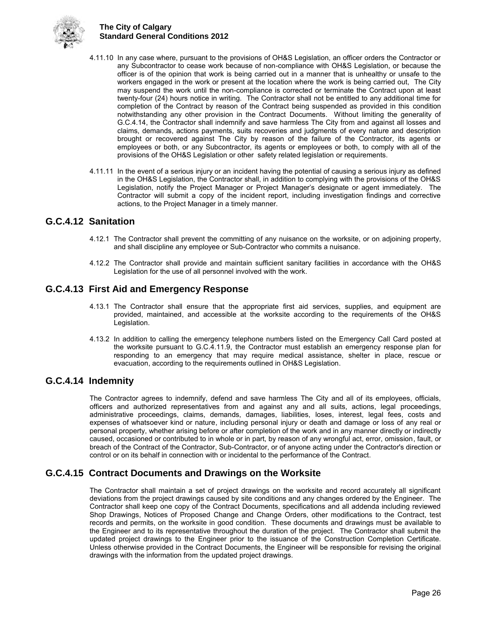

- 4.11.10 In any case where, pursuant to the provisions of OH&S Legislation, an officer orders the Contractor or any Subcontractor to cease work because of non-compliance with OH&S Legislation, or because the officer is of the opinion that work is being carried out in a manner that is unhealthy or unsafe to the workers engaged in the work or present at the location where the work is being carried out, The City may suspend the work until the non-compliance is corrected or terminate the Contract upon at least twenty-four (24) hours notice in writing. The Contractor shall not be entitled to any additional time for completion of the Contract by reason of the Contract being suspended as provided in this condition notwithstanding any other provision in the Contract Documents. Without limiting the generality of G.C.4.14, the Contractor shall indemnify and save harmless The City from and against all losses and claims, demands, actions payments, suits recoveries and judgments of every nature and description brought or recovered against The City by reason of the failure of the Contractor, its agents or employees or both, or any Subcontractor, its agents or employees or both, to comply with all of the provisions of the OH&S Legislation or other safety related legislation or requirements.
- 4.11.11 In the event of a serious injury or an incident having the potential of causing a serious injury as defined in the OH&S Legislation, the Contractor shall, in addition to complying with the provisions of the OH&S Legislation, notify the Project Manager or Project Manager's designate or agent immediately. The Contractor will submit a copy of the incident report, including investigation findings and corrective actions, to the Project Manager in a timely manner.

## <span id="page-29-0"></span>**G.C.4.12 Sanitation**

- 4.12.1 The Contractor shall prevent the committing of any nuisance on the worksite, or on adjoining property, and shall discipline any employee or Sub-Contractor who commits a nuisance.
- 4.12.2 The Contractor shall provide and maintain sufficient sanitary facilities in accordance with the OH&S Legislation for the use of all personnel involved with the work.

## <span id="page-29-1"></span>**G.C.4.13 First Aid and Emergency Response**

- 4.13.1 The Contractor shall ensure that the appropriate first aid services, supplies, and equipment are provided, maintained, and accessible at the worksite according to the requirements of the OH&S Legislation.
- 4.13.2 In addition to calling the emergency telephone numbers listed on the Emergency Call Card posted at the worksite pursuant to G.C.4.11.9, the Contractor must establish an emergency response plan for responding to an emergency that may require medical assistance, shelter in place, rescue or evacuation, according to the requirements outlined in OH&S Legislation.

### <span id="page-29-2"></span>**G.C.4.14 Indemnity**

The Contractor agrees to indemnify, defend and save harmless The City and all of its employees, officials, officers and authorized representatives from and against any and all suits, actions, legal proceedings, administrative proceedings, claims, demands, damages, liabilities, loses, interest, legal fees, costs and expenses of whatsoever kind or nature, including personal injury or death and damage or loss of any real or personal property, whether arising before or after completion of the work and in any manner directly or indirectly caused, occasioned or contributed to in whole or in part, by reason of any wrongful act, error, omission, fault, or breach of the Contract of the Contractor, Sub-Contractor, or of anyone acting under the Contractor's direction or control or on its behalf in connection with or incidental to the performance of the Contract.

### <span id="page-29-3"></span>**G.C.4.15 Contract Documents and Drawings on the Worksite**

The Contractor shall maintain a set of project drawings on the worksite and record accurately all significant deviations from the project drawings caused by site conditions and any changes ordered by the Engineer. The Contractor shall keep one copy of the Contract Documents, specifications and all addenda including reviewed Shop Drawings, Notices of Proposed Change and Change Orders, other modifications to the Contract, test records and permits, on the worksite in good condition. These documents and drawings must be available to the Engineer and to its representative throughout the duration of the project. The Contractor shall submit the updated project drawings to the Engineer prior to the issuance of the Construction Completion Certificate. Unless otherwise provided in the Contract Documents, the Engineer will be responsible for revising the original drawings with the information from the updated project drawings.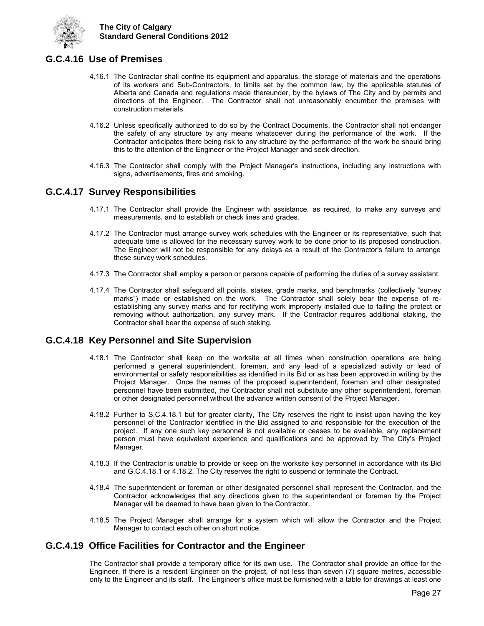

## <span id="page-30-0"></span>**G.C.4.16 Use of Premises**

- 4.16.1 The Contractor shall confine its equipment and apparatus, the storage of materials and the operations of its workers and Sub-Contractors, to limits set by the common law, by the applicable statutes of Alberta and Canada and regulations made thereunder, by the bylaws of The City and by permits and directions of the Engineer. The Contractor shall not unreasonably encumber the premises with construction materials.
- 4.16.2 Unless specifically authorized to do so by the Contract Documents, the Contractor shall not endanger the safety of any structure by any means whatsoever during the performance of the work. If the Contractor anticipates there being risk to any structure by the performance of the work he should bring this to the attention of the Engineer or the Project Manager and seek direction.
- 4.16.3 The Contractor shall comply with the Project Manager's instructions, including any instructions with signs, advertisements, fires and smoking.

### <span id="page-30-1"></span>**G.C.4.17 Survey Responsibilities**

- 4.17.1 The Contractor shall provide the Engineer with assistance, as required, to make any surveys and measurements, and to establish or check lines and grades.
- 4.17.2 The Contractor must arrange survey work schedules with the Engineer or its representative, such that adequate time is allowed for the necessary survey work to be done prior to its proposed construction. The Engineer will not be responsible for any delays as a result of the Contractor's failure to arrange these survey work schedules.
- 4.17.3 The Contractor shall employ a person or persons capable of performing the duties of a survey assistant.
- 4.17.4 The Contractor shall safeguard all points, stakes, grade marks, and benchmarks (collectively "survey marks") made or established on the work. The Contractor shall solely bear the expense of reestablishing any survey marks and for rectifying work improperly installed due to failing the protect or removing without authorization, any survey mark. If the Contractor requires additional staking, the Contractor shall bear the expense of such staking.

## <span id="page-30-2"></span>**G.C.4.18 Key Personnel and Site Supervision**

- 4.18.1 The Contractor shall keep on the worksite at all times when construction operations are being performed a general superintendent, foreman, and any lead of a specialized activity or lead of environmental or safety responsibilities as identified in its Bid or as has been approved in writing by the Project Manager. Once the names of the proposed superintendent, foreman and other designated personnel have been submitted, the Contractor shall not substitute any other superintendent, foreman or other designated personnel without the advance written consent of the Project Manager.
- 4.18.2 Further to S.C.4.18.1 but for greater clarity, The City reserves the right to insist upon having the key personnel of the Contractor identified in the Bid assigned to and responsible for the execution of the project. If any one such key personnel is not available or ceases to be available, any replacement person must have equivalent experience and qualifications and be approved by The City's Project Manager.
- 4.18.3 If the Contractor is unable to provide or keep on the worksite key personnel in accordance with its Bid and G.C.4.18.1 or 4.18.2, The City reserves the right to suspend or terminate the Contract.
- 4.18.4 The superintendent or foreman or other designated personnel shall represent the Contractor, and the Contractor acknowledges that any directions given to the superintendent or foreman by the Project Manager will be deemed to have been given to the Contractor.
- 4.18.5 The Project Manager shall arrange for a system which will allow the Contractor and the Project Manager to contact each other on short notice.

## <span id="page-30-3"></span>**G.C.4.19 Office Facilities for Contractor and the Engineer**

The Contractor shall provide a temporary office for its own use. The Contractor shall provide an office for the Engineer, if there is a resident Engineer on the project, of not less than seven (7) square metres, accessible only to the Engineer and its staff. The Engineer's office must be furnished with a table for drawings at least one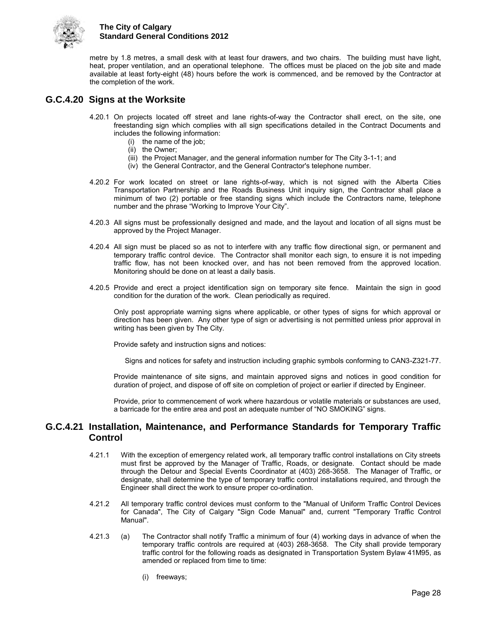

metre by 1.8 metres, a small desk with at least four drawers, and two chairs. The building must have light, heat, proper ventilation, and an operational telephone. The offices must be placed on the job site and made available at least forty-eight (48) hours before the work is commenced, and be removed by the Contractor at the completion of the work.

## <span id="page-31-0"></span>**G.C.4.20 Signs at the Worksite**

- 4.20.1 On projects located off street and lane rights-of-way the Contractor shall erect, on the site, one freestanding sign which complies with all sign specifications detailed in the Contract Documents and includes the following information:
	- (i) the name of the job;
	- (ii) the Owner;
	- (iii) the Project Manager, and the general information number for The City 3-1-1; and
	- (iv) the General Contractor, and the General Contractor's telephone number.
- 4.20.2 For work located on street or lane rights-of-way, which is not signed with the Alberta Cities Transportation Partnership and the Roads Business Unit inquiry sign, the Contractor shall place a minimum of two (2) portable or free standing signs which include the Contractors name, telephone number and the phrase "Working to Improve Your City".
- 4.20.3 All signs must be professionally designed and made, and the layout and location of all signs must be approved by the Project Manager.
- 4.20.4 All sign must be placed so as not to interfere with any traffic flow directional sign, or permanent and temporary traffic control device. The Contractor shall monitor each sign, to ensure it is not impeding traffic flow, has not been knocked over, and has not been removed from the approved location. Monitoring should be done on at least a daily basis.
- 4.20.5 Provide and erect a project identification sign on temporary site fence. Maintain the sign in good condition for the duration of the work. Clean periodically as required.

Only post appropriate warning signs where applicable, or other types of signs for which approval or direction has been given. Any other type of sign or advertising is not permitted unless prior approval in writing has been given by The City.

Provide safety and instruction signs and notices:

Signs and notices for safety and instruction including graphic symbols conforming to CAN3-Z321-77.

 Provide maintenance of site signs, and maintain approved signs and notices in good condition for duration of project, and dispose of off site on completion of project or earlier if directed by Engineer.

 Provide, prior to commencement of work where hazardous or volatile materials or substances are used, a barricade for the entire area and post an adequate number of "NO SMOKING" signs.

### <span id="page-31-1"></span>**G.C.4.21 Installation, Maintenance, and Performance Standards for Temporary Traffic Control**

- 4.21.1 With the exception of emergency related work, all temporary traffic control installations on City streets must first be approved by the Manager of Traffic, Roads, or designate. Contact should be made through the Detour and Special Events Coordinator at (403) 268-3658. The Manager of Traffic, or designate, shall determine the type of temporary traffic control installations required, and through the Engineer shall direct the work to ensure proper co-ordination.
- 4.21.2 All temporary traffic control devices must conform to the "Manual of Uniform Traffic Control Devices for Canada", The City of Calgary "Sign Code Manual" and, current "Temporary Traffic Control Manual".
- 4.21.3 (a) The Contractor shall notify Traffic a minimum of four (4) working days in advance of when the temporary traffic controls are required at (403) 268-3658. The City shall provide temporary traffic control for the following roads as designated in Transportation System Bylaw 41M95, as amended or replaced from time to time:
	- (i) freeways;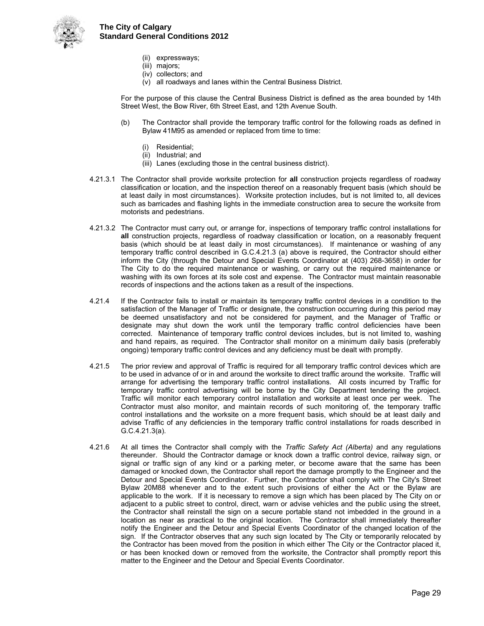

- (ii) expressways;
- (iii) majors;
- (iv) collectors; and
- (v) all roadways and lanes within the Central Business District.

 For the purpose of this clause the Central Business District is defined as the area bounded by 14th Street West, the Bow River, 6th Street East, and 12th Avenue South.

- (b) The Contractor shall provide the temporary traffic control for the following roads as defined in Bylaw 41M95 as amended or replaced from time to time:
	- (i) Residential;
	- (ii) Industrial; and
	- (iii) Lanes (excluding those in the central business district).
- 4.21.3.1 The Contractor shall provide worksite protection for **all** construction projects regardless of roadway classification or location, and the inspection thereof on a reasonably frequent basis (which should be at least daily in most circumstances). Worksite protection includes, but is not limited to, all devices such as barricades and flashing lights in the immediate construction area to secure the worksite from motorists and pedestrians.
- 4.21.3.2 The Contractor must carry out, or arrange for, inspections of temporary traffic control installations for **all** construction projects, regardless of roadway classification or location, on a reasonably frequent basis (which should be at least daily in most circumstances). If maintenance or washing of any temporary traffic control described in G.C.4.21.3 (a) above is required, the Contractor should either inform the City (through the Detour and Special Events Coordinator at (403) 268-3658) in order for The City to do the required maintenance or washing, or carry out the required maintenance or washing with its own forces at its sole cost and expense. The Contractor must maintain reasonable records of inspections and the actions taken as a result of the inspections.
- 4.21.4 If the Contractor fails to install or maintain its temporary traffic control devices in a condition to the satisfaction of the Manager of Traffic or designate, the construction occurring during this period may be deemed unsatisfactory and not be considered for payment, and the Manager of Traffic or designate may shut down the work until the temporary traffic control deficiencies have been corrected. Maintenance of temporary traffic control devices includes, but is not limited to, washing and hand repairs, as required. The Contractor shall monitor on a minimum daily basis (preferably ongoing) temporary traffic control devices and any deficiency must be dealt with promptly.
- 4.21.5 The prior review and approval of Traffic is required for all temporary traffic control devices which are to be used in advance of or in and around the worksite to direct traffic around the worksite. Traffic will arrange for advertising the temporary traffic control installations. All costs incurred by Traffic for temporary traffic control advertising will be borne by the City Department tendering the project. Traffic will monitor each temporary control installation and worksite at least once per week. The Contractor must also monitor, and maintain records of such monitoring of, the temporary traffic control installations and the worksite on a more frequent basis, which should be at least daily and advise Traffic of any deficiencies in the temporary traffic control installations for roads described in G.C.4.21.3(a).
- 4.21.6 At all times the Contractor shall comply with the *Traffic Safety Act (Alberta)* and any regulations thereunder. Should the Contractor damage or knock down a traffic control device, railway sign, or signal or traffic sign of any kind or a parking meter, or become aware that the same has been damaged or knocked down, the Contractor shall report the damage promptly to the Engineer and the Detour and Special Events Coordinator. Further, the Contractor shall comply with The City's Street Bylaw 20M88 whenever and to the extent such provisions of either the Act or the Bylaw are applicable to the work. If it is necessary to remove a sign which has been placed by The City on or adjacent to a public street to control, direct, warn or advise vehicles and the public using the street, the Contractor shall reinstall the sign on a secure portable stand not imbedded in the ground in a location as near as practical to the original location. The Contractor shall immediately thereafter notify the Engineer and the Detour and Special Events Coordinator of the changed location of the sign. If the Contractor observes that any such sign located by The City or temporarily relocated by the Contractor has been moved from the position in which either The City or the Contractor placed it, or has been knocked down or removed from the worksite, the Contractor shall promptly report this matter to the Engineer and the Detour and Special Events Coordinator.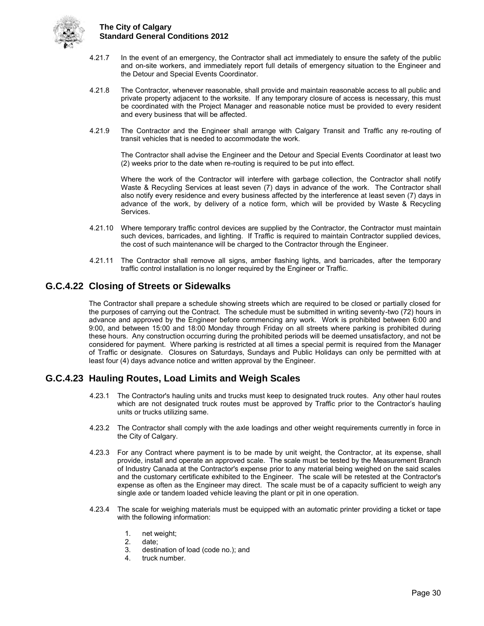

- 4.21.7 In the event of an emergency, the Contractor shall act immediately to ensure the safety of the public and on-site workers, and immediately report full details of emergency situation to the Engineer and the Detour and Special Events Coordinator.
- 4.21.8 The Contractor, whenever reasonable, shall provide and maintain reasonable access to all public and private property adjacent to the worksite. If any temporary closure of access is necessary, this must be coordinated with the Project Manager and reasonable notice must be provided to every resident and every business that will be affected.
- 4.21.9 The Contractor and the Engineer shall arrange with Calgary Transit and Traffic any re-routing of transit vehicles that is needed to accommodate the work.

 The Contractor shall advise the Engineer and the Detour and Special Events Coordinator at least two (2) weeks prior to the date when re-routing is required to be put into effect.

 Where the work of the Contractor will interfere with garbage collection, the Contractor shall notify Waste & Recycling Services at least seven (7) days in advance of the work. The Contractor shall also notify every residence and every business affected by the interference at least seven (7) days in advance of the work, by delivery of a notice form, which will be provided by Waste & Recycling Services.

- 4.21.10 Where temporary traffic control devices are supplied by the Contractor, the Contractor must maintain such devices, barricades, and lighting. If Traffic is required to maintain Contractor supplied devices, the cost of such maintenance will be charged to the Contractor through the Engineer.
- 4.21.11 The Contractor shall remove all signs, amber flashing lights, and barricades, after the temporary traffic control installation is no longer required by the Engineer or Traffic.

## <span id="page-33-0"></span>**G.C.4.22 Closing of Streets or Sidewalks**

The Contractor shall prepare a schedule showing streets which are required to be closed or partially closed for the purposes of carrying out the Contract. The schedule must be submitted in writing seventy-two (72) hours in advance and approved by the Engineer before commencing any work. Work is prohibited between 6:00 and 9:00, and between 15:00 and 18:00 Monday through Friday on all streets where parking is prohibited during these hours. Any construction occurring during the prohibited periods will be deemed unsatisfactory, and not be considered for payment. Where parking is restricted at all times a special permit is required from the Manager of Traffic or designate. Closures on Saturdays, Sundays and Public Holidays can only be permitted with at least four (4) days advance notice and written approval by the Engineer.

## <span id="page-33-1"></span>**G.C.4.23 Hauling Routes, Load Limits and Weigh Scales**

- 4.23.1 The Contractor's hauling units and trucks must keep to designated truck routes. Any other haul routes which are not designated truck routes must be approved by Traffic prior to the Contractor's hauling units or trucks utilizing same.
- 4.23.2 The Contractor shall comply with the axle loadings and other weight requirements currently in force in the City of Calgary.
- 4.23.3 For any Contract where payment is to be made by unit weight, the Contractor, at its expense, shall provide, install and operate an approved scale. The scale must be tested by the Measurement Branch of Industry Canada at the Contractor's expense prior to any material being weighed on the said scales and the customary certificate exhibited to the Engineer. The scale will be retested at the Contractor's expense as often as the Engineer may direct. The scale must be of a capacity sufficient to weigh any single axle or tandem loaded vehicle leaving the plant or pit in one operation.
- 4.23.4 The scale for weighing materials must be equipped with an automatic printer providing a ticket or tape with the following information:
	- 1. net weight;<br>2. date;
	- 2. date;<br>3. destir
	- destination of load (code no.); and
	- 4. truck number.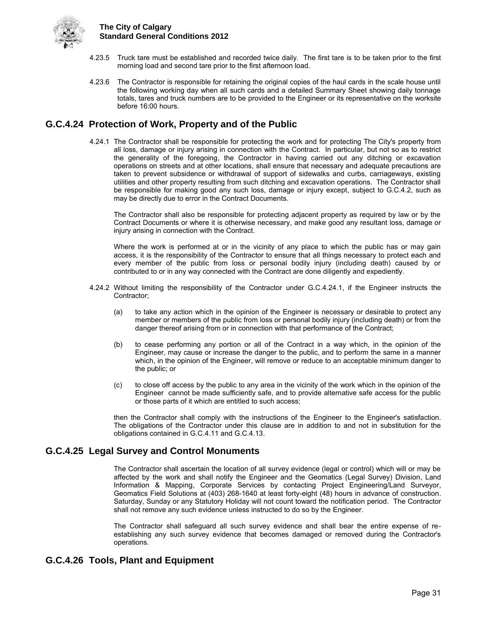

- 4.23.5 Truck tare must be established and recorded twice daily. The first tare is to be taken prior to the first morning load and second tare prior to the first afternoon load.
- 4.23.6 The Contractor is responsible for retaining the original copies of the haul cards in the scale house until the following working day when all such cards and a detailed Summary Sheet showing daily tonnage totals, tares and truck numbers are to be provided to the Engineer or its representative on the worksite before 16:00 hours.

## <span id="page-34-0"></span>**G.C.4.24 Protection of Work, Property and of the Public**

4.24.1 The Contractor shall be responsible for protecting the work and for protecting The City's property from all loss, damage or injury arising in connection with the Contract. In particular, but not so as to restrict the generality of the foregoing, the Contractor in having carried out any ditching or excavation operations on streets and at other locations, shall ensure that necessary and adequate precautions are taken to prevent subsidence or withdrawal of support of sidewalks and curbs, carriageways, existing utilities and other property resulting from such ditching and excavation operations. The Contractor shall be responsible for making good any such loss, damage or injury except, subject to G.C.4.2, such as may be directly due to error in the Contract Documents.

The Contractor shall also be responsible for protecting adjacent property as required by law or by the Contract Documents or where it is otherwise necessary, and make good any resultant loss, damage or injury arising in connection with the Contract.

Where the work is performed at or in the vicinity of any place to which the public has or may gain access, it is the responsibility of the Contractor to ensure that all things necessary to protect each and every member of the public from loss or personal bodily injury (including death) caused by or contributed to or in any way connected with the Contract are done diligently and expediently.

- 4.24.2 Without limiting the responsibility of the Contractor under G.C.4.24.1, if the Engineer instructs the Contractor;
	- (a) to take any action which in the opinion of the Engineer is necessary or desirable to protect any member or members of the public from loss or personal bodily injury (including death) or from the danger thereof arising from or in connection with that performance of the Contract;
	- (b) to cease performing any portion or all of the Contract in a way which, in the opinion of the Engineer, may cause or increase the danger to the public, and to perform the same in a manner which, in the opinion of the Engineer, will remove or reduce to an acceptable minimum danger to the public; or
	- (c) to close off access by the public to any area in the vicinity of the work which in the opinion of the Engineer cannot be made sufficiently safe, and to provide alternative safe access for the public or those parts of it which are entitled to such access;

then the Contractor shall comply with the instructions of the Engineer to the Engineer's satisfaction. The obligations of the Contractor under this clause are in addition to and not in substitution for the obligations contained in G.C.4.11 and G.C.4.13.

## <span id="page-34-1"></span>**G.C.4.25 Legal Survey and Control Monuments**

The Contractor shall ascertain the location of all survey evidence (legal or control) which will or may be affected by the work and shall notify the Engineer and the Geomatics (Legal Survey) Division, Land Information & Mapping, Corporate Services by contacting Project Engineering/Land Surveyor, Geomatics Field Solutions at (403) 268-1640 at least forty-eight (48) hours in advance of construction. Saturday, Sunday or any Statutory Holiday will not count toward the notification period. The Contractor shall not remove any such evidence unless instructed to do so by the Engineer.

The Contractor shall safeguard all such survey evidence and shall bear the entire expense of reestablishing any such survey evidence that becomes damaged or removed during the Contractor's operations.

## <span id="page-34-2"></span>**G.C.4.26 Tools, Plant and Equipment**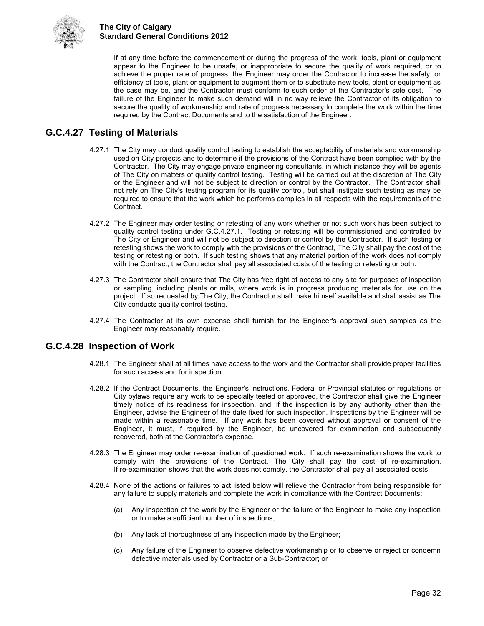

If at any time before the commencement or during the progress of the work, tools, plant or equipment appear to the Engineer to be unsafe, or inappropriate to secure the quality of work required, or to achieve the proper rate of progress, the Engineer may order the Contractor to increase the safety, or efficiency of tools, plant or equipment to augment them or to substitute new tools, plant or equipment as the case may be, and the Contractor must conform to such order at the Contractor's sole cost. The failure of the Engineer to make such demand will in no way relieve the Contractor of its obligation to secure the quality of workmanship and rate of progress necessary to complete the work within the time required by the Contract Documents and to the satisfaction of the Engineer.

## <span id="page-35-0"></span>**G.C.4.27 Testing of Materials**

- 4.27.1 The City may conduct quality control testing to establish the acceptability of materials and workmanship used on City projects and to determine if the provisions of the Contract have been complied with by the Contractor. The City may engage private engineering consultants, in which instance they will be agents of The City on matters of quality control testing. Testing will be carried out at the discretion of The City or the Engineer and will not be subject to direction or control by the Contractor. The Contractor shall not rely on The City's testing program for its quality control, but shall instigate such testing as may be required to ensure that the work which he performs complies in all respects with the requirements of the Contract.
- 4.27.2 The Engineer may order testing or retesting of any work whether or not such work has been subject to quality control testing under G.C.4.27.1. Testing or retesting will be commissioned and controlled by The City or Engineer and will not be subject to direction or control by the Contractor. If such testing or retesting shows the work to comply with the provisions of the Contract, The City shall pay the cost of the testing or retesting or both. If such testing shows that any material portion of the work does not comply with the Contract, the Contractor shall pay all associated costs of the testing or retesting or both.
- 4.27.3 The Contractor shall ensure that The City has free right of access to any site for purposes of inspection or sampling, including plants or mills, where work is in progress producing materials for use on the project. If so requested by The City, the Contractor shall make himself available and shall assist as The City conducts quality control testing.
- 4.27.4 The Contractor at its own expense shall furnish for the Engineer's approval such samples as the Engineer may reasonably require.

## <span id="page-35-1"></span>**G.C.4.28 Inspection of Work**

- 4.28.1 The Engineer shall at all times have access to the work and the Contractor shall provide proper facilities for such access and for inspection.
- 4.28.2 If the Contract Documents, the Engineer's instructions, Federal or Provincial statutes or regulations or City bylaws require any work to be specially tested or approved, the Contractor shall give the Engineer timely notice of its readiness for inspection, and, if the inspection is by any authority other than the Engineer, advise the Engineer of the date fixed for such inspection. Inspections by the Engineer will be made within a reasonable time. If any work has been covered without approval or consent of the Engineer, it must, if required by the Engineer, be uncovered for examination and subsequently recovered, both at the Contractor's expense.
- 4.28.3 The Engineer may order re-examination of questioned work. If such re-examination shows the work to comply with the provisions of the Contract, The City shall pay the cost of re-examination. If re-examination shows that the work does not comply, the Contractor shall pay all associated costs.
- 4.28.4 None of the actions or failures to act listed below will relieve the Contractor from being responsible for any failure to supply materials and complete the work in compliance with the Contract Documents:
	- (a) Any inspection of the work by the Engineer or the failure of the Engineer to make any inspection or to make a sufficient number of inspections;
	- (b) Any lack of thoroughness of any inspection made by the Engineer;
	- (c) Any failure of the Engineer to observe defective workmanship or to observe or reject or condemn defective materials used by Contractor or a Sub-Contractor; or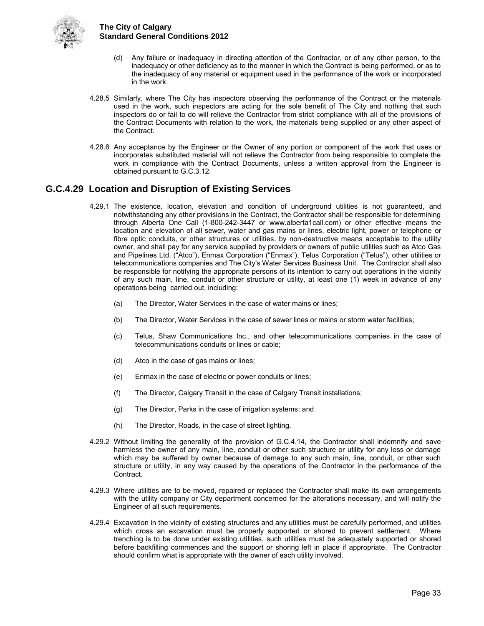

- (d) Any failure or inadequacy in directing attention of the Contractor, or of any other person, to the inadequacy or other deficiency as to the manner in which the Contract is being performed, or as to the inadequacy of any material or equipment used in the performance of the work or incorporated in the work.
- 4.28.5 Similarly, where The City has inspectors observing the performance of the Contract or the materials used in the work, such inspectors are acting for the sole benefit of The City and nothing that such inspectors do or fail to do will relieve the Contractor from strict compliance with all of the provisions of the Contract Documents with relation to the work, the materials being supplied or any other aspect of the Contract.
- 4.28.6 Any acceptance by the Engineer or the Owner of any portion or component of the work that uses or incorporates substituted material will not relieve the Contractor from being responsible to complete the work in compliance with the Contract Documents, unless a written approval from the Engineer is obtained pursuant to G.C.3.12.

## <span id="page-36-0"></span>**G.C.4.29 Location and Disruption of Existing Services**

- 4.29.1 The existence, location, elevation and condition of underground utilities is not guaranteed, and notwithstanding any other provisions in the Contract, the Contractor shall be responsible for determining through Alberta One Call (1-800-242-3447 or www.alberta1call.com) or other effective means the location and elevation of all sewer, water and gas mains or lines, electric light, power or telephone or fibre optic conduits, or other structures or utilities, by non-destructive means acceptable to the utility owner, and shall pay for any service supplied by providers or owners of public utilities such as Atco Gas and Pipelines Ltd. ("Atco"), Enmax Corporation ("Enmax"), Telus Corporation ("Telus"), other utilities or telecommunications companies and The City's Water Services Business Unit. The Contractor shall also be responsible for notifying the appropriate persons of its intention to carry out operations in the vicinity of any such main, line, conduit or other structure or utility, at least one (1) week in advance of any operations being carried out, including:
	- (a) The Director, Water Services in the case of water mains or lines;
	- (b) The Director, Water Services in the case of sewer lines or mains or storm water facilities;
	- (c) Telus, Shaw Communications Inc., and other telecommunications companies in the case of telecommunications conduits or lines or cable;
	- (d) Atco in the case of gas mains or lines;
	- (e) Enmax in the case of electric or power conduits or lines;
	- (f) The Director, Calgary Transit in the case of Calgary Transit installations;
	- (g) The Director, Parks in the case of irrigation systems; and
	- (h) The Director, Roads, in the case of street lighting.
- 4.29.2 Without limiting the generality of the provision of G.C.4.14, the Contractor shall indemnify and save harmless the owner of any main, line, conduit or other such structure or utility for any loss or damage which may be suffered by owner because of damage to any such main, line, conduit, or other such structure or utility, in any way caused by the operations of the Contractor in the performance of the Contract.
- 4.29.3 Where utilities are to be moved, repaired or replaced the Contractor shall make its own arrangements with the utility company or City department concerned for the alterations necessary, and will notify the Engineer of all such requirements.
- 4.29.4 Excavation in the vicinity of existing structures and any utilities must be carefully performed, and utilities which cross an excavation must be properly supported or shored to prevent settlement. Where trenching is to be done under existing utilities, such utilities must be adequately supported or shored before backfilling commences and the support or shoring left in place if appropriate. The Contractor should confirm what is appropriate with the owner of each utility involved.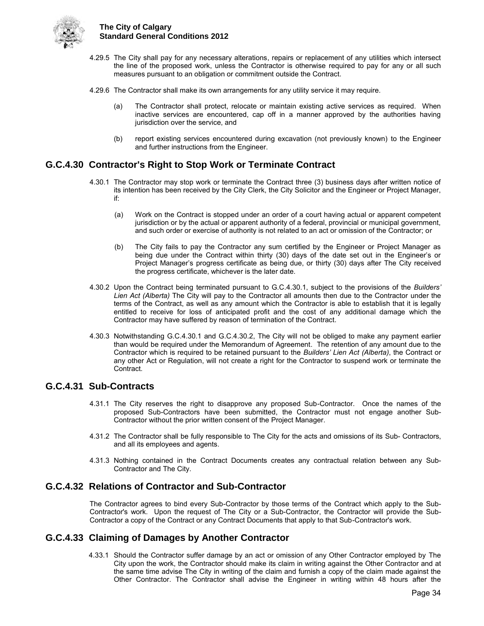

- 4.29.5 The City shall pay for any necessary alterations, repairs or replacement of any utilities which intersect the line of the proposed work, unless the Contractor is otherwise required to pay for any or all such measures pursuant to an obligation or commitment outside the Contract.
- 4.29.6 The Contractor shall make its own arrangements for any utility service it may require.
	- (a) The Contractor shall protect, relocate or maintain existing active services as required. When inactive services are encountered, cap off in a manner approved by the authorities having jurisdiction over the service, and
	- (b) report existing services encountered during excavation (not previously known) to the Engineer and further instructions from the Engineer.

## <span id="page-37-0"></span>**G.C.4.30 Contractor's Right to Stop Work or Terminate Contract**

- 4.30.1 The Contractor may stop work or terminate the Contract three (3) business days after written notice of its intention has been received by the City Clerk, the City Solicitor and the Engineer or Project Manager, if:
	- (a) Work on the Contract is stopped under an order of a court having actual or apparent competent jurisdiction or by the actual or apparent authority of a federal, provincial or municipal government, and such order or exercise of authority is not related to an act or omission of the Contractor; or
	- (b) The City fails to pay the Contractor any sum certified by the Engineer or Project Manager as being due under the Contract within thirty (30) days of the date set out in the Engineer's or Project Manager's progress certificate as being due, or thirty (30) days after The City received the progress certificate, whichever is the later date.
- 4.30.2 Upon the Contract being terminated pursuant to G.C.4.30.1, subject to the provisions of the *Builders' Lien Act (Alberta)* The City will pay to the Contractor all amounts then due to the Contractor under the terms of the Contract, as well as any amount which the Contractor is able to establish that it is legally entitled to receive for loss of anticipated profit and the cost of any additional damage which the Contractor may have suffered by reason of termination of the Contract.
- 4.30.3 Notwithstanding G.C.4.30.1 and G.C.4.30.2, The City will not be obliged to make any payment earlier than would be required under the Memorandum of Agreement. The retention of any amount due to the Contractor which is required to be retained pursuant to the *Builders' Lien Act (Alberta)*, the Contract or any other Act or Regulation, will not create a right for the Contractor to suspend work or terminate the Contract.

## <span id="page-37-1"></span>**G.C.4.31 Sub-Contracts**

- 4.31.1 The City reserves the right to disapprove any proposed Sub-Contractor. Once the names of the proposed Sub-Contractors have been submitted, the Contractor must not engage another Sub-Contractor without the prior written consent of the Project Manager.
- 4.31.2 The Contractor shall be fully responsible to The City for the acts and omissions of its Sub- Contractors, and all its employees and agents.
- 4.31.3 Nothing contained in the Contract Documents creates any contractual relation between any Sub-Contractor and The City.

## <span id="page-37-2"></span>**G.C.4.32 Relations of Contractor and Sub-Contractor**

The Contractor agrees to bind every Sub-Contractor by those terms of the Contract which apply to the Sub-Contractor's work. Upon the request of The City or a Sub-Contractor, the Contractor will provide the Sub-Contractor a copy of the Contract or any Contract Documents that apply to that Sub-Contractor's work.

## <span id="page-37-3"></span>**G.C.4.33 Claiming of Damages by Another Contractor**

4.33.1 Should the Contractor suffer damage by an act or omission of any Other Contractor employed by The City upon the work, the Contractor should make its claim in writing against the Other Contractor and at the same time advise The City in writing of the claim and furnish a copy of the claim made against the Other Contractor. The Contractor shall advise the Engineer in writing within 48 hours after the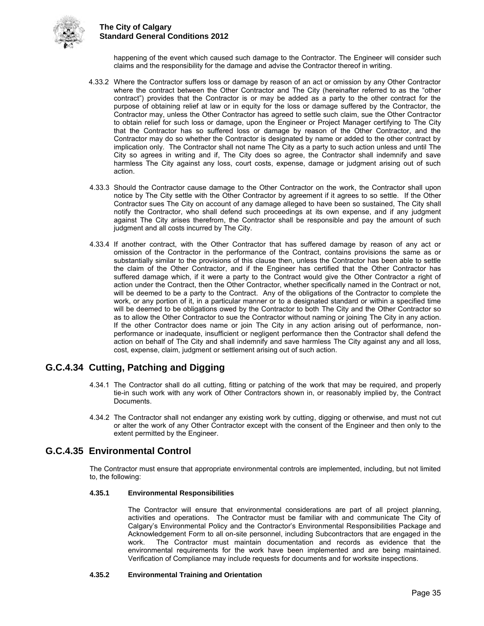

happening of the event which caused such damage to the Contractor. The Engineer will consider such claims and the responsibility for the damage and advise the Contractor thereof in writing.

- 4.33.2 Where the Contractor suffers loss or damage by reason of an act or omission by any Other Contractor where the contract between the Other Contractor and The City (hereinafter referred to as the "other contract") provides that the Contractor is or may be added as a party to the other contract for the purpose of obtaining relief at law or in equity for the loss or damage suffered by the Contractor, the Contractor may, unless the Other Contractor has agreed to settle such claim, sue the Other Contractor to obtain relief for such loss or damage, upon the Engineer or Project Manager certifying to The City that the Contractor has so suffered loss or damage by reason of the Other Contractor, and the Contractor may do so whether the Contractor is designated by name or added to the other contract by implication only. The Contractor shall not name The City as a party to such action unless and until The City so agrees in writing and if, The City does so agree, the Contractor shall indemnify and save harmless The City against any loss, court costs, expense, damage or judgment arising out of such action.
- 4.33.3 Should the Contractor cause damage to the Other Contractor on the work, the Contractor shall upon notice by The City settle with the Other Contractor by agreement if it agrees to so settle. If the Other Contractor sues The City on account of any damage alleged to have been so sustained, The City shall notify the Contractor, who shall defend such proceedings at its own expense, and if any judgment against The City arises therefrom, the Contractor shall be responsible and pay the amount of such judgment and all costs incurred by The City.
- 4.33.4 If another contract, with the Other Contractor that has suffered damage by reason of any act or omission of the Contractor in the performance of the Contract, contains provisions the same as or substantially similar to the provisions of this clause then, unless the Contractor has been able to settle the claim of the Other Contractor, and if the Engineer has certified that the Other Contractor has suffered damage which, if it were a party to the Contract would give the Other Contractor a right of action under the Contract, then the Other Contractor, whether specifically named in the Contract or not, will be deemed to be a party to the Contract. Any of the obligations of the Contractor to complete the work, or any portion of it, in a particular manner or to a designated standard or within a specified time will be deemed to be obligations owed by the Contractor to both The City and the Other Contractor so as to allow the Other Contractor to sue the Contractor without naming or joining The City in any action. If the other Contractor does name or join The City in any action arising out of performance, nonperformance or inadequate, insufficient or negligent performance then the Contractor shall defend the action on behalf of The City and shall indemnify and save harmless The City against any and all loss, cost, expense, claim, judgment or settlement arising out of such action.

## <span id="page-38-0"></span>**G.C.4.34 Cutting, Patching and Digging**

- 4.34.1 The Contractor shall do all cutting, fitting or patching of the work that may be required, and properly tie-in such work with any work of Other Contractors shown in, or reasonably implied by, the Contract Documents.
- 4.34.2 The Contractor shall not endanger any existing work by cutting, digging or otherwise, and must not cut or alter the work of any Other Contractor except with the consent of the Engineer and then only to the extent permitted by the Engineer.

## <span id="page-38-1"></span>**G.C.4.35 Environmental Control**

The Contractor must ensure that appropriate environmental controls are implemented, including, but not limited to, the following:

#### **4.35.1 Environmental Responsibilities**

The Contractor will ensure that environmental considerations are part of all project planning, activities and operations. The Contractor must be familiar with and communicate The City of Calgary's Environmental Policy and the Contractor's Environmental Responsibilities Package and Acknowledgement Form to all on-site personnel, including Subcontractors that are engaged in the work. The Contractor must maintain documentation and records as evidence that the environmental requirements for the work have been implemented and are being maintained. Verification of Compliance may include requests for documents and for worksite inspections.

#### **4.35.2 Environmental Training and Orientation**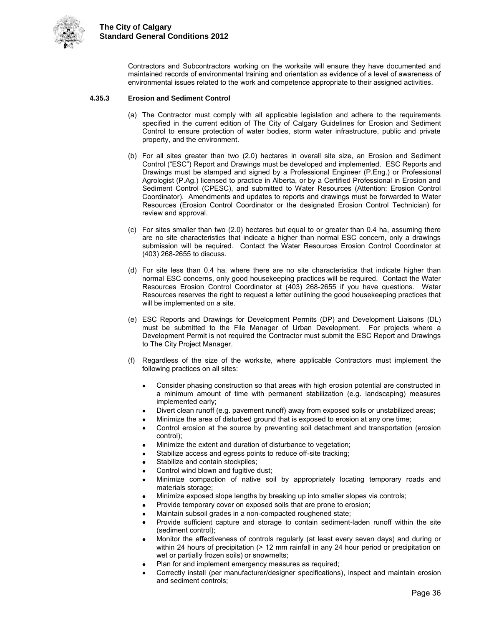

Contractors and Subcontractors working on the worksite will ensure they have documented and maintained records of environmental training and orientation as evidence of a level of awareness of environmental issues related to the work and competence appropriate to their assigned activities.

#### **4.35.3 Erosion and Sediment Control**

- (a) The Contractor must comply with all applicable legislation and adhere to the requirements specified in the current edition of The City of Calgary Guidelines for Erosion and Sediment Control to ensure protection of water bodies, storm water infrastructure, public and private property, and the environment.
- (b) For all sites greater than two (2.0) hectares in overall site size, an Erosion and Sediment Control ("ESC") Report and Drawings must be developed and implemented. ESC Reports and Drawings must be stamped and signed by a Professional Engineer (P.Eng.) or Professional Agrologist (P.Ag.) licensed to practice in Alberta, or by a Certified Professional in Erosion and Sediment Control (CPESC), and submitted to Water Resources (Attention: Erosion Control Coordinator). Amendments and updates to reports and drawings must be forwarded to Water Resources (Erosion Control Coordinator or the designated Erosion Control Technician) for review and approval.
- (c) For sites smaller than two (2.0) hectares but equal to or greater than 0.4 ha, assuming there are no site characteristics that indicate a higher than normal ESC concern, only a drawings submission will be required. Contact the Water Resources Erosion Control Coordinator at (403) 268-2655 to discuss.
- (d) For site less than 0.4 ha. where there are no site characteristics that indicate higher than normal ESC concerns, only good housekeeping practices will be required. Contact the Water Resources Erosion Control Coordinator at (403) 268-2655 if you have questions. Water Resources reserves the right to request a letter outlining the good housekeeping practices that will be implemented on a site.
- (e) ESC Reports and Drawings for Development Permits (DP) and Development Liaisons (DL) must be submitted to the File Manager of Urban Development. For projects where a Development Permit is not required the Contractor must submit the ESC Report and Drawings to The City Project Manager.
- (f) Regardless of the size of the worksite, where applicable Contractors must implement the following practices on all sites:
	- Consider phasing construction so that areas with high erosion potential are constructed in a minimum amount of time with permanent stabilization (e.g. landscaping) measures implemented early;
	- Divert clean runoff (e.g. pavement runoff) away from exposed soils or unstabilized areas;
	- Minimize the area of disturbed ground that is exposed to erosion at any one time;
	- Control erosion at the source by preventing soil detachment and transportation (erosion control);
	- Minimize the extent and duration of disturbance to vegetation;
	- Stabilize access and egress points to reduce off-site tracking;
	- Stabilize and contain stockpiles;
	- Control wind blown and fugitive dust;
	- Minimize compaction of native soil by appropriately locating temporary roads and materials storage;
	- Minimize exposed slope lengths by breaking up into smaller slopes via controls;
	- Provide temporary cover on exposed soils that are prone to erosion;
	- Maintain subsoil grades in a non-compacted roughened state;
	- Provide sufficient capture and storage to contain sediment-laden runoff within the site (sediment control);
	- Monitor the effectiveness of controls regularly (at least every seven days) and during or within 24 hours of precipitation (> 12 mm rainfall in any 24 hour period or precipitation on wet or partially frozen soils) or snowmelts;
	- Plan for and implement emergency measures as required;
	- Correctly install (per manufacturer/designer specifications), inspect and maintain erosion and sediment controls;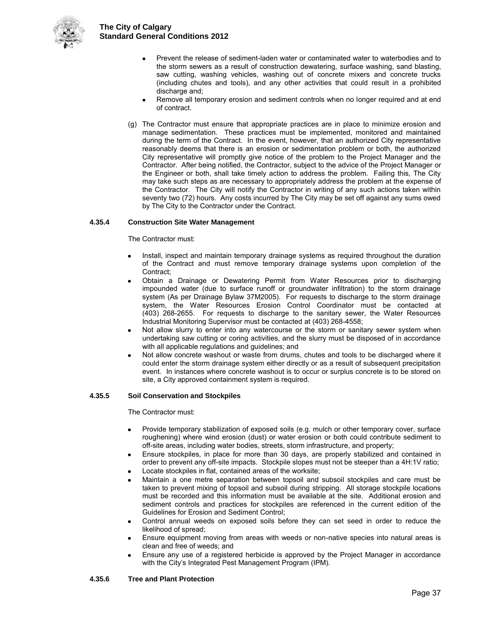

- Prevent the release of sediment-laden water or contaminated water to waterbodies and to the storm sewers as a result of construction dewatering, surface washing, sand blasting, saw cutting, washing vehicles, washing out of concrete mixers and concrete trucks (including chutes and tools), and any other activities that could result in a prohibited discharge and;
- Remove all temporary erosion and sediment controls when no longer required and at end of contract.
- (g) The Contractor must ensure that appropriate practices are in place to minimize erosion and manage sedimentation. These practices must be implemented, monitored and maintained during the term of the Contract. In the event, however, that an authorized City representative reasonably deems that there is an erosion or sedimentation problem or both, the authorized City representative will promptly give notice of the problem to the Project Manager and the Contractor. After being notified, the Contractor, subject to the advice of the Project Manager or the Engineer or both, shall take timely action to address the problem. Failing this, The City may take such steps as are necessary to appropriately address the problem at the expense of the Contractor. The City will notify the Contractor in writing of any such actions taken within seventy two (72) hours. Any costs incurred by The City may be set off against any sums owed by The City to the Contractor under the Contract.

#### **4.35.4 Construction Site Water Management**

#### The Contractor must:

- Install, inspect and maintain temporary drainage systems as required throughout the duration of the Contract and must remove temporary drainage systems upon completion of the Contract;
- Obtain a Drainage or Dewatering Permit from Water Resources prior to discharging impounded water (due to surface runoff or groundwater infiltration) to the storm drainage system (As per Drainage Bylaw 37M2005). For requests to discharge to the storm drainage system, the Water Resources Erosion Control Coordinator must be contacted at (403) 268-2655. For requests to discharge to the sanitary sewer, the Water Resources Industrial Monitoring Supervisor must be contacted at (403) 268-4558;
- Not allow slurry to enter into any watercourse or the storm or sanitary sewer system when undertaking saw cutting or coring activities, and the slurry must be disposed of in accordance with all applicable regulations and guidelines; and
- Not allow concrete washout or waste from drums, chutes and tools to be discharged where it could enter the storm drainage system either directly or as a result of subsequent precipitation event. In instances where concrete washout is to occur or surplus concrete is to be stored on site, a City approved containment system is required.

#### **4.35.5 Soil Conservation and Stockpiles**

The Contractor must:

- Provide temporary stabilization of exposed soils (e.g. mulch or other temporary cover, surface roughening) where wind erosion (dust) or water erosion or both could contribute sediment to off-site areas, including water bodies, streets, storm infrastructure, and property;
- Ensure stockpiles, in place for more than 30 days, are properly stabilized and contained in order to prevent any off-site impacts. Stockpile slopes must not be steeper than a 4H:1V ratio;
- Locate stockpiles in flat, contained areas of the worksite;
- Maintain a one metre separation between topsoil and subsoil stockpiles and care must be taken to prevent mixing of topsoil and subsoil during stripping. All storage stockpile locations must be recorded and this information must be available at the site. Additional erosion and sediment controls and practices for stockpiles are referenced in the current edition of the Guidelines for Erosion and Sediment Control;
- Control annual weeds on exposed soils before they can set seed in order to reduce the likelihood of spread;
- Ensure equipment moving from areas with weeds or non-native species into natural areas is clean and free of weeds; and
- Ensure any use of a registered herbicide is approved by the Project Manager in accordance with the City's Integrated Pest Management Program (IPM).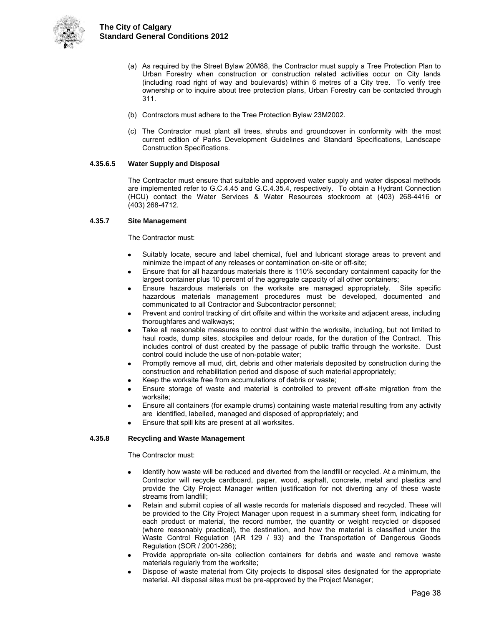

- (a) As required by the Street Bylaw 20M88, the Contractor must supply a Tree Protection Plan to Urban Forestry when construction or construction related activities occur on City lands (including road right of way and boulevards) within 6 metres of a City tree. To verify tree ownership or to inquire about tree protection plans, Urban Forestry can be contacted through 311.
- (b) Contractors must adhere to the Tree Protection Bylaw 23M2002.
- (c) The Contractor must plant all trees, shrubs and groundcover in conformity with the most current edition of Parks Development Guidelines and Standard Specifications, Landscape Construction Specifications.

#### **4.35.6.5 Water Supply and Disposal**

The Contractor must ensure that suitable and approved water supply and water disposal methods are implemented refer to G.C.4.45 and G.C.4.35.4, respectively. To obtain a Hydrant Connection (HCU) contact the Water Services & Water Resources stockroom at (403) 268-4416 or (403) 268-4712.

#### **4.35.7 Site Management**

The Contractor must:

- Suitably locate, secure and label chemical, fuel and lubricant storage areas to prevent and minimize the impact of any releases or contamination on-site or off-site;
- Ensure that for all hazardous materials there is 110% secondary containment capacity for the largest container plus 10 percent of the aggregate capacity of all other containers;
- Ensure hazardous materials on the worksite are managed appropriately. Site specific hazardous materials management procedures must be developed, documented and communicated to all Contractor and Subcontractor personnel;
- Prevent and control tracking of dirt offsite and within the worksite and adjacent areas, including thoroughfares and walkways;
- Take all reasonable measures to control dust within the worksite, including, but not limited to haul roads, dump sites, stockpiles and detour roads, for the duration of the Contract. This includes control of dust created by the passage of public traffic through the worksite. Dust control could include the use of non-potable water;
- Promptly remove all mud, dirt, debris and other materials deposited by construction during the construction and rehabilitation period and dispose of such material appropriately;
- Keep the worksite free from accumulations of debris or waste;
- Ensure storage of waste and material is controlled to prevent off-site migration from the worksite;
- Ensure all containers (for example drums) containing waste material resulting from any activity are identified, labelled, managed and disposed of appropriately; and
- Ensure that spill kits are present at all worksites.

#### **4.35.8 Recycling and Waste Management**

The Contractor must:

- Identify how waste will be reduced and diverted from the landfill or recycled. At a minimum, the Contractor will recycle cardboard, paper, wood, asphalt, concrete, metal and plastics and provide the City Project Manager written justification for not diverting any of these waste streams from landfill;
- Retain and submit copies of all waste records for materials disposed and recycled. These will be provided to the City Project Manager upon request in a summary sheet form, indicating for each product or material, the record number, the quantity or weight recycled or disposed (where reasonably practical), the destination, and how the material is classified under the Waste Control Regulation (AR 129 / 93) and the Transportation of Dangerous Goods Regulation (SOR / 2001-286);
- Provide appropriate on-site collection containers for debris and waste and remove waste materials regularly from the worksite;
- Dispose of waste material from City projects to disposal sites designated for the appropriate material. All disposal sites must be pre-approved by the Project Manager;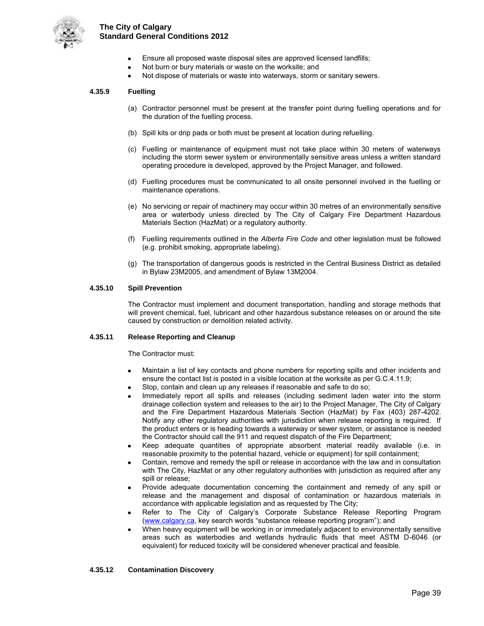

- Ensure all proposed waste disposal sites are approved licensed landfills;
- Not burn or bury materials or waste on the worksite; and
- Not dispose of materials or waste into waterways, storm or sanitary sewers.

#### **4.35.9 Fuelling**

- (a) Contractor personnel must be present at the transfer point during fuelling operations and for the duration of the fuelling process.
- (b) Spill kits or drip pads or both must be present at location during refuelling.
- (c) Fuelling or maintenance of equipment must not take place within 30 meters of waterways including the storm sewer system or environmentally sensitive areas unless a written standard operating procedure is developed, approved by the Project Manager, and followed.
- (d) Fuelling procedures must be communicated to all onsite personnel involved in the fuelling or maintenance operations.
- (e) No servicing or repair of machinery may occur within 30 metres of an environmentally sensitive area or waterbody unless directed by The City of Calgary Fire Department Hazardous Materials Section (HazMat) or a regulatory authority.
- (f) Fuelling requirements outlined in the *Alberta Fire Code* and other legislation must be followed (e.g. prohibit smoking, appropriate labeling).
- (g) The transportation of dangerous goods is restricted in the Central Business District as detailed in Bylaw 23M2005, and amendment of Bylaw 13M2004.

#### **4.35.10 Spill Prevention**

The Contractor must implement and document transportation, handling and storage methods that will prevent chemical, fuel, lubricant and other hazardous substance releases on or around the site caused by construction or demolition related activity.

#### **4.35.11 Release Reporting and Cleanup**

The Contractor must:

- Maintain a list of key contacts and phone numbers for reporting spills and other incidents and ensure the contact list is posted in a visible location at the worksite as per G.C.4.11.9;
- Stop, contain and clean up any releases if reasonable and safe to do so;
- Immediately report all spills and releases (including sediment laden water into the storm drainage collection system and releases to the air) to the Project Manager, The City of Calgary and the Fire Department Hazardous Materials Section (HazMat) by Fax (403) 287-4202. Notify any other regulatory authorities with jurisdiction when release reporting is required. If the product enters or is heading towards a waterway or sewer system, or assistance is needed the Contractor should call the 911 and request dispatch of the Fire Department;
- Keep adequate quantities of appropriate absorbent material readily available (i.e. in reasonable proximity to the potential hazard, vehicle or equipment) for spill containment;
- Contain, remove and remedy the spill or release in accordance with the law and in consultation with The City, HazMat or any other regulatory authorities with jurisdiction as required after any spill or release;
- Provide adequate documentation concerning the containment and remedy of any spill or release and the management and disposal of contamination or hazardous materials in accordance with applicable legislation and as requested by The City;
- Refer to The City of Calgary's Corporate Substance Release Reporting Program [\(www.calgary.ca,](http://www.calgary.ca/) key search words "substance release reporting program"); and
- When heavy equipment will be working in or immediately adjacent to environmentally sensitive areas such as waterbodies and wetlands hydraulic fluids that meet ASTM D-6046 (or equivalent) for reduced toxicity will be considered whenever practical and feasible.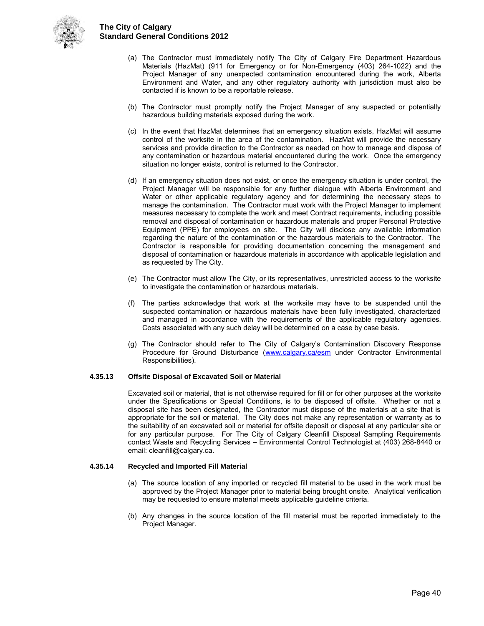

- (a) The Contractor must immediately notify The City of Calgary Fire Department Hazardous Materials (HazMat) (911 for Emergency or for Non-Emergency (403) 264-1022) and the Project Manager of any unexpected contamination encountered during the work, Alberta Environment and Water, and any other regulatory authority with jurisdiction must also be contacted if is known to be a reportable release.
- (b) The Contractor must promptly notify the Project Manager of any suspected or potentially hazardous building materials exposed during the work.
- (c) In the event that HazMat determines that an emergency situation exists, HazMat will assume control of the worksite in the area of the contamination. HazMat will provide the necessary services and provide direction to the Contractor as needed on how to manage and dispose of any contamination or hazardous material encountered during the work. Once the emergency situation no longer exists, control is returned to the Contractor.
- (d) If an emergency situation does not exist, or once the emergency situation is under control, the Project Manager will be responsible for any further dialogue with Alberta Environment and Water or other applicable regulatory agency and for determining the necessary steps to manage the contamination. The Contractor must work with the Project Manager to implement measures necessary to complete the work and meet Contract requirements, including possible removal and disposal of contamination or hazardous materials and proper Personal Protective Equipment (PPE) for employees on site. The City will disclose any available information regarding the nature of the contamination or the hazardous materials to the Contractor. The Contractor is responsible for providing documentation concerning the management and disposal of contamination or hazardous materials in accordance with applicable legislation and as requested by The City.
- (e) The Contractor must allow The City, or its representatives, unrestricted access to the worksite to investigate the contamination or hazardous materials.
- (f) The parties acknowledge that work at the worksite may have to be suspended until the suspected contamination or hazardous materials have been fully investigated, characterized and managed in accordance with the requirements of the applicable regulatory agencies. Costs associated with any such delay will be determined on a case by case basis.
- (g) The Contractor should refer to The City of Calgary's Contamination Discovery Response Procedure for Ground Disturbance [\(www.calgary.ca/esm](http://www.calgary.ca/esm) under Contractor Environmental Responsibilities).

#### **4.35.13 Offsite Disposal of Excavated Soil or Material**

Excavated soil or material, that is not otherwise required for fill or for other purposes at the worksite under the Specifications or Special Conditions, is to be disposed of offsite. Whether or not a disposal site has been designated, the Contractor must dispose of the materials at a site that is appropriate for the soil or material. The City does not make any representation or warranty as to the suitability of an excavated soil or material for offsite deposit or disposal at any particular site or for any particular purpose. For The City of Calgary Cleanfill Disposal Sampling Requirements contact Waste and Recycling Services – Environmental Control Technologist at (403) 268-8440 or email: cleanfill@calgary.ca.

#### **4.35.14 Recycled and Imported Fill Material**

- (a) The source location of any imported or recycled fill material to be used in the work must be approved by the Project Manager prior to material being brought onsite. Analytical verification may be requested to ensure material meets applicable guideline criteria.
- (b) Any changes in the source location of the fill material must be reported immediately to the Project Manager.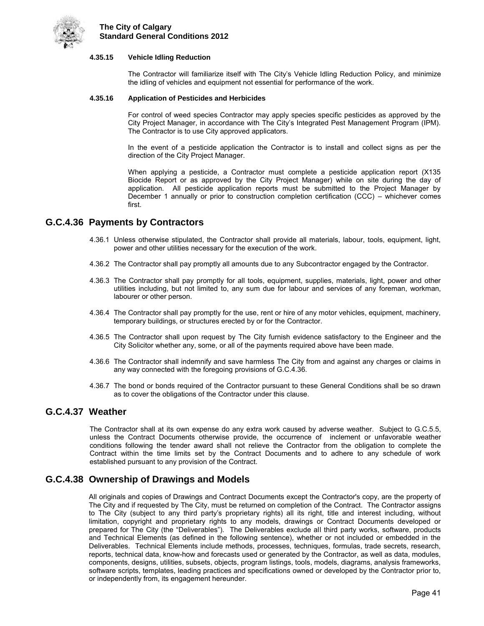

#### **4.35.15 Vehicle Idling Reduction**

The Contractor will familiarize itself with The City's Vehicle Idling Reduction Policy, and minimize the idling of vehicles and equipment not essential for performance of the work.

#### **4.35.16 Application of Pesticides and Herbicides**

For control of weed species Contractor may apply species specific pesticides as approved by the City Project Manager, in accordance with The City's Integrated Pest Management Program (IPM). The Contractor is to use City approved applicators.

In the event of a pesticide application the Contractor is to install and collect signs as per the direction of the City Project Manager.

When applying a pesticide, a Contractor must complete a pesticide application report (X135 Biocide Report or as approved by the City Project Manager) while on site during the day of application. All pesticide application reports must be submitted to the Project Manager by December 1 annually or prior to construction completion certification (CCC) – whichever comes first.

### <span id="page-44-0"></span>**G.C.4.36 Payments by Contractors**

- 4.36.1 Unless otherwise stipulated, the Contractor shall provide all materials, labour, tools, equipment, light, power and other utilities necessary for the execution of the work.
- 4.36.2 The Contractor shall pay promptly all amounts due to any Subcontractor engaged by the Contractor.
- 4.36.3 The Contractor shall pay promptly for all tools, equipment, supplies, materials, light, power and other utilities including, but not limited to, any sum due for labour and services of any foreman, workman, labourer or other person.
- 4.36.4 The Contractor shall pay promptly for the use, rent or hire of any motor vehicles, equipment, machinery, temporary buildings, or structures erected by or for the Contractor.
- 4.36.5 The Contractor shall upon request by The City furnish evidence satisfactory to the Engineer and the City Solicitor whether any, some, or all of the payments required above have been made.
- 4.36.6 The Contractor shall indemnify and save harmless The City from and against any charges or claims in any way connected with the foregoing provisions of G.C.4.36.
- 4.36.7 The bond or bonds required of the Contractor pursuant to these General Conditions shall be so drawn as to cover the obligations of the Contractor under this clause.

#### <span id="page-44-1"></span>**G.C.4.37 Weather**

The Contractor shall at its own expense do any extra work caused by adverse weather. Subject to G.C.5.5, unless the Contract Documents otherwise provide, the occurrence of inclement or unfavorable weather conditions following the tender award shall not relieve the Contractor from the obligation to complete the Contract within the time limits set by the Contract Documents and to adhere to any schedule of work established pursuant to any provision of the Contract.

### <span id="page-44-2"></span>**G.C.4.38 Ownership of Drawings and Models**

All originals and copies of Drawings and Contract Documents except the Contractor's copy, are the property of The City and if requested by The City, must be returned on completion of the Contract. The Contractor assigns to The City (subject to any third party's proprietary rights) all its right, title and interest including, without limitation, copyright and proprietary rights to any models, drawings or Contract Documents developed or prepared for The City (the "Deliverables"). The Deliverables exclude all third party works, software, products and Technical Elements (as defined in the following sentence), whether or not included or embedded in the Deliverables. Technical Elements include methods, processes, techniques, formulas, trade secrets, research, reports, technical data, know-how and forecasts used or generated by the Contractor, as well as data, modules, components, designs, utilities, subsets, objects, program listings, tools, models, diagrams, analysis frameworks, software scripts, templates, leading practices and specifications owned or developed by the Contractor prior to, or independently from, its engagement hereunder.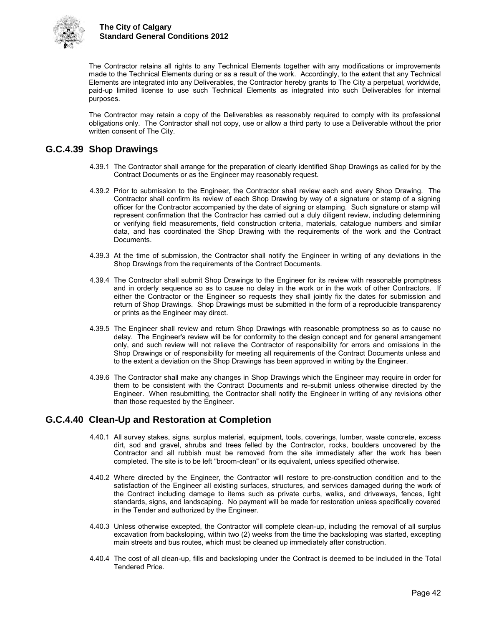

The Contractor retains all rights to any Technical Elements together with any modifications or improvements made to the Technical Elements during or as a result of the work. Accordingly, to the extent that any Technical Elements are integrated into any Deliverables, the Contractor hereby grants to The City a perpetual, worldwide, paid-up limited license to use such Technical Elements as integrated into such Deliverables for internal purposes.

The Contractor may retain a copy of the Deliverables as reasonably required to comply with its professional obligations only. The Contractor shall not copy, use or allow a third party to use a Deliverable without the prior written consent of The City.

## <span id="page-45-0"></span>**G.C.4.39 Shop Drawings**

- 4.39.1 The Contractor shall arrange for the preparation of clearly identified Shop Drawings as called for by the Contract Documents or as the Engineer may reasonably request.
- 4.39.2 Prior to submission to the Engineer, the Contractor shall review each and every Shop Drawing. The Contractor shall confirm its review of each Shop Drawing by way of a signature or stamp of a signing officer for the Contractor accompanied by the date of signing or stamping. Such signature or stamp will represent confirmation that the Contractor has carried out a duly diligent review, including determining or verifying field measurements, field construction criteria, materials, catalogue numbers and similar data, and has coordinated the Shop Drawing with the requirements of the work and the Contract Documents.
- 4.39.3 At the time of submission, the Contractor shall notify the Engineer in writing of any deviations in the Shop Drawings from the requirements of the Contract Documents.
- 4.39.4 The Contractor shall submit Shop Drawings to the Engineer for its review with reasonable promptness and in orderly sequence so as to cause no delay in the work or in the work of other Contractors. If either the Contractor or the Engineer so requests they shall jointly fix the dates for submission and return of Shop Drawings. Shop Drawings must be submitted in the form of a reproducible transparency or prints as the Engineer may direct.
- 4.39.5 The Engineer shall review and return Shop Drawings with reasonable promptness so as to cause no delay. The Engineer's review will be for conformity to the design concept and for general arrangement only, and such review will not relieve the Contractor of responsibility for errors and omissions in the Shop Drawings or of responsibility for meeting all requirements of the Contract Documents unless and to the extent a deviation on the Shop Drawings has been approved in writing by the Engineer.
- 4.39.6 The Contractor shall make any changes in Shop Drawings which the Engineer may require in order for them to be consistent with the Contract Documents and re-submit unless otherwise directed by the Engineer. When resubmitting, the Contractor shall notify the Engineer in writing of any revisions other than those requested by the Engineer.

## <span id="page-45-1"></span>**G.C.4.40 Clean-Up and Restoration at Completion**

- 4.40.1 All survey stakes, signs, surplus material, equipment, tools, coverings, lumber, waste concrete, excess dirt, sod and gravel, shrubs and trees felled by the Contractor, rocks, boulders uncovered by the Contractor and all rubbish must be removed from the site immediately after the work has been completed. The site is to be left "broom-clean" or its equivalent, unless specified otherwise.
- 4.40.2 Where directed by the Engineer, the Contractor will restore to pre-construction condition and to the satisfaction of the Engineer all existing surfaces, structures, and services damaged during the work of the Contract including damage to items such as private curbs, walks, and driveways, fences, light standards, signs, and landscaping. No payment will be made for restoration unless specifically covered in the Tender and authorized by the Engineer.
- 4.40.3 Unless otherwise excepted, the Contractor will complete clean-up, including the removal of all surplus excavation from backsloping, within two (2) weeks from the time the backsloping was started, excepting main streets and bus routes, which must be cleaned up immediately after construction.
- 4.40.4 The cost of all clean-up, fills and backsloping under the Contract is deemed to be included in the Total Tendered Price.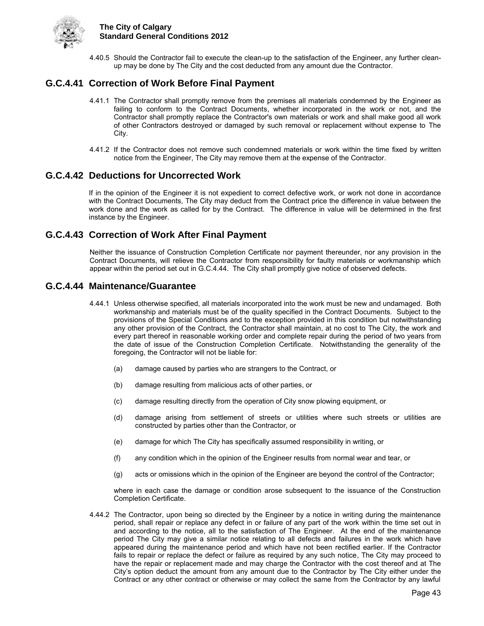

4.40.5 Should the Contractor fail to execute the clean-up to the satisfaction of the Engineer, any further cleanup may be done by The City and the cost deducted from any amount due the Contractor.

## <span id="page-46-0"></span>**G.C.4.41 Correction of Work Before Final Payment**

- 4.41.1 The Contractor shall promptly remove from the premises all materials condemned by the Engineer as failing to conform to the Contract Documents, whether incorporated in the work or not, and the Contractor shall promptly replace the Contractor's own materials or work and shall make good all work of other Contractors destroyed or damaged by such removal or replacement without expense to The City.
- 4.41.2 If the Contractor does not remove such condemned materials or work within the time fixed by written notice from the Engineer, The City may remove them at the expense of the Contractor.

## <span id="page-46-1"></span>**G.C.4.42 Deductions for Uncorrected Work**

If in the opinion of the Engineer it is not expedient to correct defective work, or work not done in accordance with the Contract Documents, The City may deduct from the Contract price the difference in value between the work done and the work as called for by the Contract. The difference in value will be determined in the first instance by the Engineer.

## <span id="page-46-2"></span>**G.C.4.43 Correction of Work After Final Payment**

Neither the issuance of Construction Completion Certificate nor payment thereunder, nor any provision in the Contract Documents, will relieve the Contractor from responsibility for faulty materials or workmanship which appear within the period set out in G.C.4.44. The City shall promptly give notice of observed defects.

### <span id="page-46-3"></span>**G.C.4.44 Maintenance/Guarantee**

- 4.44.1 Unless otherwise specified, all materials incorporated into the work must be new and undamaged. Both workmanship and materials must be of the quality specified in the Contract Documents. Subject to the provisions of the Special Conditions and to the exception provided in this condition but notwithstanding any other provision of the Contract, the Contractor shall maintain, at no cost to The City, the work and every part thereof in reasonable working order and complete repair during the period of two years from the date of issue of the Construction Completion Certificate. Notwithstanding the generality of the foregoing, the Contractor will not be liable for:
	- (a) damage caused by parties who are strangers to the Contract, or
	- (b) damage resulting from malicious acts of other parties, or
	- (c) damage resulting directly from the operation of City snow plowing equipment, or
	- (d) damage arising from settlement of streets or utilities where such streets or utilities are constructed by parties other than the Contractor, or
	- (e) damage for which The City has specifically assumed responsibility in writing, or
	- (f) any condition which in the opinion of the Engineer results from normal wear and tear, or
	- (g) acts or omissions which in the opinion of the Engineer are beyond the control of the Contractor;

 where in each case the damage or condition arose subsequent to the issuance of the Construction Completion Certificate.

4.44.2 The Contractor, upon being so directed by the Engineer by a notice in writing during the maintenance period, shall repair or replace any defect in or failure of any part of the work within the time set out in and according to the notice, all to the satisfaction of The Engineer. At the end of the maintenance period The City may give a similar notice relating to all defects and failures in the work which have appeared during the maintenance period and which have not been rectified earlier. If the Contractor fails to repair or replace the defect or failure as required by any such notice, The City may proceed to have the repair or replacement made and may charge the Contractor with the cost thereof and at The City's option deduct the amount from any amount due to the Contractor by The City either under the Contract or any other contract or otherwise or may collect the same from the Contractor by any lawful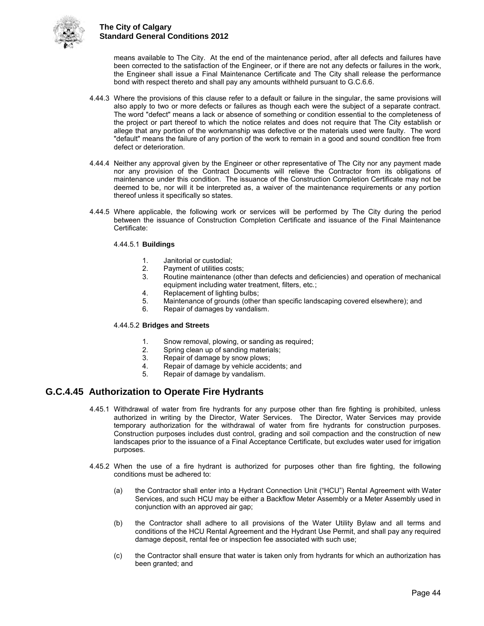

means available to The City. At the end of the maintenance period, after all defects and failures have been corrected to the satisfaction of the Engineer, or if there are not any defects or failures in the work, the Engineer shall issue a Final Maintenance Certificate and The City shall release the performance bond with respect thereto and shall pay any amounts withheld pursuant to G.C.6.6.

- 4.44.3 Where the provisions of this clause refer to a default or failure in the singular, the same provisions will also apply to two or more defects or failures as though each were the subject of a separate contract. The word "defect" means a lack or absence of something or condition essential to the completeness of the project or part thereof to which the notice relates and does not require that The City establish or allege that any portion of the workmanship was defective or the materials used were faulty. The word "default" means the failure of any portion of the work to remain in a good and sound condition free from defect or deterioration.
- 4.44.4 Neither any approval given by the Engineer or other representative of The City nor any payment made nor any provision of the Contract Documents will relieve the Contractor from its obligations of maintenance under this condition. The issuance of the Construction Completion Certificate may not be deemed to be, nor will it be interpreted as, a waiver of the maintenance requirements or any portion thereof unless it specifically so states.
- 4.44.5 Where applicable, the following work or services will be performed by The City during the period between the issuance of Construction Completion Certificate and issuance of the Final Maintenance Certificate:

#### 4.44.5.1 **Buildings**

- 1. Janitorial or custodial;
- 2. Payment of utilities costs;<br>3. Routine maintenance (oth
- 3. Routine maintenance (other than defects and deficiencies) and operation of mechanical equipment including water treatment, filters, etc.;
- 4. Replacement of lighting bulbs;<br>5. Maintenance of grounds (other
- 5. Maintenance of grounds (other than specific landscaping covered elsewhere); and
- Repair of damages by vandalism.

#### 4.44.5.2 **Bridges and Streets**

- 1. Snow removal, plowing, or sanding as required;
- 2. Spring clean up of sanding materials;<br>3. Repair of damage by snow plows:
- Repair of damage by snow plows;
- 4. Repair of damage by vehicle accidents; and<br>5. Repair of damage by vandalism.
- Repair of damage by vandalism.

## <span id="page-47-0"></span>**G.C.4.45 Authorization to Operate Fire Hydrants**

- 4.45.1 Withdrawal of water from fire hydrants for any purpose other than fire fighting is prohibited, unless authorized in writing by the Director, Water Services. The Director, Water Services may provide temporary authorization for the withdrawal of water from fire hydrants for construction purposes. Construction purposes includes dust control, grading and soil compaction and the construction of new landscapes prior to the issuance of a Final Acceptance Certificate, but excludes water used for irrigation purposes.
- 4.45.2 When the use of a fire hydrant is authorized for purposes other than fire fighting, the following conditions must be adhered to:
	- (a) the Contractor shall enter into a Hydrant Connection Unit ("HCU") Rental Agreement with Water Services, and such HCU may be either a Backflow Meter Assembly or a Meter Assembly used in conjunction with an approved air gap;
	- (b) the Contractor shall adhere to all provisions of the Water Utility Bylaw and all terms and conditions of the HCU Rental Agreement and the Hydrant Use Permit, and shall pay any required damage deposit, rental fee or inspection fee associated with such use;
	- (c) the Contractor shall ensure that water is taken only from hydrants for which an authorization has been granted; and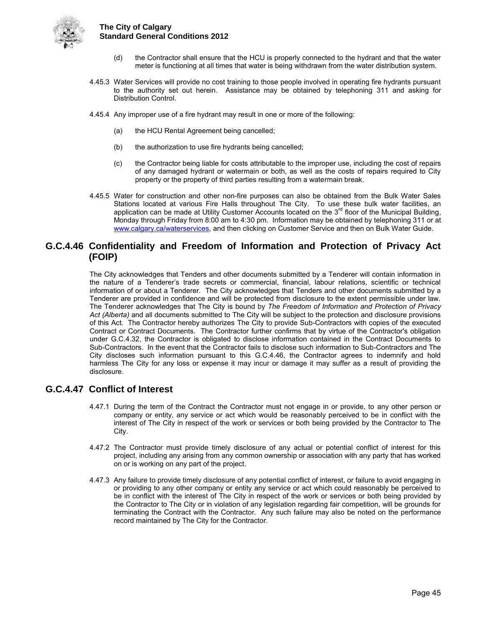

- (d) the Contractor shall ensure that the HCU is properly connected to the hydrant and that the water meter is functioning at all times that water is being withdrawn from the water distribution system.
- 4.45.3 Water Services will provide no cost training to those people involved in operating fire hydrants pursuant to the authority set out herein. Assistance may be obtained by telephoning 311 and asking for Distribution Control.
- 4.45.4 Any improper use of a fire hydrant may result in one or more of the following:
	- (a) the HCU Rental Agreement being cancelled;
	- (b) the authorization to use fire hydrants being cancelled;
	- (c) the Contractor being liable for costs attributable to the improper use, including the cost of repairs of any damaged hydrant or watermain or both, as well as the costs of repairs required to City property or the property of third parties resulting from a watermain break.
- 4.45.5 Water for construction and other non-fire purposes can also be obtained from the Bulk Water Sales Stations located at various Fire Halls throughout The City. To use these bulk water facilities, an application can be made at Utility Customer Accounts located on the  $3<sup>rd</sup>$  floor of the Municipal Building, Monday through Friday from 8:00 am to 4:30 pm. Information may be obtained by telephoning 311 or at [www.calgary.ca/waterservices,](http://www.calgary.ca/waterservices) and then clicking on Customer Service and then on Bulk Water Guide.

## <span id="page-48-0"></span>**G.C.4.46 Confidentiality and Freedom of Information and Protection of Privacy Act (FOIP)**

The City acknowledges that Tenders and other documents submitted by a Tenderer will contain information in the nature of a Tenderer's trade secrets or commercial, financial, labour relations, scientific or technical information of or about a Tenderer. The City acknowledges that Tenders and other documents submitted by a Tenderer are provided in confidence and will be protected from disclosure to the extent permissible under law. The Tenderer acknowledges that The City is bound by *The Freedom of Information and Protection of Privacy Act (Alberta)* and all documents submitted to The City will be subject to the protection and disclosure provisions of this Act. The Contractor hereby authorizes The City to provide Sub-Contractors with copies of the executed Contract or Contract Documents. The Contractor further confirms that by virtue of the Contractor's obligation under G.C.4.32, the Contractor is obligated to disclose information contained in the Contract Documents to Sub-Contractors. In the event that the Contractor fails to disclose such information to Sub-Contractors and The City discloses such information pursuant to this G.C.4.46, the Contractor agrees to indemnify and hold harmless The City for any loss or expense it may incur or damage it may suffer as a result of providing the disclosure.

## <span id="page-48-1"></span>**G.C.4.47 Conflict of Interest**

- 4.47.1 During the term of the Contract the Contractor must not engage in or provide, to any other person or company or entity, any service or act which would be reasonably perceived to be in conflict with the interest of The City in respect of the work or services or both being provided by the Contractor to The City.
- 4.47.2 The Contractor must provide timely disclosure of any actual or potential conflict of interest for this project, including any arising from any common ownership or association with any party that has worked on or is working on any part of the project.
- 4.47.3 Any failure to provide timely disclosure of any potential conflict of interest, or failure to avoid engaging in or providing to any other company or entity any service or act which could reasonably be perceived to be in conflict with the interest of The City in respect of the work or services or both being provided by the Contractor to The City or in violation of any legislation regarding fair competition, will be grounds for terminating the Contract with the Contractor. Any such failure may also be noted on the performance record maintained by The City for the Contractor.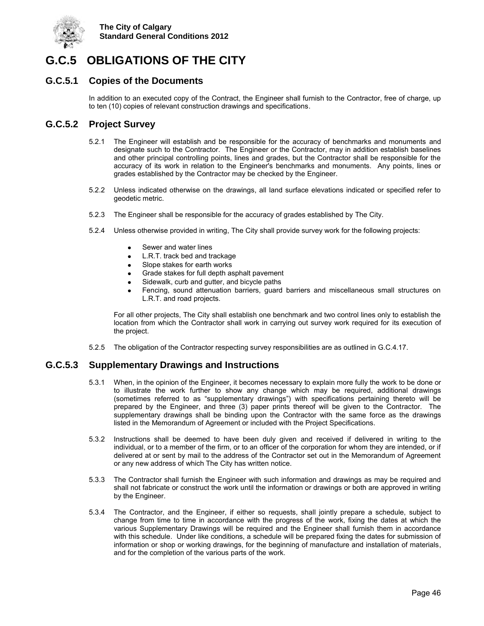

## <span id="page-49-0"></span>**G.C.5 OBLIGATIONS OF THE CITY**

### <span id="page-49-1"></span>**G.C.5.1 Copies of the Documents**

In addition to an executed copy of the Contract, the Engineer shall furnish to the Contractor, free of charge, up to ten (10) copies of relevant construction drawings and specifications.

## <span id="page-49-2"></span>**G.C.5.2 Project Survey**

- 5.2.1 The Engineer will establish and be responsible for the accuracy of benchmarks and monuments and designate such to the Contractor. The Engineer or the Contractor, may in addition establish baselines and other principal controlling points, lines and grades, but the Contractor shall be responsible for the accuracy of its work in relation to the Engineer's benchmarks and monuments. Any points, lines or grades established by the Contractor may be checked by the Engineer.
- 5.2.2 Unless indicated otherwise on the drawings, all land surface elevations indicated or specified refer to geodetic metric.
- 5.2.3 The Engineer shall be responsible for the accuracy of grades established by The City.
- 5.2.4 Unless otherwise provided in writing, The City shall provide survey work for the following projects:
	- Sewer and water lines
	- L.R.T. track bed and trackage
	- Slope stakes for earth works
	- Grade stakes for full depth asphalt pavement
	- Sidewalk, curb and gutter, and bicycle paths
	- Fencing, sound attenuation barriers, guard barriers and miscellaneous small structures on L.R.T. and road projects.

For all other projects, The City shall establish one benchmark and two control lines only to establish the location from which the Contractor shall work in carrying out survey work required for its execution of the project.

5.2.5 The obligation of the Contractor respecting survey responsibilities are as outlined in G.C.4.17.

### <span id="page-49-3"></span>**G.C.5.3 Supplementary Drawings and Instructions**

- 5.3.1 When, in the opinion of the Engineer, it becomes necessary to explain more fully the work to be done or to illustrate the work further to show any change which may be required, additional drawings (sometimes referred to as "supplementary drawings") with specifications pertaining thereto will be prepared by the Engineer, and three (3) paper prints thereof will be given to the Contractor. The supplementary drawings shall be binding upon the Contractor with the same force as the drawings listed in the Memorandum of Agreement or included with the Project Specifications.
- 5.3.2 Instructions shall be deemed to have been duly given and received if delivered in writing to the individual, or to a member of the firm, or to an officer of the corporation for whom they are intended, or if delivered at or sent by mail to the address of the Contractor set out in the Memorandum of Agreement or any new address of which The City has written notice.
- 5.3.3 The Contractor shall furnish the Engineer with such information and drawings as may be required and shall not fabricate or construct the work until the information or drawings or both are approved in writing by the Engineer.
- 5.3.4 The Contractor, and the Engineer, if either so requests, shall jointly prepare a schedule, subject to change from time to time in accordance with the progress of the work, fixing the dates at which the various Supplementary Drawings will be required and the Engineer shall furnish them in accordance with this schedule. Under like conditions, a schedule will be prepared fixing the dates for submission of information or shop or working drawings, for the beginning of manufacture and installation of materials, and for the completion of the various parts of the work.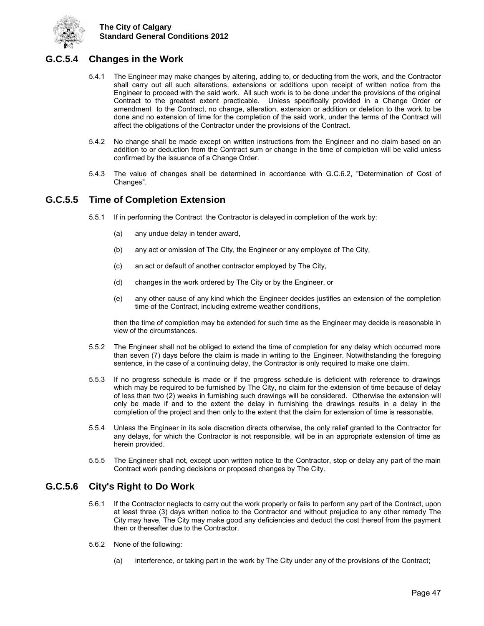

## <span id="page-50-0"></span>**G.C.5.4 Changes in the Work**

- 5.4.1 The Engineer may make changes by altering, adding to, or deducting from the work, and the Contractor shall carry out all such alterations, extensions or additions upon receipt of written notice from the Engineer to proceed with the said work. All such work is to be done under the provisions of the original Contract to the greatest extent practicable. Unless specifically provided in a Change Order or amendment to the Contract, no change, alteration, extension or addition or deletion to the work to be done and no extension of time for the completion of the said work, under the terms of the Contract will affect the obligations of the Contractor under the provisions of the Contract.
- 5.4.2 No change shall be made except on written instructions from the Engineer and no claim based on an addition to or deduction from the Contract sum or change in the time of completion will be valid unless confirmed by the issuance of a Change Order.
- 5.4.3 The value of changes shall be determined in accordance with G.C.6.2, "Determination of Cost of Changes".

### <span id="page-50-1"></span>**G.C.5.5 Time of Completion Extension**

- 5.5.1 If in performing the Contract the Contractor is delayed in completion of the work by:
	- (a) any undue delay in tender award,
	- (b) any act or omission of The City, the Engineer or any employee of The City,
	- (c) an act or default of another contractor employed by The City,
	- (d) changes in the work ordered by The City or by the Engineer, or
	- (e) any other cause of any kind which the Engineer decides justifies an extension of the completion time of the Contract, including extreme weather conditions,

then the time of completion may be extended for such time as the Engineer may decide is reasonable in view of the circumstances.

- 5.5.2 The Engineer shall not be obliged to extend the time of completion for any delay which occurred more than seven (7) days before the claim is made in writing to the Engineer. Notwithstanding the foregoing sentence, in the case of a continuing delay, the Contractor is only required to make one claim.
- 5.5.3 If no progress schedule is made or if the progress schedule is deficient with reference to drawings which may be required to be furnished by The City, no claim for the extension of time because of delay of less than two (2) weeks in furnishing such drawings will be considered. Otherwise the extension will only be made if and to the extent the delay in furnishing the drawings results in a delay in the completion of the project and then only to the extent that the claim for extension of time is reasonable.
- 5.5.4 Unless the Engineer in its sole discretion directs otherwise, the only relief granted to the Contractor for any delays, for which the Contractor is not responsible, will be in an appropriate extension of time as herein provided.
- 5.5.5 The Engineer shall not, except upon written notice to the Contractor, stop or delay any part of the main Contract work pending decisions or proposed changes by The City.

## <span id="page-50-2"></span>**G.C.5.6 City's Right to Do Work**

- 5.6.1 If the Contractor neglects to carry out the work properly or fails to perform any part of the Contract, upon at least three (3) days written notice to the Contractor and without prejudice to any other remedy The City may have, The City may make good any deficiencies and deduct the cost thereof from the payment then or thereafter due to the Contractor.
- 5.6.2 None of the following:
	- (a) interference, or taking part in the work by The City under any of the provisions of the Contract;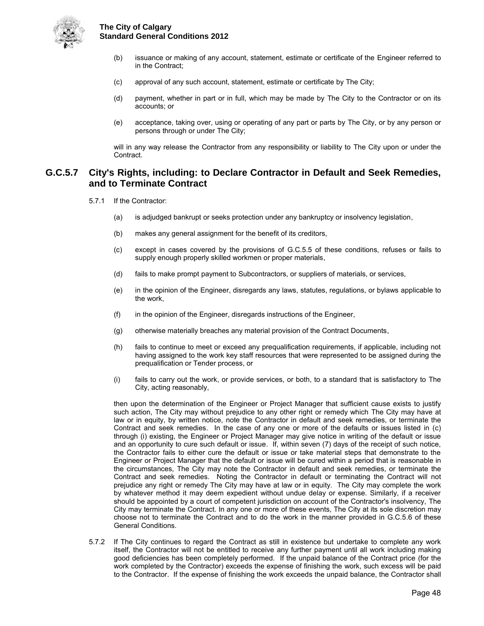

- (b) issuance or making of any account, statement, estimate or certificate of the Engineer referred to in the Contract;
- (c) approval of any such account, statement, estimate or certificate by The City;
- (d) payment, whether in part or in full, which may be made by The City to the Contractor or on its accounts; or
- (e) acceptance, taking over, using or operating of any part or parts by The City, or by any person or persons through or under The City;

will in any way release the Contractor from any responsibility or liability to The City upon or under the Contract.

## <span id="page-51-0"></span>**G.C.5.7 City's Rights, including: to Declare Contractor in Default and Seek Remedies, and to Terminate Contract**

- 5.7.1 If the Contractor:
	- (a) is adjudged bankrupt or seeks protection under any bankruptcy or insolvency legislation,
	- (b) makes any general assignment for the benefit of its creditors,
	- (c) except in cases covered by the provisions of G.C.5.5 of these conditions, refuses or fails to supply enough properly skilled workmen or proper materials,
	- (d) fails to make prompt payment to Subcontractors, or suppliers of materials, or services,
	- (e) in the opinion of the Engineer, disregards any laws, statutes, regulations, or bylaws applicable to the work,
	- (f) in the opinion of the Engineer, disregards instructions of the Engineer,
	- (g) otherwise materially breaches any material provision of the Contract Documents,
	- (h) fails to continue to meet or exceed any prequalification requirements, if applicable, including not having assigned to the work key staff resources that were represented to be assigned during the prequalification or Tender process, or
	- (i) fails to carry out the work, or provide services, or both, to a standard that is satisfactory to The City, acting reasonably,

then upon the determination of the Engineer or Project Manager that sufficient cause exists to justify such action, The City may without prejudice to any other right or remedy which The City may have at law or in equity, by written notice, note the Contractor in default and seek remedies, or terminate the Contract and seek remedies. In the case of any one or more of the defaults or issues listed in (c) through (i) existing, the Engineer or Project Manager may give notice in writing of the default or issue and an opportunity to cure such default or issue. If, within seven (7) days of the receipt of such notice, the Contractor fails to either cure the default or issue or take material steps that demonstrate to the Engineer or Project Manager that the default or issue will be cured within a period that is reasonable in the circumstances, The City may note the Contractor in default and seek remedies, or terminate the Contract and seek remedies. Noting the Contractor in default or terminating the Contract will not prejudice any right or remedy The City may have at law or in equity. The City may complete the work by whatever method it may deem expedient without undue delay or expense. Similarly, if a receiver should be appointed by a court of competent jurisdiction on account of the Contractor's insolvency, The City may terminate the Contract. In any one or more of these events, The City at its sole discretion may choose not to terminate the Contract and to do the work in the manner provided in G.C.5.6 of these General Conditions.

5.7.2 If The City continues to regard the Contract as still in existence but undertake to complete any work itself, the Contractor will not be entitled to receive any further payment until all work including making good deficiencies has been completely performed. If the unpaid balance of the Contract price (for the work completed by the Contractor) exceeds the expense of finishing the work, such excess will be paid to the Contractor. If the expense of finishing the work exceeds the unpaid balance, the Contractor shall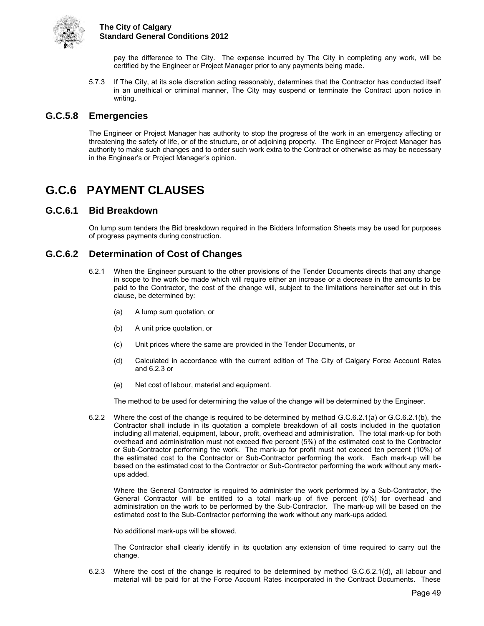

pay the difference to The City. The expense incurred by The City in completing any work, will be certified by the Engineer or Project Manager prior to any payments being made.

5.7.3 If The City, at its sole discretion acting reasonably, determines that the Contractor has conducted itself in an unethical or criminal manner, The City may suspend or terminate the Contract upon notice in writing.

### <span id="page-52-0"></span>**G.C.5.8 Emergencies**

The Engineer or Project Manager has authority to stop the progress of the work in an emergency affecting or threatening the safety of life, or of the structure, or of adjoining property. The Engineer or Project Manager has authority to make such changes and to order such work extra to the Contract or otherwise as may be necessary in the Engineer's or Project Manager's opinion.

## <span id="page-52-1"></span>**G.C.6 PAYMENT CLAUSES**

### <span id="page-52-2"></span>**G.C.6.1 Bid Breakdown**

On lump sum tenders the Bid breakdown required in the Bidders Information Sheets may be used for purposes of progress payments during construction.

## <span id="page-52-3"></span>**G.C.6.2 Determination of Cost of Changes**

- 6.2.1 When the Engineer pursuant to the other provisions of the Tender Documents directs that any change in scope to the work be made which will require either an increase or a decrease in the amounts to be paid to the Contractor, the cost of the change will, subject to the limitations hereinafter set out in this clause, be determined by:
	- (a) A lump sum quotation, or
	- (b) A unit price quotation, or
	- (c) Unit prices where the same are provided in the Tender Documents, or
	- (d) Calculated in accordance with the current edition of The City of Calgary Force Account Rates and 6.2.3 or
	- (e) Net cost of labour, material and equipment.

The method to be used for determining the value of the change will be determined by the Engineer.

6.2.2 Where the cost of the change is required to be determined by method G.C.6.2.1(a) or G.C.6.2.1(b), the Contractor shall include in its quotation a complete breakdown of all costs included in the quotation including all material, equipment, labour, profit, overhead and administration. The total mark-up for both overhead and administration must not exceed five percent (5%) of the estimated cost to the Contractor or Sub-Contractor performing the work. The mark-up for profit must not exceed ten percent (10%) of the estimated cost to the Contractor or Sub-Contractor performing the work. Each mark-up will be based on the estimated cost to the Contractor or Sub-Contractor performing the work without any markups added.

Where the General Contractor is required to administer the work performed by a Sub-Contractor, the General Contractor will be entitled to a total mark-up of five percent (5%) for overhead and administration on the work to be performed by the Sub-Contractor. The mark-up will be based on the estimated cost to the Sub-Contractor performing the work without any mark-ups added.

No additional mark-ups will be allowed.

The Contractor shall clearly identify in its quotation any extension of time required to carry out the change.

6.2.3 Where the cost of the change is required to be determined by method G.C.6.2.1(d), all labour and material will be paid for at the Force Account Rates incorporated in the Contract Documents. These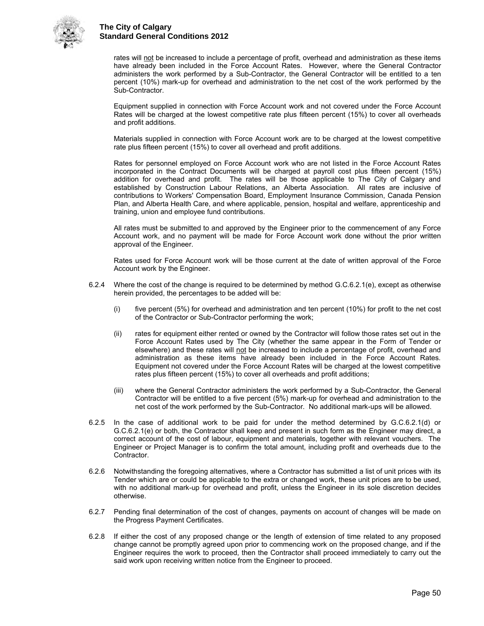

rates will not be increased to include a percentage of profit, overhead and administration as these items have already been included in the Force Account Rates. However, where the General Contractor administers the work performed by a Sub-Contractor, the General Contractor will be entitled to a ten percent (10%) mark-up for overhead and administration to the net cost of the work performed by the Sub-Contractor.

 Equipment supplied in connection with Force Account work and not covered under the Force Account Rates will be charged at the lowest competitive rate plus fifteen percent (15%) to cover all overheads and profit additions.

 Materials supplied in connection with Force Account work are to be charged at the lowest competitive rate plus fifteen percent (15%) to cover all overhead and profit additions.

 Rates for personnel employed on Force Account work who are not listed in the Force Account Rates incorporated in the Contract Documents will be charged at payroll cost plus fifteen percent (15%) addition for overhead and profit. The rates will be those applicable to The City of Calgary and established by Construction Labour Relations, an Alberta Association. All rates are inclusive of contributions to Workers' Compensation Board, Employment Insurance Commission, Canada Pension Plan, and Alberta Health Care, and where applicable, pension, hospital and welfare, apprenticeship and training, union and employee fund contributions.

 All rates must be submitted to and approved by the Engineer prior to the commencement of any Force Account work, and no payment will be made for Force Account work done without the prior written approval of the Engineer.

 Rates used for Force Account work will be those current at the date of written approval of the Force Account work by the Engineer.

- 6.2.4 Where the cost of the change is required to be determined by method G.C.6.2.1(e), except as otherwise herein provided, the percentages to be added will be:
	- (i) five percent (5%) for overhead and administration and ten percent (10%) for profit to the net cost of the Contractor or Sub-Contractor performing the work;
	- (ii) rates for equipment either rented or owned by the Contractor will follow those rates set out in the Force Account Rates used by The City (whether the same appear in the Form of Tender or elsewhere) and these rates will not be increased to include a percentage of profit, overhead and administration as these items have already been included in the Force Account Rates. Equipment not covered under the Force Account Rates will be charged at the lowest competitive rates plus fifteen percent (15%) to cover all overheads and profit additions;
	- (iii) where the General Contractor administers the work performed by a Sub-Contractor, the General Contractor will be entitled to a five percent (5%) mark-up for overhead and administration to the net cost of the work performed by the Sub-Contractor. No additional mark-ups will be allowed.
- 6.2.5 In the case of additional work to be paid for under the method determined by G.C.6.2.1(d) or G.C.6.2.1(e) or both, the Contractor shall keep and present in such form as the Engineer may direct, a correct account of the cost of labour, equipment and materials, together with relevant vouchers. The Engineer or Project Manager is to confirm the total amount, including profit and overheads due to the Contractor.
- 6.2.6 Notwithstanding the foregoing alternatives, where a Contractor has submitted a list of unit prices with its Tender which are or could be applicable to the extra or changed work, these unit prices are to be used, with no additional mark-up for overhead and profit, unless the Engineer in its sole discretion decides otherwise.
- 6.2.7 Pending final determination of the cost of changes, payments on account of changes will be made on the Progress Payment Certificates.
- 6.2.8 If either the cost of any proposed change or the length of extension of time related to any proposed change cannot be promptly agreed upon prior to commencing work on the proposed change, and if the Engineer requires the work to proceed, then the Contractor shall proceed immediately to carry out the said work upon receiving written notice from the Engineer to proceed.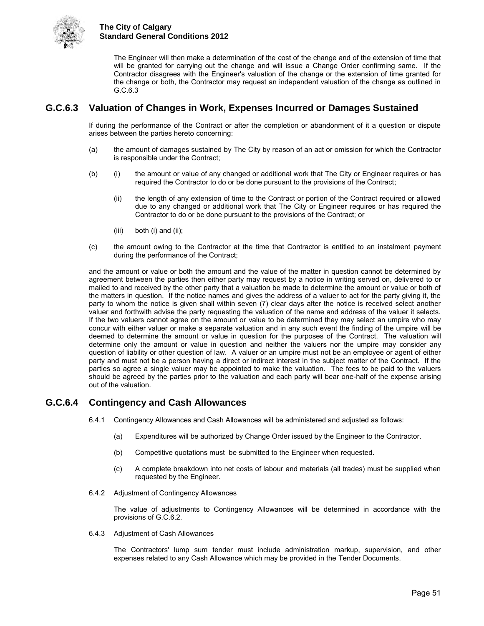

The Engineer will then make a determination of the cost of the change and of the extension of time that will be granted for carrying out the change and will issue a Change Order confirming same. If the Contractor disagrees with the Engineer's valuation of the change or the extension of time granted for the change or both, the Contractor may request an independent valuation of the change as outlined in G.C.6.3

## <span id="page-54-0"></span>**G.C.6.3 Valuation of Changes in Work, Expenses Incurred or Damages Sustained**

If during the performance of the Contract or after the completion or abandonment of it a question or dispute arises between the parties hereto concerning:

- (a) the amount of damages sustained by The City by reason of an act or omission for which the Contractor is responsible under the Contract;
- (b) (i) the amount or value of any changed or additional work that The City or Engineer requires or has required the Contractor to do or be done pursuant to the provisions of the Contract;
	- (ii) the length of any extension of time to the Contract or portion of the Contract required or allowed due to any changed or additional work that The City or Engineer requires or has required the Contractor to do or be done pursuant to the provisions of the Contract; or
	- (iii) both (i) and (ii);
- (c) the amount owing to the Contractor at the time that Contractor is entitled to an instalment payment during the performance of the Contract;

and the amount or value or both the amount and the value of the matter in question cannot be determined by agreement between the parties then either party may request by a notice in writing served on, delivered to or mailed to and received by the other party that a valuation be made to determine the amount or value or both of the matters in question. If the notice names and gives the address of a valuer to act for the party giving it, the party to whom the notice is given shall within seven (7) clear days after the notice is received select another valuer and forthwith advise the party requesting the valuation of the name and address of the valuer it selects. If the two valuers cannot agree on the amount or value to be determined they may select an umpire who may concur with either valuer or make a separate valuation and in any such event the finding of the umpire will be deemed to determine the amount or value in question for the purposes of the Contract. The valuation will determine only the amount or value in question and neither the valuers nor the umpire may consider any question of liability or other question of law. A valuer or an umpire must not be an employee or agent of either party and must not be a person having a direct or indirect interest in the subject matter of the Contract. If the parties so agree a single valuer may be appointed to make the valuation. The fees to be paid to the valuers should be agreed by the parties prior to the valuation and each party will bear one-half of the expense arising out of the valuation.

## <span id="page-54-1"></span>**G.C.6.4 Contingency and Cash Allowances**

- 6.4.1 Contingency Allowances and Cash Allowances will be administered and adjusted as follows:
	- (a) Expenditures will be authorized by Change Order issued by the Engineer to the Contractor.
	- (b) Competitive quotations must be submitted to the Engineer when requested.
	- (c) A complete breakdown into net costs of labour and materials (all trades) must be supplied when requested by the Engineer.
- 6.4.2 Adjustment of Contingency Allowances

The value of adjustments to Contingency Allowances will be determined in accordance with the provisions of G.C.6.2.

6.4.3 Adjustment of Cash Allowances

The Contractors' lump sum tender must include administration markup, supervision, and other expenses related to any Cash Allowance which may be provided in the Tender Documents.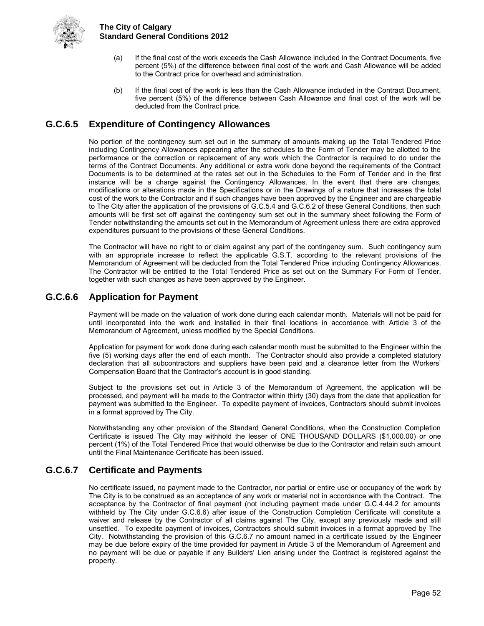

- (a) If the final cost of the work exceeds the Cash Allowance included in the Contract Documents, five percent (5%) of the difference between final cost of the work and Cash Allowance will be added to the Contract price for overhead and administration.
- (b) If the final cost of the work is less than the Cash Allowance included in the Contract Document, five percent (5%) of the difference between Cash Allowance and final cost of the work will be deducted from the Contract price.

## <span id="page-55-0"></span>**G.C.6.5 Expenditure of Contingency Allowances**

No portion of the contingency sum set out in the summary of amounts making up the Total Tendered Price including Contingency Allowances appearing after the schedules to the Form of Tender may be allotted to the performance or the correction or replacement of any work which the Contractor is required to do under the terms of the Contract Documents. Any additional or extra work done beyond the requirements of the Contract Documents is to be determined at the rates set out in the Schedules to the Form of Tender and in the first instance will be a charge against the Contingency Allowances. In the event that there are changes, modifications or alterations made in the Specifications or in the Drawings of a nature that increases the total cost of the work to the Contractor and if such changes have been approved by the Engineer and are chargeable to The City after the application of the provisions of G.C.5.4 and G.C.6.2 of these General Conditions, then such amounts will be first set off against the contingency sum set out in the summary sheet following the Form of Tender notwithstanding the amounts set out in the Memorandum of Agreement unless there are extra approved expenditures pursuant to the provisions of these General Conditions.

The Contractor will have no right to or claim against any part of the contingency sum. Such contingency sum with an appropriate increase to reflect the applicable G.S.T. according to the relevant provisions of the Memorandum of Agreement will be deducted from the Total Tendered Price including Contingency Allowances. The Contractor will be entitled to the Total Tendered Price as set out on the Summary For Form of Tender, together with such changes as have been approved by the Engineer.

## <span id="page-55-1"></span>**G.C.6.6 Application for Payment**

Payment will be made on the valuation of work done during each calendar month. Materials will not be paid for until incorporated into the work and installed in their final locations in accordance with Article 3 of the Memorandum of Agreement, unless modified by the Special Conditions.

Application for payment for work done during each calendar month must be submitted to the Engineer within the five (5) working days after the end of each month. The Contractor should also provide a completed statutory declaration that all subcontractors and suppliers have been paid and a clearance letter from the Workers' Compensation Board that the Contractor's account is in good standing.

Subject to the provisions set out in Article 3 of the Memorandum of Agreement, the application will be processed, and payment will be made to the Contractor within thirty (30) days from the date that application for payment was submitted to the Engineer. To expedite payment of invoices, Contractors should submit invoices in a format approved by The City.

Notwithstanding any other provision of the Standard General Conditions, when the Construction Completion Certificate is issued The City may withhold the lesser of ONE THOUSAND DOLLARS (\$1,000.00) or one percent (1%) of the Total Tendered Price that would otherwise be due to the Contractor and retain such amount until the Final Maintenance Certificate has been issued.

## <span id="page-55-2"></span>**G.C.6.7 Certificate and Payments**

No certificate issued, no payment made to the Contractor, nor partial or entire use or occupancy of the work by The City is to be construed as an acceptance of any work or material not in accordance with the Contract. The acceptance by the Contractor of final payment (not including payment made under G.C.4.44.2 for amounts withheld by The City under G.C.6.6) after issue of the Construction Completion Certificate will constitute a waiver and release by the Contractor of all claims against The City, except any previously made and still unsettled. To expedite payment of invoices, Contractors should submit invoices in a format approved by The City. Notwithstanding the provision of this G.C.6.7 no amount named in a certificate issued by the Engineer may be due before expiry of the time provided for payment in Article 3 of the Memorandum of Agreement and no payment will be due or payable if any Builders' Lien arising under the Contract is registered against the property.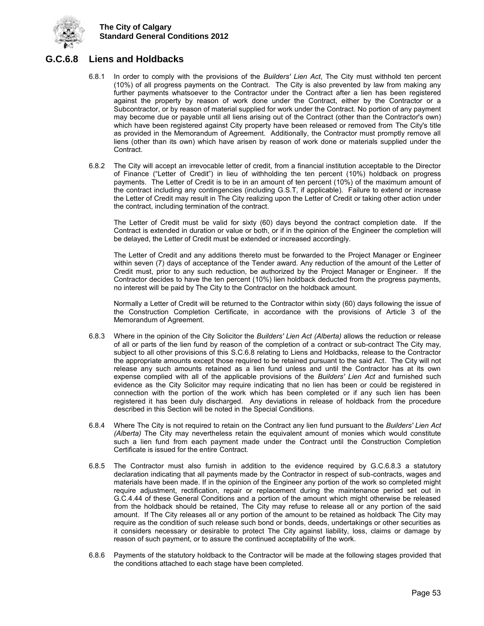

## <span id="page-56-0"></span>**G.C.6.8 Liens and Holdbacks**

- 6.8.1 In order to comply with the provisions of the *Builders' Lien Act*, The City must withhold ten percent (10%) of all progress payments on the Contract. The City is also prevented by law from making any further payments whatsoever to the Contractor under the Contract after a lien has been registered against the property by reason of work done under the Contract, either by the Contractor or a Subcontractor, or by reason of material supplied for work under the Contract. No portion of any payment may become due or payable until all liens arising out of the Contract (other than the Contractor's own) which have been registered against City property have been released or removed from The City's title as provided in the Memorandum of Agreement. Additionally, the Contractor must promptly remove all liens (other than its own) which have arisen by reason of work done or materials supplied under the Contract.
- 6.8.2 The City will accept an irrevocable letter of credit, from a financial institution acceptable to the Director of Finance ("Letter of Credit") in lieu of withholding the ten percent (10%) holdback on progress payments. The Letter of Credit is to be in an amount of ten percent (10%) of the maximum amount of the contract including any contingencies (including G.S.T, if applicable). Failure to extend or increase the Letter of Credit may result in The City realizing upon the Letter of Credit or taking other action under the contract, including termination of the contract.

The Letter of Credit must be valid for sixty (60) days beyond the contract completion date. If the Contract is extended in duration or value or both, or if in the opinion of the Engineer the completion will be delayed, the Letter of Credit must be extended or increased accordingly.

The Letter of Credit and any additions thereto must be forwarded to the Project Manager or Engineer within seven (7) days of acceptance of the Tender award. Any reduction of the amount of the Letter of Credit must, prior to any such reduction, be authorized by the Project Manager or Engineer. If the Contractor decides to have the ten percent (10%) lien holdback deducted from the progress payments, no interest will be paid by The City to the Contractor on the holdback amount.

Normally a Letter of Credit will be returned to the Contractor within sixty (60) days following the issue of the Construction Completion Certificate, in accordance with the provisions of Article 3 of the Memorandum of Agreement.

- 6.8.3 Where in the opinion of the City Solicitor the *Builders' Lien Act (Alberta)* allows the reduction or release of all or parts of the lien fund by reason of the completion of a contract or sub-contract The City may, subject to all other provisions of this S.C.6.8 relating to Liens and Holdbacks, release to the Contractor the appropriate amounts except those required to be retained pursuant to the said Act. The City will not release any such amounts retained as a lien fund unless and until the Contractor has at its own expense complied with all of the applicable provisions of the *Builders' Lien Act* and furnished such evidence as the City Solicitor may require indicating that no lien has been or could be registered in connection with the portion of the work which has been completed or if any such lien has been registered it has been duly discharged. Any deviations in release of holdback from the procedure described in this Section will be noted in the Special Conditions.
- 6.8.4 Where The City is not required to retain on the Contract any lien fund pursuant to the *Builders' Lien Act (Alberta)* The City may nevertheless retain the equivalent amount of monies which would constitute such a lien fund from each payment made under the Contract until the Construction Completion Certificate is issued for the entire Contract.
- 6.8.5 The Contractor must also furnish in addition to the evidence required by G.C.6.8.3 a statutory declaration indicating that all payments made by the Contractor in respect of sub-contracts, wages and materials have been made. If in the opinion of the Engineer any portion of the work so completed might require adjustment, rectification, repair or replacement during the maintenance period set out in G.C.4.44 of these General Conditions and a portion of the amount which might otherwise be released from the holdback should be retained, The City may refuse to release all or any portion of the said amount. If The City releases all or any portion of the amount to be retained as holdback The City may require as the condition of such release such bond or bonds, deeds, undertakings or other securities as it considers necessary or desirable to protect The City against liability, loss, claims or damage by reason of such payment, or to assure the continued acceptability of the work.
- 6.8.6 Payments of the statutory holdback to the Contractor will be made at the following stages provided that the conditions attached to each stage have been completed.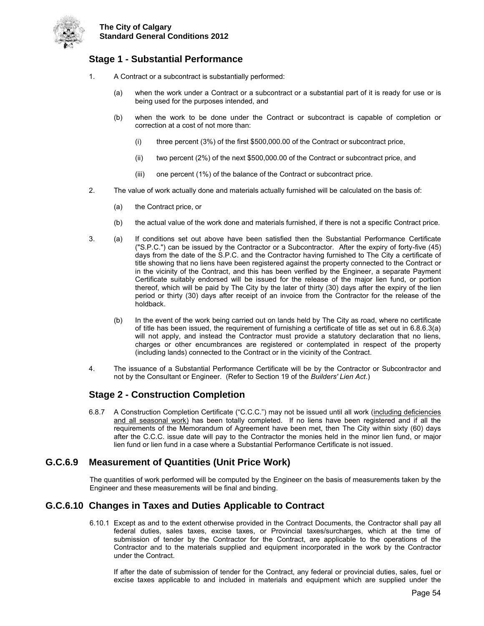

## **Stage 1 - Substantial Performance**

- 1. A Contract or a subcontract is substantially performed:
	- (a) when the work under a Contract or a subcontract or a substantial part of it is ready for use or is being used for the purposes intended, and
	- (b) when the work to be done under the Contract or subcontract is capable of completion or correction at a cost of not more than:
		- (i) three percent (3%) of the first \$500,000.00 of the Contract or subcontract price,
		- (ii) two percent (2%) of the next \$500,000.00 of the Contract or subcontract price, and
		- (iii) one percent (1%) of the balance of the Contract or subcontract price.
- 2. The value of work actually done and materials actually furnished will be calculated on the basis of:
	- (a) the Contract price, or
	- (b) the actual value of the work done and materials furnished, if there is not a specific Contract price.
- 3. (a) If conditions set out above have been satisfied then the Substantial Performance Certificate ("S.P.C.") can be issued by the Contractor or a Subcontractor. After the expiry of forty-five (45) days from the date of the S.P.C. and the Contractor having furnished to The City a certificate of title showing that no liens have been registered against the property connected to the Contract or in the vicinity of the Contract, and this has been verified by the Engineer, a separate Payment Certificate suitably endorsed will be issued for the release of the major lien fund, or portion thereof, which will be paid by The City by the later of thirty (30) days after the expiry of the lien period or thirty (30) days after receipt of an invoice from the Contractor for the release of the holdback.
	- (b) In the event of the work being carried out on lands held by The City as road, where no certificate of title has been issued, the requirement of furnishing a certificate of title as set out in 6.8.6.3(a) will not apply, and instead the Contractor must provide a statutory declaration that no liens, charges or other encumbrances are registered or contemplated in respect of the property (including lands) connected to the Contract or in the vicinity of the Contract.
- 4. The issuance of a Substantial Performance Certificate will be by the Contractor or Subcontractor and not by the Consultant or Engineer. (Refer to Section 19 of the *Builders' Lien Act*.)

## **Stage 2 - Construction Completion**

6.8.7 A Construction Completion Certificate ("C.C.C.") may not be issued until all work (including deficiencies and all seasonal work) has been totally completed. If no liens have been registered and if all the requirements of the Memorandum of Agreement have been met, then The City within sixty (60) days after the C.C.C. issue date will pay to the Contractor the monies held in the minor lien fund, or major lien fund or lien fund in a case where a Substantial Performance Certificate is not issued.

## <span id="page-57-0"></span>**G.C.6.9 Measurement of Quantities (Unit Price Work)**

The quantities of work performed will be computed by the Engineer on the basis of measurements taken by the Engineer and these measurements will be final and binding.

## <span id="page-57-1"></span>**G.C.6.10 Changes in Taxes and Duties Applicable to Contract**

6.10.1 Except as and to the extent otherwise provided in the Contract Documents, the Contractor shall pay all federal duties, sales taxes, excise taxes, or Provincial taxes/surcharges, which at the time of submission of tender by the Contractor for the Contract, are applicable to the operations of the Contractor and to the materials supplied and equipment incorporated in the work by the Contractor under the Contract.

If after the date of submission of tender for the Contract, any federal or provincial duties, sales, fuel or excise taxes applicable to and included in materials and equipment which are supplied under the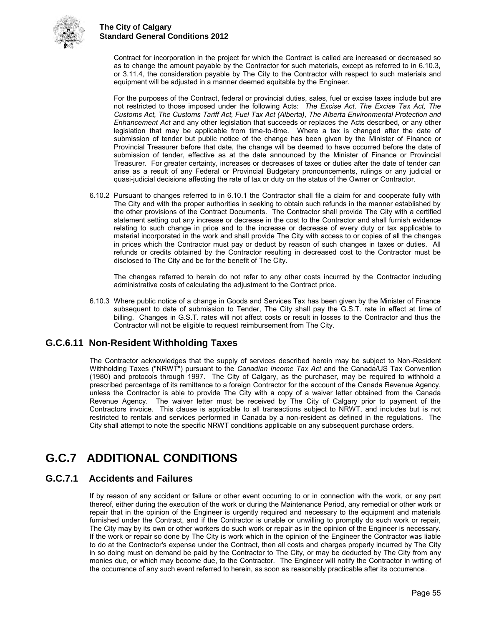

Contract for incorporation in the project for which the Contract is called are increased or decreased so as to change the amount payable by the Contractor for such materials, except as referred to in 6.10.3, or 3.11.4, the consideration payable by The City to the Contractor with respect to such materials and equipment will be adjusted in a manner deemed equitable by the Engineer.

For the purposes of the Contract, federal or provincial duties, sales, fuel or excise taxes include but are not restricted to those imposed under the following Acts: *The Excise Act, The Excise Tax Act, The Customs Act, The Customs Tariff Act, Fuel Tax Act (Alberta), The Alberta Environmental Protection and Enhancement Act* and any other legislation that succeeds or replaces the Acts described, or any other legislation that may be applicable from time-to-time. Where a tax is changed after the date of submission of tender but public notice of the change has been given by the Minister of Finance or Provincial Treasurer before that date, the change will be deemed to have occurred before the date of submission of tender, effective as at the date announced by the Minister of Finance or Provincial Treasurer. For greater certainty, increases or decreases of taxes or duties after the date of tender can arise as a result of any Federal or Provincial Budgetary pronouncements, rulings or any judicial or quasi-judicial decisions affecting the rate of tax or duty on the status of the Owner or Contractor.

6.10.2 Pursuant to changes referred to in 6.10.1 the Contractor shall file a claim for and cooperate fully with The City and with the proper authorities in seeking to obtain such refunds in the manner established by the other provisions of the Contract Documents. The Contractor shall provide The City with a certified statement setting out any increase or decrease in the cost to the Contractor and shall furnish evidence relating to such change in price and to the increase or decrease of every duty or tax applicable to material incorporated in the work and shall provide The City with access to or copies of all the changes in prices which the Contractor must pay or deduct by reason of such changes in taxes or duties. All refunds or credits obtained by the Contractor resulting in decreased cost to the Contractor must be disclosed to The City and be for the benefit of The City.

The changes referred to herein do not refer to any other costs incurred by the Contractor including administrative costs of calculating the adjustment to the Contract price.

6.10.3 Where public notice of a change in Goods and Services Tax has been given by the Minister of Finance subsequent to date of submission to Tender, The City shall pay the G.S.T. rate in effect at time of billing. Changes in G.S.T. rates will not affect costs or result in losses to the Contractor and thus the Contractor will not be eligible to request reimbursement from The City.

## <span id="page-58-0"></span>**G.C.6.11 Non-Resident Withholding Taxes**

The Contractor acknowledges that the supply of services described herein may be subject to Non-Resident Withholding Taxes ("NRWT") pursuant to the *Canadian Income Tax Act* and the Canada/US Tax Convention (1980) and protocols through 1997. The City of Calgary, as the purchaser, may be required to withhold a prescribed percentage of its remittance to a foreign Contractor for the account of the Canada Revenue Agency, unless the Contractor is able to provide The City with a copy of a waiver letter obtained from the Canada Revenue Agency. The waiver letter must be received by The City of Calgary prior to payment of the Contractors invoice. This clause is applicable to all transactions subject to NRWT, and includes but is not restricted to rentals and services performed in Canada by a non-resident as defined in the regulations. The City shall attempt to note the specific NRWT conditions applicable on any subsequent purchase orders.

## <span id="page-58-1"></span>**G.C.7 ADDITIONAL CONDITIONS**

## <span id="page-58-2"></span>**G.C.7.1 Accidents and Failures**

If by reason of any accident or failure or other event occurring to or in connection with the work, or any part thereof, either during the execution of the work or during the Maintenance Period, any remedial or other work or repair that in the opinion of the Engineer is urgently required and necessary to the equipment and materials furnished under the Contract, and if the Contractor is unable or unwilling to promptly do such work or repair, The City may by its own or other workers do such work or repair as in the opinion of the Engineer is necessary. If the work or repair so done by The City is work which in the opinion of the Engineer the Contractor was liable to do at the Contractor's expense under the Contract, then all costs and charges properly incurred by The City in so doing must on demand be paid by the Contractor to The City, or may be deducted by The City from any monies due, or which may become due, to the Contractor. The Engineer will notify the Contractor in writing of the occurrence of any such event referred to herein, as soon as reasonably practicable after its occurrence.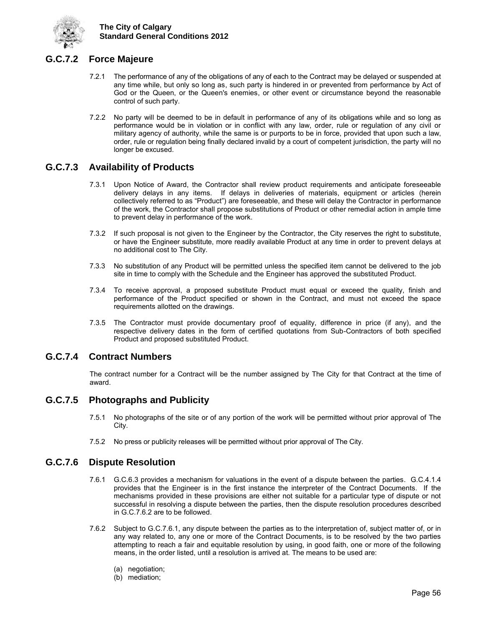

## <span id="page-59-0"></span>**G.C.7.2 Force Majeure**

- 7.2.1 The performance of any of the obligations of any of each to the Contract may be delayed or suspended at any time while, but only so long as, such party is hindered in or prevented from performance by Act of God or the Queen, or the Queen's enemies, or other event or circumstance beyond the reasonable control of such party.
- 7.2.2 No party will be deemed to be in default in performance of any of its obligations while and so long as performance would be in violation or in conflict with any law, order, rule or regulation of any civil or military agency of authority, while the same is or purports to be in force, provided that upon such a law, order, rule or regulation being finally declared invalid by a court of competent jurisdiction, the party will no longer be excused.

## <span id="page-59-1"></span>**G.C.7.3 Availability of Products**

- 7.3.1 Upon Notice of Award, the Contractor shall review product requirements and anticipate foreseeable delivery delays in any items. If delays in deliveries of materials, equipment or articles (herein collectively referred to as "Product") are foreseeable, and these will delay the Contractor in performance of the work, the Contractor shall propose substitutions of Product or other remedial action in ample time to prevent delay in performance of the work.
- 7.3.2 If such proposal is not given to the Engineer by the Contractor, the City reserves the right to substitute, or have the Engineer substitute, more readily available Product at any time in order to prevent delays at no additional cost to The City.
- 7.3.3 No substitution of any Product will be permitted unless the specified item cannot be delivered to the job site in time to comply with the Schedule and the Engineer has approved the substituted Product.
- 7.3.4 To receive approval, a proposed substitute Product must equal or exceed the quality, finish and performance of the Product specified or shown in the Contract, and must not exceed the space requirements allotted on the drawings.
- 7.3.5 The Contractor must provide documentary proof of equality, difference in price (if any), and the respective delivery dates in the form of certified quotations from Sub-Contractors of both specified Product and proposed substituted Product.

## <span id="page-59-2"></span>**G.C.7.4 Contract Numbers**

The contract number for a Contract will be the number assigned by The City for that Contract at the time of award.

## <span id="page-59-3"></span>**G.C.7.5 Photographs and Publicity**

- 7.5.1 No photographs of the site or of any portion of the work will be permitted without prior approval of The City.
- 7.5.2 No press or publicity releases will be permitted without prior approval of The City.

## <span id="page-59-4"></span>**G.C.7.6 Dispute Resolution**

- 7.6.1 G.C.6.3 provides a mechanism for valuations in the event of a dispute between the parties. G.C.4.1.4 provides that the Engineer is in the first instance the interpreter of the Contract Documents. If the mechanisms provided in these provisions are either not suitable for a particular type of dispute or not successful in resolving a dispute between the parties, then the dispute resolution procedures described in G.C.7.6.2 are to be followed.
- 7.6.2 Subject to G.C.7.6.1, any dispute between the parties as to the interpretation of, subject matter of, or in any way related to, any one or more of the Contract Documents, is to be resolved by the two parties attempting to reach a fair and equitable resolution by using, in good faith, one or more of the following means, in the order listed, until a resolution is arrived at. The means to be used are:
	- (a) negotiation;
	- (b) mediation;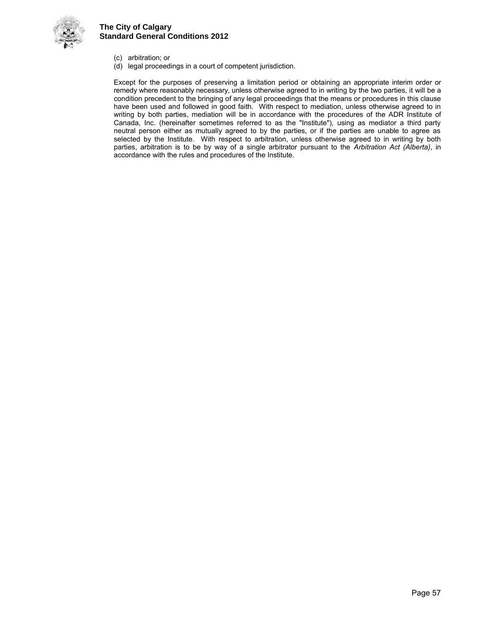

- (c) arbitration; or
- (d) legal proceedings in a court of competent jurisdiction.

 Except for the purposes of preserving a limitation period or obtaining an appropriate interim order or remedy where reasonably necessary, unless otherwise agreed to in writing by the two parties, it will be a condition precedent to the bringing of any legal proceedings that the means or procedures in this clause have been used and followed in good faith. With respect to mediation, unless otherwise agreed to in writing by both parties, mediation will be in accordance with the procedures of the ADR Institute of Canada, Inc. (hereinafter sometimes referred to as the "Institute"), using as mediator a third party neutral person either as mutually agreed to by the parties, or if the parties are unable to agree as selected by the Institute. With respect to arbitration, unless otherwise agreed to in writing by both parties, arbitration is to be by way of a single arbitrator pursuant to the *Arbitration Act (Alberta)*, in accordance with the rules and procedures of the Institute.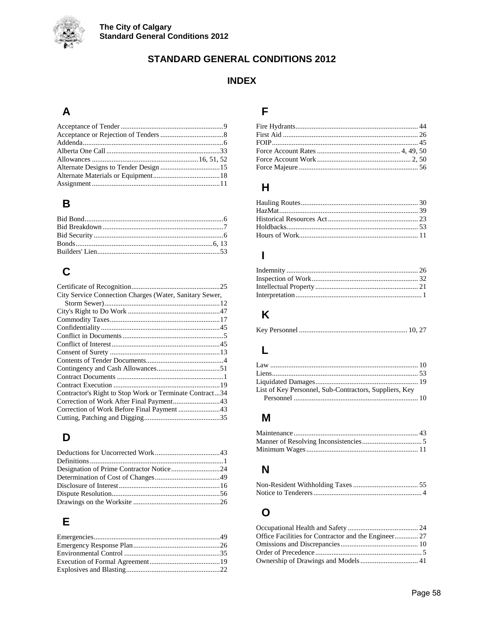

## **STANDARD GENERAL CONDITIONS 2012**

## **INDEX**

## $\mathbf{A}$

## $\overline{\mathbf{B}}$

## $\mathbf C$

| City Service Connection Charges (Water, Sanitary Sewer, |  |
|---------------------------------------------------------|--|
|                                                         |  |
|                                                         |  |
|                                                         |  |
|                                                         |  |
|                                                         |  |
|                                                         |  |
|                                                         |  |
|                                                         |  |
|                                                         |  |
|                                                         |  |
|                                                         |  |
| Contractor's Right to Stop Work or Terminate Contract34 |  |
|                                                         |  |
|                                                         |  |
|                                                         |  |
|                                                         |  |

## $\mathbf D$

## $\mathsf E$

## F

## $H$

## $\overline{\phantom{a}}$

## $\mathsf{K}$

|--|--|--|--|

## $\mathsf{L}% _{0}\left( \mathsf{L}_{0}\right) ^{T}=\mathsf{L}_{0}\left( \mathsf{L}_{0}\right) ^{T}$

| List of Key Personnel, Sub-Contractors, Suppliers, Key |  |
|--------------------------------------------------------|--|
|                                                        |  |

## $\mathsf{M}$

## $\overline{\mathsf{N}}$

## $\mathbf{o}$